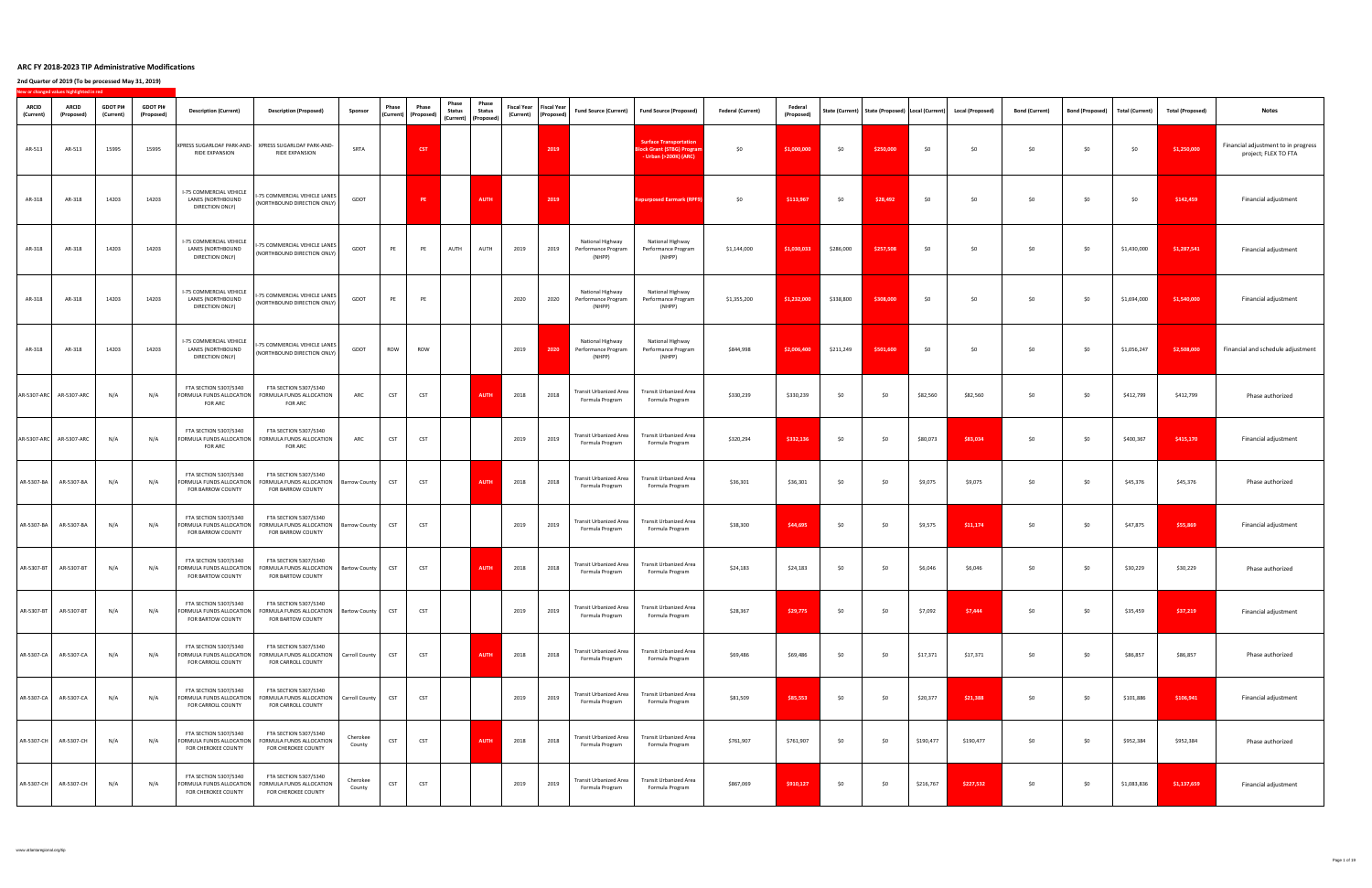**2nd Quarter of 2019 (To be processed May 31, 2019)**

**New or changed values highlighted in red**

| <b>ARCID</b><br>(Current) | vew or changed values inginighted in red<br><b>ARCID</b><br>(Proposed | <b>GDOT PI#</b><br>(Current) | <b>GDOT PI#</b><br>(Proposed) | <b>Description (Current)</b>                                                         | <b>Description (Proposed)</b>                                                                                                | <b>Sponsor</b>     | Phase            | <b>Phase</b><br>  (Current)   (Proposed) | Phase<br><b>Status</b><br>$\vert$ (Current) $\vert$ (Proposed) $\vert$ | Phase<br><b>Status</b> | (Current) (Proposed) | <b>Fiscal Year</b>   Fiscal Year | <b>Fund Source (Current)</b>                             | Fund Source (Proposed)                                                                      | <b>Federal (Current)</b> | <b>Federal</b><br>(Proposed) |           |           |           | State (Current)   State (Proposed)   Local (Current)   Local (Proposed) | <b>Bond (Current)</b> | Bond (Proposed)   Total (Current) |             | <b>Total (Proposed)</b> | <b>Notes</b>                                                |
|---------------------------|-----------------------------------------------------------------------|------------------------------|-------------------------------|--------------------------------------------------------------------------------------|------------------------------------------------------------------------------------------------------------------------------|--------------------|------------------|------------------------------------------|------------------------------------------------------------------------|------------------------|----------------------|----------------------------------|----------------------------------------------------------|---------------------------------------------------------------------------------------------|--------------------------|------------------------------|-----------|-----------|-----------|-------------------------------------------------------------------------|-----------------------|-----------------------------------|-------------|-------------------------|-------------------------------------------------------------|
| AR-513                    | AR-513                                                                | 15995                        | 15995                         | RIDE EXPANSION                                                                       | XPRESS SUGARLOAF PARK-AND-   XPRESS SUGARLOAF PARK-AND-<br><b>RIDE EXPANSION</b>                                             | <b>SRTA</b>        |                  | <b>CST</b>                               |                                                                        |                        |                      | 2019                             |                                                          | <b>Surface Transportation</b><br><b>Block Grant (STBG) Program</b><br>- Urban (>200K) (ARC) | \$0\$                    | \$1,000,000                  | \$0       | \$250,000 | \$0\$     | \$0                                                                     | \$0                   | \$0                               | \$0         | \$1,250,000             | Financial adjustment to in progress<br>project; FLEX TO FTA |
| AR-318                    | AR-318                                                                | 14203                        | 14203                         | <b>I-75 COMMERCIAL VEHICLE</b><br>LANES (NORTHBOUND<br><b>DIRECTION ONLY)</b>        | -75 COMMERCIAL VEHICLE LANES<br>(NORTHBOUND DIRECTION ONLY)                                                                  | <b>GDOT</b>        |                  | <b>PE</b>                                |                                                                        | <b>AUTH</b>            |                      | 2019                             |                                                          | <b>Repurposed Earmark (RPF9)</b>                                                            | \$0                      | \$113,967                    | \$0       | \$28,492  | \$0\$     | \$0                                                                     | \$0                   | \$0                               | \$0         | \$142,459               | Financial adjustment                                        |
| AR-318                    | AR-318                                                                | 14203                        | 14203                         | <b>I-75 COMMERCIAL VEHICLE</b><br>LANES (NORTHBOUND<br><b>DIRECTION ONLY)</b>        | -75 COMMERCIAL VEHICLE LANES<br>(NORTHBOUND DIRECTION ONLY) <sup>1</sup>                                                     | GDOT               | PE               | PE                                       | <b>AUTH</b>                                                            | <b>AUTH</b>            | 2019                 | 2019                             | <b>National Highway</b><br>Performance Program<br>(NHPP) | National Highway<br>Performance Program<br>(NHPP)                                           | \$1,144,000              | \$1,030,033                  | \$286,000 | \$257,508 | \$0       | י ∧                                                                     | \$0                   | \$0\$                             | \$1,430,000 | \$1,287,541             | Financial adjustment                                        |
| AR-318                    | AR-318                                                                | 14203                        | 14203                         | <b>I-75 COMMERCIAL VEHICLE</b><br>LANES (NORTHBOUND<br>DIRECTION ONLY)               | -75 COMMERCIAL VEHICLE LANES  <br>  (NORTHBOUND DIRECTION ONLY) <sup> </sup>                                                 | <b>GDOT</b>        | PE               | PE                                       |                                                                        |                        | 2020                 | 2020                             | National Highway<br>Performance Program<br>(NHPP)        | National Highway<br>Performance Program<br>(NHPP)                                           | \$1,355,200              | \$1,232,000                  | \$338,800 | \$308,000 | \$0       | \$0                                                                     | \$0                   | \$0\$                             | \$1,694,000 | \$1,540,000             | Financial adjustment                                        |
| AR-318                    | AR-318                                                                | 14203                        | 14203                         | <b>I-75 COMMERCIAL VEHICLE</b><br>LANES (NORTHBOUND<br>DIRECTION ONLY)               | -75 COMMERCIAL VEHICLE LANES<br>(NORTHBOUND DIRECTION ONLY)                                                                  | <b>GDOT</b>        | <b>ROW</b>       | <b>ROW</b>                               |                                                                        |                        | 2019                 | 2020                             | <b>National Highway</b><br>Performance Program<br>(NHPP) | National Highway<br>Performance Program<br>(NHPP)                                           | \$844,998                | \$2,006,400                  | \$211,249 | \$501,600 | \$0       | \$0                                                                     | \$0                   | \$0\$                             | \$1,056,247 | \$2,508,000             | Financial and schedule adjustment                           |
|                           | AR-5307-ARC   AR-5307-ARC                                             | N/A                          | N/A                           | <b>FTA SECTION 5307/5340</b><br>FORMULA FUNDS ALLOCATION<br><b>FOR ARC</b>           | <b>FTA SECTION 5307/5340</b><br>FORMULA FUNDS ALLOCATION<br><b>FOR ARC</b>                                                   | ARC                | <b>CST</b>       | <b>CST</b>                               |                                                                        | <b>AUTH</b>            | 2018                 | 2018                             | <b>Transit Urbanized Area</b><br>Formula Program         | <b>Transit Urbanized Area</b><br>Formula Program                                            | \$330,239                | \$330,239                    | \$0       | \$0\$     | \$82,560  | \$82,560                                                                | \$0                   | \$0\$                             | \$412,799   | \$412,799               | Phase authorized                                            |
|                           | AR-5307-ARC   AR-5307-ARC                                             | N/A                          | N/A                           | FTA SECTION 5307/5340<br>FORMULA FUNDS ALLOCATION<br><b>FOR ARC</b>                  | <b>FTA SECTION 5307/5340</b><br>FORMULA FUNDS ALLOCATION<br><b>FOR ARC</b>                                                   | ARC                | <b>CST</b>       | <b>CST</b>                               |                                                                        |                        | 2019                 | 2019                             | <b>Transit Urbanized Area</b><br>Formula Program         | <b>Transit Urbanized Area</b><br>Formula Program                                            | \$320,294                | \$332,136                    | \$0       | \$0       | \$80,073  | \$83,034                                                                | \$0                   | \$0\$                             | \$400,367   | \$415,170               | Financial adjustment                                        |
| AR-5307-BA                | AR-5307-BA                                                            | N/A                          | N/A                           | <b>FTA SECTION 5307/5340</b><br>FORMULA FUNDS ALLOCATION<br>FOR BARROW COUNTY        | <b>FTA SECTION 5307/5340</b><br>FORMULA FUNDS ALLOCATION   Barrow County  <br><b>FOR BARROW COUNTY</b>                       |                    | <b>CST</b>       | <b>CST</b>                               |                                                                        | <b>AUTH</b>            | 2018                 | 2018                             | Transit Urbanized Area<br>Formula Program                | <b>Transit Urbanized Area</b><br>Formula Program                                            | \$36,301                 | \$36,301                     | \$0       | \$0\$     | \$9,075   | \$9,075                                                                 | \$0                   | \$0                               | \$45,376    | \$45,376                | Phase authorized                                            |
| AR-5307-BA                | AR-5307-BA                                                            | N/A                          | N/A                           | <b>FTA SECTION 5307/5340</b><br>FORMULA FUNDS ALLOCATION<br>FOR BARROW COUNTY        | FTA SECTION 5307/5340<br>FORMULA FUNDS ALLOCATION<br><b>FOR BARROW COUNTY</b>                                                | Barrow County      | <b>CST</b>       | <b>CST</b>                               |                                                                        |                        | 2019                 | 2019                             | <b>Transit Urbanized Area</b><br>Formula Program         | <b>Transit Urbanized Area</b><br>Formula Program                                            | \$38,300                 | \$44,695                     | \$0       | \$0       | \$9,575   | \$11,174                                                                | \$0                   | \$0                               | \$47,875    | \$55,869                | Financial adjustment                                        |
| AR-5307-BT                | AR-5307-B1                                                            | N/A                          | N/A                           | <b>FTA SECTION 5307/5340</b><br>FORMULA FUNDS ALLOCATION<br>FOR BARTOW COUNTY        | FTA SECTION 5307/5340<br>FORMULA FUNDS ALLOCATION   Bartow County  <br>FOR BARTOW COUNTY                                     |                    | CST <sup>-</sup> | <b>CST</b>                               |                                                                        | <b>AUTH</b>            | 2018                 | 2018                             | <b>Transit Urbanized Area</b><br>Formula Program         | <b>Transit Urbanized Area</b><br>Formula Program                                            | \$24,183                 | \$24,183                     | \$0       | \$0       | \$6,046   | \$6,046                                                                 | \$0                   | \$0                               | \$30,229    | \$30,229                | Phase authorized                                            |
| AR-5307-BT                | AR-5307-BT                                                            | N/A                          | N/A                           | <b>FTA SECTION 5307/5340</b><br>FORMULA FUNDS ALLOCATION<br><b>FOR BARTOW COUNTY</b> | <b>FTA SECTION 5307/5340</b><br>FORMULA FUNDS ALLOCATION   Bartow County  <br>FOR BARTOW COUNTY                              |                    |                  | <b>CST</b>                               |                                                                        |                        | 2019                 | 2019                             | <b>Transit Urbanized Area</b><br>Formula Program         | <b>Transit Urbanized Area</b><br>Formula Program                                            | \$28,367                 | \$29,775                     | \$0       | \$0       | \$7,092   | \$7,444                                                                 | \$0                   | \$0                               | \$35,459    | \$37,219                | Financial adjustment                                        |
|                           | AR-5307-CA   AR-5307-CA                                               | N/A                          |                               | FTA SECTION 5307/5340<br>FOR CARROLL COUNTY                                          | <b>FTA SECTION 5307/5340</b><br>FORMULA FUNDS ALLOCATION   FORMULA FUNDS ALLOCATION   Carroll County  <br>FOR CARROLL COUNTY |                    |                  | <b>CST</b>                               |                                                                        |                        | 2018                 | 2018                             | Formula Program                                          | Transit Urbanized Area   Transit Urbanized Area  <br>Formula Program                        | \$69,486                 | \$69,486                     |           |           | \$17,371  | \$17,371                                                                |                       |                                   | \$86,857    | \$86,857                | Phase authorized                                            |
| AR-5307-CA                | AR-5307-CA                                                            | N/A                          | N/A                           | <b>FTA SECTION 5307/5340</b><br>FORMULA FUNDS ALLOCATIOI<br>FOR CARROLL COUNTY       | <b>FTA SECTION 5307/5340</b><br>FORMULA FUNDS ALLOCATION<br>FOR CARROLL COUNTY                                               | Carroll County     | <b>CST</b>       | <b>CST</b>                               |                                                                        |                        | 2019                 | 2019                             | Transit Urbanized Area<br>Formula Program                | <b>Transit Urbanized Area</b><br>Formula Program                                            | \$81,509                 | \$85,553                     | \$0       | \$0       | \$20,377  | \$21,388                                                                | \$0                   | \$0                               | \$101,886   | \$106,941               | Financial adjustment                                        |
| AR-5307-CH                | AR-5307-CH                                                            | N/A                          | N/A                           | <b>FTA SECTION 5307/5340</b><br>FORMULA FUNDS ALLOCATION<br>FOR CHEROKEE COUNTY      | <b>FTA SECTION 5307/5340</b><br>FORMULA FUNDS ALLOCATION<br><b>FOR CHEROKEE COUNTY</b>                                       | Cherokee<br>County | <b>CST</b>       | <b>CST</b>                               |                                                                        | <b>AUTH</b>            | 2018                 | 2018                             | <b>Transit Urbanized Area</b><br>Formula Program         | <b>Transit Urbanized Area</b><br>Formula Program                                            | \$761,907                | \$761,907                    | \$0       | \$0       | \$190,477 | \$190,477                                                               | \$0                   | \$0\$                             | \$952,384   | \$952,384               | Phase authorized                                            |
| AR-5307-CH                | AR-5307-CH                                                            | N/A                          |                               | <b>FTA SECTION 5307/5340</b><br>FORMULA FUNDS ALLOCATIOI<br>FOR CHEROKEE COUNTY      | <b>FTA SECTION 5307/5340</b><br>FORMULA FUNDS ALLOCATION<br>FOR CHEROKEE COUNTY                                              | Cherokee<br>County | <b>CST</b>       | <b>CST</b>                               |                                                                        |                        | 2019                 | 2019                             | <b>Transit Urbanized Area</b><br>Formula Program         | <b>Transit Urbanized Area</b><br>Formula Program                                            | \$867,069                | \$910,127                    | \$0       | \$0       | \$216,767 | \$227,532                                                               | \$0                   | \$0                               | \$1,083,836 | \$1,137,659             | Financial adjustment                                        |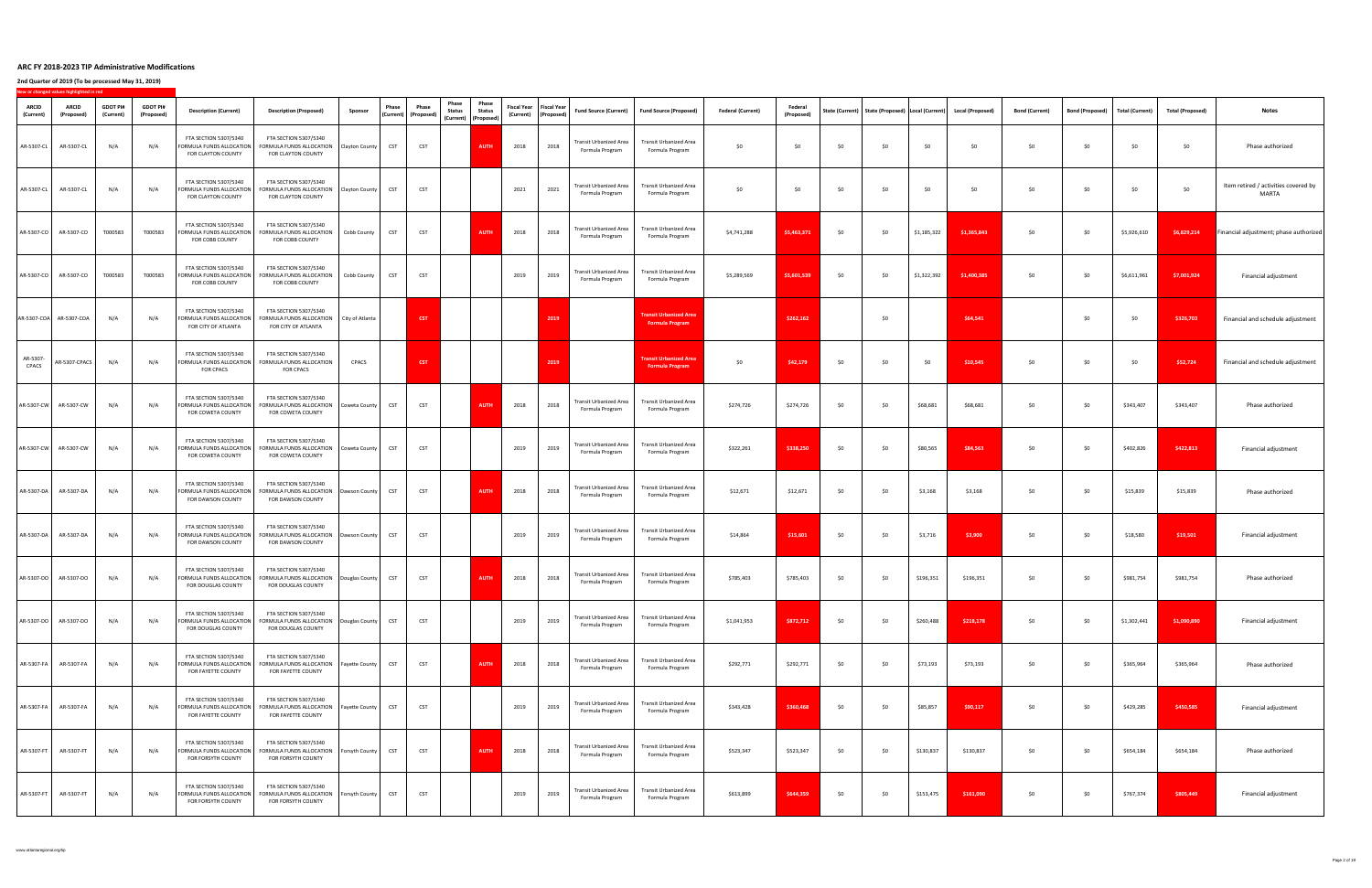|                           | New or changed values highlighted in red |                              |                               |                                                                                        |                                                                                                                                                                                  |                 |                                                              |                                        |                                                                        |        |                                                       |                                                  |                                                                    |                           |                              |       |       |             |                                                                         |                       |                        |                 |                         |                                                      |
|---------------------------|------------------------------------------|------------------------------|-------------------------------|----------------------------------------------------------------------------------------|----------------------------------------------------------------------------------------------------------------------------------------------------------------------------------|-----------------|--------------------------------------------------------------|----------------------------------------|------------------------------------------------------------------------|--------|-------------------------------------------------------|--------------------------------------------------|--------------------------------------------------------------------|---------------------------|------------------------------|-------|-------|-------------|-------------------------------------------------------------------------|-----------------------|------------------------|-----------------|-------------------------|------------------------------------------------------|
| <b>ARCID</b><br>(Current) | <b>ARCID</b><br>(Proposed)               | <b>GDOT PI#</b><br>(Current) | <b>GDOT PI#</b><br>(Proposed) | <b>Description (Current)</b>                                                           | <b>Description (Proposed)</b>                                                                                                                                                    | Sponsor         | <b>Phase</b><br>$\vert$ (Current) $\vert$ (Proposed) $\vert$ | Phase<br><b>Phase</b><br><b>Status</b> | Phase<br><b>Status</b><br>$\vert$ (Current) $\vert$ (Proposed) $\vert$ |        | Fiscal Year   Fiscal Year  <br>(Current)   (Proposed) | <b>Fund Source (Current)</b>                     | Fund Source (Proposed)                                             | <b>Federal (Current)</b>  | <b>Federal</b><br>(Proposed) |       |       |             | State (Current)   State (Proposed)   Local (Current)   Local (Proposed) | <b>Bond (Current)</b> | <b>Bond (Proposed)</b> | Total (Current) | <b>Total (Proposed)</b> | <b>Notes</b>                                         |
| AR-5307-CL                | AR-5307-CL                               | N/A                          | N/A                           | <b>FTA SECTION 5307/5340</b><br>FORMULA FUNDS ALLOCATION<br>FOR CLAYTON COUNTY         | <b>FTA SECTION 5307/5340</b><br>FORMULA FUNDS ALLOCATION<br>FOR CLAYTON COUNTY                                                                                                   | Clayton County  | <b>CST</b>                                                   | <b>CST</b>                             | <b>AUTH</b>                                                            | 2018   | 2018                                                  | Transit Urbanized Area<br>Formula Program        | <b>Transit Urbanized Area</b><br>Formula Program                   | \$0                       | \$0                          | \$0   | \$0   | \$0         | \$0                                                                     | \$0\$                 | \$0                    | \$0\$           | \$0                     | Phase authorized                                     |
| AR-5307-CL                | AR-5307-CL                               | N/A                          | N/A                           | <b>FTA SECTION 5307/5340</b><br>FORMULA FUNDS ALLOCATION<br>FOR CLAYTON COUNTY         | <b>FTA SECTION 5307/5340</b><br>FORMULA FUNDS ALLOCATION<br>FOR CLAYTON COUNTY                                                                                                   | Clayton County  |                                                              | <b>CST</b>                             |                                                                        | 2021   | 2021                                                  | <b>Transit Urbanized Area</b><br>Formula Program | <b>Transit Urbanized Area</b><br>Formula Program                   | \$0                       | \$0                          | \$0   | \$0   | \$0         | \$0                                                                     | \$0                   | \$0                    | \$0             | \$0                     | Item retired / activities covered by<br><b>MARTA</b> |
|                           | AR-5307-CO   AR-5307-CO                  | T000583                      | T000583                       | <b>FTA SECTION 5307/5340</b><br>FORMULA FUNDS ALLOCATION<br><b>FOR COBB COUNTY</b>     | <b>FTA SECTION 5307/5340</b><br>FORMULA FUNDS ALLOCATION<br><b>FOR COBB COUNTY</b>                                                                                               | Cobb County     | <b>CST</b>                                                   | <b>CST</b>                             | <b>AUTH</b>                                                            | 2018   | 2018                                                  | <b>Transit Urbanized Area</b><br>Formula Program | <b>Transit Urbanized Area</b><br>Formula Program                   | \$4,741,288               | \$5,463,371                  | \$0   | \$0   | \$1,185,322 | \$1,365,843                                                             | \$0\$                 | \$0\$                  | \$5,926,610     | \$6,829,214             | <b>Financial adjustment; phase authorized</b>        |
|                           |                                          |                              |                               | <b>FTA SECTION 5307/5340</b><br>FOR COBB COUNTY                                        | <b>FTA SECTION 5307/5340</b><br>AR-5307-CO   AR-5307-CO   T000583   T000583  FORMULA FUNDS ALLOCATION   FORMULA FUNDS ALLOCATION   Cobb County   CST  <br><b>FOR COBB COUNTY</b> |                 |                                                              | <b>CST</b>                             |                                                                        | $2019$ | 2019                                                  | Formula Program                                  | Transit Urbanized Area   Transit Urbanized Area<br>Formula Program | $$5,289,569$ $$5,601,539$ |                              | \$0\$ | \$0   |             | $$1,322,392$ $$1,400,385$                                               | \$0                   | \$0                    | \$6,611,961     | \$7,001,924             | Financial adjustment                                 |
|                           | AR-5307-COA   AR-5307-COA                | N/A                          | N/A                           | <b>FTA SECTION 5307/5340</b><br>FORMULA FUNDS ALLOCATION<br><b>FOR CITY OF ATLANTA</b> | <b>FTA SECTION 5307/5340</b><br>FORMULA FUNDS ALLOCATION<br>FOR CITY OF ATLANTA                                                                                                  | City of Atlanta |                                                              | <b>CST</b>                             |                                                                        |        | 2019                                                  |                                                  | <b>Transit Urbanized Area</b><br><b>Formula Program</b>            |                           | \$262,162                    |       | \$0   |             | \$64,541                                                                |                       | \$0                    | \$0             | \$326,703               | Financial and schedule adjustment                    |
| AR-5307-<br>CPACS         | AR-5307-CPACS                            | N/A                          |                               | <b>FTA SECTION 5307/5340</b><br>FORMULA FUNDS ALLOCATION<br><b>FOR CPACS</b>           | <b>FTA SECTION 5307/5340</b><br>FORMULA FUNDS ALLOCATION<br><b>FOR CPACS</b>                                                                                                     | <b>CPACS</b>    | <b>CST</b>                                                   |                                        |                                                                        |        | 2019                                                  |                                                  | <b>Transit Urbanized Area</b><br><b>Formula Program</b>            | \$0                       | \$42,179                     | \$0   | \$0\$ | \$0         | \$10,545                                                                | \$0\$                 | \$0                    | \$0             | \$52,724                | Financial and schedule adjustment                    |
|                           | AR-5307-CW   AR-5307-CW                  | N/A                          | N/A                           | <b>FTA SECTION 5307/5340</b><br>FORMULA FUNDS ALLOCATION<br>FOR COWETA COUNTY          | <b>FTA SECTION 5307/5340</b><br>FORMULA FUNDS ALLOCATION<br><b>FOR COWETA COUNTY</b>                                                                                             | Coweta County   | <b>CST</b>                                                   | <b>CST</b>                             | <b>AUTH</b>                                                            | 2018   | 2018                                                  | <b>Transit Urbanized Area</b><br>Formula Program | <b>Transit Urbanized Area</b><br>Formula Program                   | \$274,726                 | \$274,726                    | \$0   | \$0   | \$68,681    | \$68,681                                                                | \$0\$                 | \$0                    | \$343,407       | \$343,407               | Phase authorized                                     |
|                           | AR-5307-CW   AR-5307-CW                  | N/A                          | N/A                           | <b>FTA SECTION 5307/5340</b><br>FORMULA FUNDS ALLOCATION<br>FOR COWETA COUNTY          | <b>FTA SECTION 5307/5340</b><br>FORMULA FUNDS ALLOCATION<br>FOR COWETA COUNTY                                                                                                    | Coweta County   |                                                              | <b>CST</b>                             |                                                                        | 2019   | 2019                                                  | <b>Transit Urbanized Area</b><br>Formula Program | <b>Transit Urbanized Area</b><br>Formula Program                   | \$322,261                 | \$338,250                    | \$0   | \$0   | \$80,565    | \$84,563                                                                | \$0\$                 | \$0                    | \$402,826       | \$422,813               | Financial adjustment                                 |
| AR-5307-DA                | AR-5307-DA                               | N/A                          | N/A                           | FTA SECTION 5307/5340<br>FORMULA FUNDS ALLOCATION<br>FOR DAWSON COUNTY                 | <b>FTA SECTION 5307/5340</b><br>FORMULA FUNDS ALLOCATION<br>FOR DAWSON COUNTY                                                                                                    | Dawson County   | <b>CST</b>                                                   | <b>CST</b>                             | <b>AUTH</b>                                                            | 2018   | 2018                                                  | Transit Urbanized Area<br>Formula Program        | <b>Transit Urbanized Area</b><br>Formula Program                   | \$12,671                  | \$12,671                     | \$0   | \$0   | \$3,168     | \$3,168                                                                 | \$0                   | \$0                    | \$15,839        | \$15,839                | Phase authorized                                     |
|                           | AR-5307-DA   AR-5307-DA                  | N/A                          | N/A                           | <b>FTA SECTION 5307/5340</b><br>FORMULA FUNDS ALLOCATION<br>FOR DAWSON COUNTY          | <b>FTA SECTION 5307/5340</b><br>FORMULA FUNDS ALLOCATION<br>FOR DAWSON COUNTY                                                                                                    | Dawson County   | <b>CST</b>                                                   | <b>CST</b>                             |                                                                        | 2019   | 2019                                                  | <b>Transit Urbanized Area</b><br>Formula Program | <b>Transit Urbanized Area</b><br>Formula Program                   | \$14,864                  | \$15,601                     | \$0   | \$0\$ | \$3,716     | \$3,900                                                                 | \$0                   | \$0                    | \$18,580        | \$19,501                | Financial adjustment                                 |
|                           | AR-5307-DO   AR-5307-DO                  | N/A                          | N/A                           | <b>FTA SECTION 5307/5340</b><br>FORMULA FUNDS ALLOCATION<br>FOR DOUGLAS COUNTY         | <b>FTA SECTION 5307/5340</b><br>FORMULA FUNDS ALLOCATION<br>FOR DOUGLAS COUNTY                                                                                                   | Douglas County  | <b>CST</b>                                                   | <b>CST</b>                             | <b>AUTH</b>                                                            | 2018   | 2018                                                  | Transit Urbanized Area<br>Formula Program        | <b>Transit Urbanized Area</b><br>Formula Program                   | \$785,403                 | \$785,403                    | \$0   | \$0   | \$196,351   | \$196,351                                                               | \$0\$                 | \$0                    | \$981,754       | \$981,754               | Phase authorized                                     |
|                           | AR-5307-DO   AR-5307-DO                  | N/A                          | N/A                           | <b>FTA SECTION 5307/5340</b><br>FORMULA FUNDS ALLOCATION<br>FOR DOUGLAS COUNTY         | <b>FTA SECTION 5307/5340</b><br>FORMULA FUNDS ALLOCATION<br>FOR DOUGLAS COUNTY                                                                                                   | Douglas County  | <b>CST</b>                                                   | <b>CST</b>                             |                                                                        | 2019   | 2019                                                  | <b>Transit Urbanized Area</b><br>Formula Program | <b>Transit Urbanized Area</b><br>Formula Program                   | \$1,041,953               | \$872,712                    | \$0   | \$0   | \$260,488   | \$218,178                                                               | \$0\$                 | \$0                    | \$1,302,441     | \$1,090,890             | Financial adjustment                                 |
| AR-5307-FA                | AR-5307-FA                               | N/A                          | N/A                           | FTA SECTION 5307/5340<br>FORMULA FUNDS ALLOCATION<br>FOR FAYETTE COUNTY                | <b>FTA SECTION 5307/5340</b><br>FORMULA FUNDS ALLOCATION<br>FOR FAYETTE COUNTY                                                                                                   | Fayette County  | <b>CST</b>                                                   | <b>CST</b>                             | <b>AUTH</b>                                                            | 2018   | 2018                                                  | <b>Transit Urbanized Area</b><br>Formula Program | <b>Transit Urbanized Area</b><br>Formula Program                   | \$292,771                 | \$292,771                    | \$0   | \$0   | \$73,193    | \$73,193                                                                | \$0\$                 | \$0\$                  | \$365,964       | \$365,964               | Phase authorized                                     |
| AR-5307-FA                | AR-5307-FA                               | N/A                          | N/A                           | <b>FTA SECTION 5307/5340</b><br>FORMULA FUNDS ALLOCATION<br>FOR FAYETTE COUNTY         | <b>FTA SECTION 5307/5340</b><br>FORMULA FUNDS ALLOCATION<br>FOR FAYETTE COUNTY                                                                                                   | Fayette County  |                                                              | <b>CST</b>                             |                                                                        | 2019   | 2019                                                  | Transit Urbanized Area<br>Formula Program        | <b>Transit Urbanized Area</b><br>Formula Program                   | \$343,428                 | \$360,468                    | \$0   | \$0   | \$85,857    | \$90,117                                                                | \$0\$                 | \$0\$                  | \$429,285       | \$450,585               | Financial adjustment                                 |
| AR-5307-FT                | AR-5307-FT                               | N/A                          | N/A                           | <b>FTA SECTION 5307/5340</b><br>FORMULA FUNDS ALLOCATION<br>FOR FORSYTH COUNTY         | <b>FTA SECTION 5307/5340</b><br>FORMULA FUNDS ALLOCATION<br>FOR FORSYTH COUNTY                                                                                                   | Forsyth County  | <b>CST</b>                                                   | <b>CST</b>                             | AUTH                                                                   | 2018   | 2018                                                  | <b>Transit Urbanized Area</b><br>Formula Program | <b>Transit Urbanized Area</b><br>Formula Program                   | \$523,347                 | \$523,347                    | \$0   | \$0   | \$130,837   | \$130,837                                                               | \$0\$                 | \$0                    | \$654,184       | \$654,184               | Phase authorized                                     |
| AR-5307-FT                | AR-5307-FT                               | N/A                          | N/A                           | <b>FTA SECTION 5307/5340</b><br>FORMULA FUNDS ALLOCATION<br>FOR FORSYTH COUNTY         | <b>FTA SECTION 5307/5340</b><br>FORMULA FUNDS ALLOCATION<br>FOR FORSYTH COUNTY                                                                                                   | Forsyth County  | <b>CST</b>                                                   | <b>CST</b>                             |                                                                        | 2019   | 2019                                                  | <b>Transit Urbanized Area</b><br>Formula Program | <b>Transit Urbanized Area</b><br>Formula Program                   | \$613,899                 | \$644,359                    | \$0   | \$0   | \$153,475   | \$161,090                                                               | \$0\$                 | \$0                    | \$767,374       | \$805,449               | Financial adjustment                                 |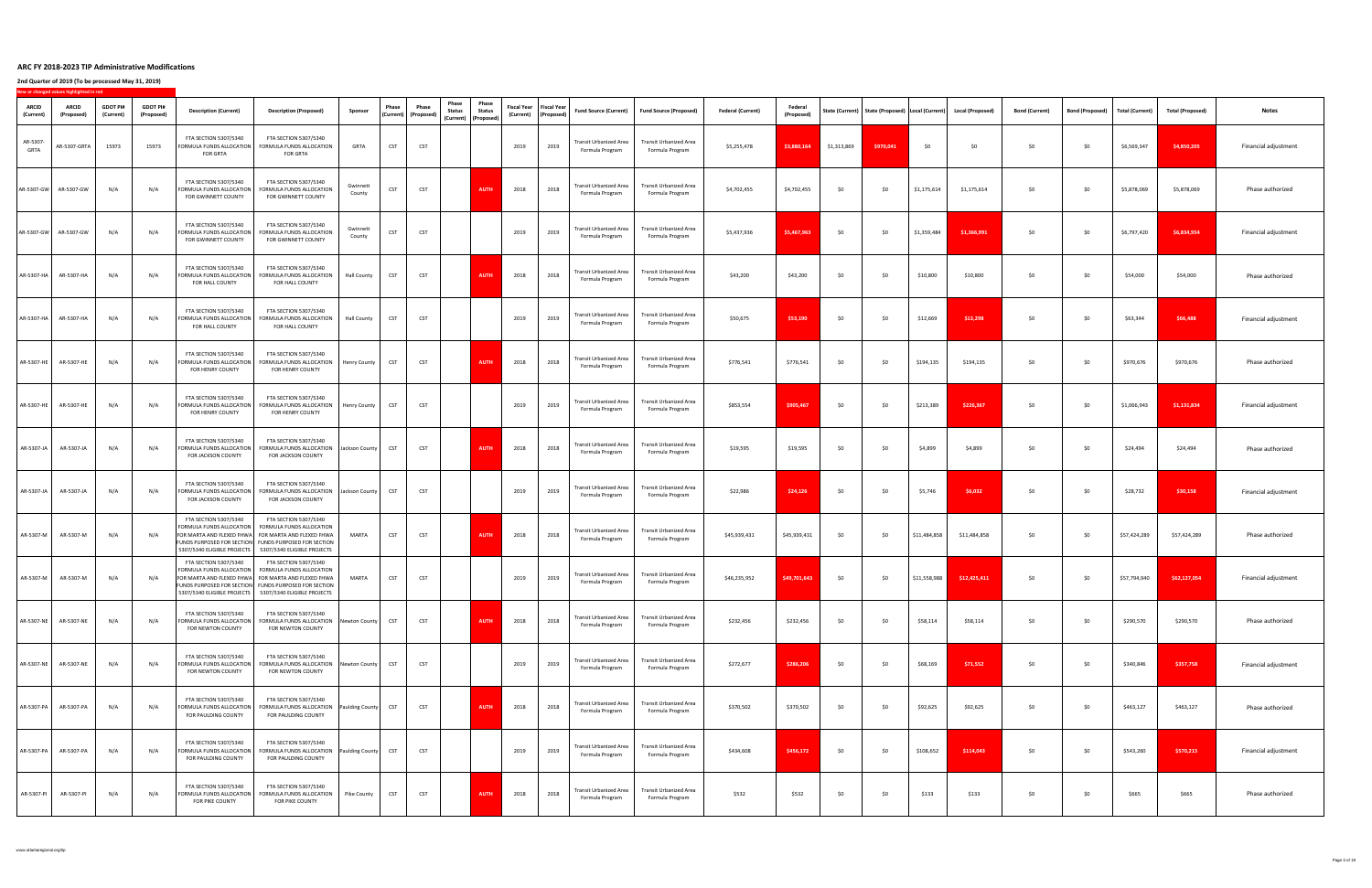|                           | New or changed values highlighted in red |                              |                               |                                                                                            |                                                                                                                                                                                                                                                                      |                        |                                                       |              |                                                                                                  |                       |                                                       |                                                  |                                                                    |                          |                              |             |           |              |                                                                         |                       |                        |                 |                         |                      |
|---------------------------|------------------------------------------|------------------------------|-------------------------------|--------------------------------------------------------------------------------------------|----------------------------------------------------------------------------------------------------------------------------------------------------------------------------------------------------------------------------------------------------------------------|------------------------|-------------------------------------------------------|--------------|--------------------------------------------------------------------------------------------------|-----------------------|-------------------------------------------------------|--------------------------------------------------|--------------------------------------------------------------------|--------------------------|------------------------------|-------------|-----------|--------------|-------------------------------------------------------------------------|-----------------------|------------------------|-----------------|-------------------------|----------------------|
| <b>ARCID</b><br>(Current) | <b>ARCID</b><br>(Proposed)               | <b>GDOT PI#</b><br>(Current) | <b>GDOT PI#</b><br>(Proposed) | <b>Description (Current)</b>                                                               | <b>Description (Proposed)</b>                                                                                                                                                                                                                                        | Sponsor                | Phase<br>$\vert$ (Current) $\vert$ (Proposed) $\vert$ | <b>Phase</b> | Phase<br>Phase<br><b>Status</b><br><b>Status</b><br>$\vert$ (Current) $\vert$ (Proposed) $\vert$ |                       | Fiscal Year   Fiscal Year  <br>(Current)   (Proposed) | <b>Fund Source (Current)</b>                     | Fund Source (Proposed)                                             | <b>Federal (Current)</b> | <b>Federal</b><br>(Proposed) |             |           |              | State (Current)   State (Proposed)   Local (Current)   Local (Proposed) | <b>Bond (Current)</b> | <b>Bond (Proposed)</b> | Total (Current) | <b>Total (Proposed)</b> | <b>Notes</b>         |
| AR-5307-<br><b>GRTA</b>   | AR-5307-GRTA                             | 15973                        | 15973                         | <b>FTA SECTION 5307/5340</b><br><b>FORMULA FUNDS ALLOCATION</b><br><b>FOR GRTA</b>         | <b>FTA SECTION 5307/5340</b><br>FORMULA FUNDS ALLOCATION<br><b>FOR GRTA</b>                                                                                                                                                                                          | <b>GRTA</b>            | <b>CST</b>                                            | <b>CST</b>   |                                                                                                  | 2019                  | 2019                                                  | <b>Transit Urbanized Area</b><br>Formula Program | <b>Transit Urbanized Area</b><br>Formula Program                   | \$5,255,478              | \$3,880,164                  | \$1,313,869 | \$970,041 | \$0          | \$0                                                                     | \$0                   | \$0                    | \$6,569,347     | \$4,850,205             | Financial adjustment |
|                           | AR-5307-GW   AR-5307-GW                  | N/A                          | N/A                           | <b>FTA SECTION 5307/5340</b><br>FORMULA FUNDS ALLOCATION<br>FOR GWINNETT COUNTY            | <b>FTA SECTION 5307/5340</b><br>FORMULA FUNDS ALLOCATION<br>FOR GWINNETT COUNTY                                                                                                                                                                                      | Gwinnett<br>County     | <b>CST</b>                                            | <b>CST</b>   | <b>AUTH</b>                                                                                      | 2018                  | 2018                                                  | <b>Transit Urbanized Area</b><br>Formula Program | <b>Transit Urbanized Area</b><br>Formula Program                   | \$4,702,455              | \$4,702,455                  | \$0         | \$0       | \$1,175,614  | \$1,175,614                                                             | \$0\$                 | \$0                    | \$5,878,069     | \$5,878,069             | Phase authorized     |
|                           | AR-5307-GW   AR-5307-GW                  | N/A                          | N/A                           | <b>FTA SECTION 5307/5340</b><br>FORMULA FUNDS ALLOCATION<br>FOR GWINNETT COUNTY            | <b>FTA SECTION 5307/5340</b><br><b>FORMULA FUNDS ALLOCATION</b><br>FOR GWINNETT COUNTY                                                                                                                                                                               | Gwinnett<br>County     | <b>CST</b>                                            | <b>CST</b>   |                                                                                                  | 2019                  | 2019                                                  | <b>Transit Urbanized Area</b><br>Formula Program | <b>Transit Urbanized Area</b><br>Formula Program                   | \$5,437,936              | \$5,467,963                  | \$0         | \$0       | \$1,359,484  | \$1,366,991                                                             | \$0                   | \$0                    | \$6,797,420     | \$6,834,954             | Financial adjustment |
|                           | AR-5307-HA   AR-5307-HA   N/A            |                              | N/A                           | <b>FTA SECTION 5307/5340</b><br>FOR HALL COUNTY                                            | <b>FTA SECTION 5307/5340</b><br>  FORMULA FUNDS ALLOCATION   FORMULA FUNDS ALLOCATION   Hall County  <br>FOR HALL COUNTY                                                                                                                                             |                        | CST                                                   | <b>CST</b>   |                                                                                                  | <b>AUTH</b> 2018 2018 |                                                       | Formula Program                                  | Transit Urbanized Area   Transit Urbanized Area<br>Formula Program | \$43,200                 | \$43,200                     |             | \$0       | \$10,800     | \$10,800                                                                | \$0\$                 | \$0                    | \$54,000        | \$54,000                | Phase authorized     |
|                           |                                          | N/A                          | N/A                           | <b>FTA SECTION 5307/5340</b><br>FORMULA FUNDS ALLOCATION<br><b>FOR HALL COUNTY</b>         | <b>FTA SECTION 5307/5340</b><br><b>FORMULA FUNDS ALLOCATION</b><br>FOR HALL COUNTY                                                                                                                                                                                   | <b>Hall County</b>     | <b>CST</b>                                            | <b>CST</b>   |                                                                                                  | 2019                  | 2019                                                  | <b>Transit Urbanized Area</b><br>Formula Program | <b>Transit Urbanized Area</b><br>Formula Program                   | \$50,675                 | \$53,190                     | \$0         | \$0       | \$12,669     | \$13,298                                                                | \$0\$                 | \$0                    | \$63,344        | \$66,488                | Financial adjustment |
| AR-5307-HE                | AR-5307-HE                               | N/A                          | N/A                           | <b>FTA SECTION 5307/5340</b><br><b>FORMULA FUNDS ALLOCATION</b><br><b>FOR HENRY COUNTY</b> | FTA SECTION 5307/5340<br>FORMULA FUNDS ALLOCATION<br>FOR HENRY COUNTY                                                                                                                                                                                                | Henry County           | <b>CST</b>                                            | <b>CST</b>   | <b>AUTH</b>                                                                                      | 2018                  | 2018                                                  | <b>Transit Urbanized Area</b><br>Formula Program | <b>Transit Urbanized Area</b><br>Formula Program                   | \$776,541                | \$776,541                    | \$0         | \$0       | \$194,135    | \$194,135                                                               | \$0\$                 | \$0                    | \$970,676       | \$970,676               | Phase authorized     |
| AR-5307-HE                | AR-5307-HE                               | N/A                          | N/A                           | FTA SECTION 5307/5340<br>FORMULA FUNDS ALLOCATION<br><b>FOR HENRY COUNTY</b>               | <b>FTA SECTION 5307/5340</b><br>FORMULA FUNDS ALLOCATION<br>FOR HENRY COUNTY                                                                                                                                                                                         | Henry County           | <b>CST</b>                                            | <b>CST</b>   |                                                                                                  | 2019                  | 2019                                                  | Transit Urbanized Area<br>Formula Program        | <b>Transit Urbanized Area</b><br>Formula Program                   | \$853,554                | \$905,467                    | \$0         | \$0       | \$213,389    | \$226,367                                                               | \$0\$                 | \$0                    | \$1,066,943     | \$1,131,834             | Financial adjustment |
| AR-5307-JA                | AR-5307-JA                               | N/A                          | N/A                           | FTA SECTION 5307/5340<br>FORMULA FUNDS ALLOCATION<br>FOR JACKSON COUNTY                    | <b>FTA SECTION 5307/5340</b><br>FORMULA FUNDS ALLOCATION<br>FOR JACKSON COUNTY                                                                                                                                                                                       | Jackson County         | <b>CST</b>                                            | <b>CST</b>   | <b>AUTH</b>                                                                                      | 2018                  | 2018                                                  | <b>Transit Urbanized Area</b><br>Formula Program | <b>Transit Urbanized Area</b><br>Formula Program                   | \$19,595                 | \$19,595                     | \$0         | \$0       | \$4,899      | \$4,899                                                                 | \$0\$                 | \$0                    | \$24,494        | \$24,494                | Phase authorized     |
| AR-5307-JA                | AR-5307-J/                               | N/A                          | N/A                           | FTA SECTION 5307/5340<br>FORMULA FUNDS ALLOCATION<br>FOR JACKSON COUNTY                    | FTA SECTION 5307/5340<br>FORMULA FUNDS ALLOCATION<br><b>FOR JACKSON COUNTY</b>                                                                                                                                                                                       | Jackson County         | <b>CST</b>                                            | <b>CST</b>   |                                                                                                  | 2019                  | 2019                                                  | Transit Urbanized Area<br>Formula Program        | <b>Transit Urbanized Area</b><br>Formula Program                   | \$22,986                 | \$24,126                     | \$0         | \$0       | \$5,746      | \$6,032                                                                 | \$0\$                 | \$0\$                  | \$28,732        | \$30,158                | Financial adjustment |
| AR-5307-M                 | AR-5307-M                                | N/A                          | N/A                           | FTA SECTION 5307/5340                                                                      | <b>FTA SECTION 5307/5340</b><br>  FORMULA FUNDS ALLOCATION   FORMULA FUNDS ALLOCATION<br>FOR MARTA AND FLEXED FHWA FOR MARTA AND FLEXED FHWA<br>FUNDS PURPOSED FOR SECTION FUNDS PURPOSED FOR SECTION<br>  5307/5340 ELIGIBLE PROJECTS   5307/5340 ELIGIBLE PROJECTS | <b>MARTA</b>           | <b>CST</b>                                            | <b>CST</b>   | <b>AUTH</b>                                                                                      | 2018                  | 2018                                                  | Transit Urbanized Area<br>Formula Program        | <b>Transit Urbanized Area</b><br>Formula Program                   | \$45,939,431             | \$45,939,431                 | \$0         | \$0       | \$11,484,858 | \$11,484,858                                                            | \$0                   | \$0                    | \$57,424,289    | \$57,424,289            | Phase authorized     |
| AR-5307-M                 | AR-5307-M                                | N/A                          | N/A                           | <b>FTA SECTION 5307/5340</b>                                                               | FTA SECTION 5307/5340<br>FORMULA FUNDS ALLOCATION   FORMULA FUNDS ALLOCATION<br> FOR MARTA AND FLEXED FHWA  FOR MARTA AND FLEXED FHWA<br>FUNDS PURPOSED FOR SECTION FUNDS PURPOSED FOR SECTION<br>  5307/5340 ELIGIBLE PROJECTS   5307/5340 ELIGIBLE PROJECTS        | <b>MARTA</b>           | <b>CST</b>                                            | <b>CST</b>   |                                                                                                  | 2019                  | 2019                                                  | <b>Transit Urbanized Area</b><br>Formula Program | <b>Transit Urbanized Area</b><br>Formula Program                   | \$46,235,952             | \$49,701,643                 | \$0         | -\$0      | \$11,558,988 | \$12,425,411                                                            | \$0                   | \$0                    | \$57,794,940    | \$62,127,054            | Financial adjustment |
| AR-5307-NE                | AR-5307-NE                               | N/A                          | N/A                           | FTA SECTION 5307/5340<br>FORMULA FUNDS ALLOCATION<br>FOR NEWTON COUNTY                     | <b>FTA SECTION 5307/5340</b><br>FORMULA FUNDS ALLOCATION<br>FOR NEWTON COUNTY                                                                                                                                                                                        | Newton County          | <b>CST</b>                                            | <b>CST</b>   | <b>AUTH</b>                                                                                      | 2018                  | 2018                                                  | Transit Urbanized Area<br>Formula Program        | <b>Transit Urbanized Area</b><br>Formula Program                   | \$232,456                | \$232,456                    | \$0         | \$0       | \$58,114     | \$58,114                                                                | \$0                   | \$0                    | \$290,570       | \$290,570               | Phase authorized     |
|                           | AR-5307-NE   AR-5307-NE                  | N/A                          | N/A                           | <b>FTA SECTION 5307/5340</b><br>FORMULA FUNDS ALLOCATION<br>FOR NEWTON COUNTY              | FTA SECTION 5307/5340<br>FORMULA FUNDS ALLOCATION<br>FOR NEWTON COUNTY                                                                                                                                                                                               | Newton County          | <b>CST</b>                                            | <b>CST</b>   |                                                                                                  | 2019                  | 2019                                                  | Transit Urbanized Area<br>Formula Program        | <b>Transit Urbanized Area</b><br>Formula Program                   | \$272,677                | \$286,206                    | \$0         | \$0       | \$68,169     | \$71,552                                                                | \$0\$                 | \$0                    | \$340,846       | \$357,758               | Financial adjustment |
| AR-5307-PA                | AR-5307-PA                               | N/A                          | N/A                           | <b>FTA SECTION 5307/5340</b><br>FORMULA FUNDS ALLOCATION<br>FOR PAULDING COUNTY            | <b>FTA SECTION 5307/5340</b><br>FORMULA FUNDS ALLOCATION<br>FOR PAULDING COUNTY                                                                                                                                                                                      | <b>Paulding County</b> | <b>CST</b>                                            | <b>CST</b>   | <b>AUTH</b>                                                                                      | 2018                  | 2018                                                  | Transit Urbanized Area<br>Formula Program        | <b>Transit Urbanized Area</b><br>Formula Program                   | \$370,502                | \$370,502                    | \$0         | \$0       | \$92,625     | \$92,625                                                                | \$0                   | \$0                    | \$463,127       | \$463,127               | Phase authorized     |
| AR-5307-PA                | AR-5307-PA                               | N/A                          | N/A                           | <b>FTA SECTION 5307/5340</b><br><b>FORMULA FUNDS ALLOCATION</b><br>FOR PAULDING COUNTY     | <b>FTA SECTION 5307/5340</b><br>FORMULA FUNDS ALLOCATION   Paulding County<br>FOR PAULDING COUNTY                                                                                                                                                                    |                        | <b>CST</b>                                            | <b>CST</b>   |                                                                                                  | 2019                  | 2019                                                  | <b>Transit Urbanized Area</b><br>Formula Program | <b>Transit Urbanized Area</b><br>Formula Program                   | \$434,608                | \$456,172                    | \$0         | \$0       | \$108,652    | \$114,043                                                               | \$0\$                 | \$0                    | \$543,260       | \$570,215               | Financial adjustment |
| AR-5307-PI                | AR-5307-P                                | N/A                          | N/A                           | <b>FTA SECTION 5307/5340</b><br>FORMULA FUNDS ALLOCATION<br>FOR PIKE COUNTY                | FTA SECTION 5307/5340<br>FORMULA FUNDS ALLOCATION<br>FOR PIKE COUNTY                                                                                                                                                                                                 | Pike County            | <b>CST</b>                                            | <b>CST</b>   | <b>AUTH</b>                                                                                      | 2018                  | 2018                                                  | <b>Transit Urbanized Area</b><br>Formula Program | <b>Transit Urbanized Area</b><br>Formula Program                   | \$532                    | \$532                        | \$0         | \$0       | \$133        | \$133                                                                   | \$0                   | \$0                    | \$665           | \$665                   | Phase authorized     |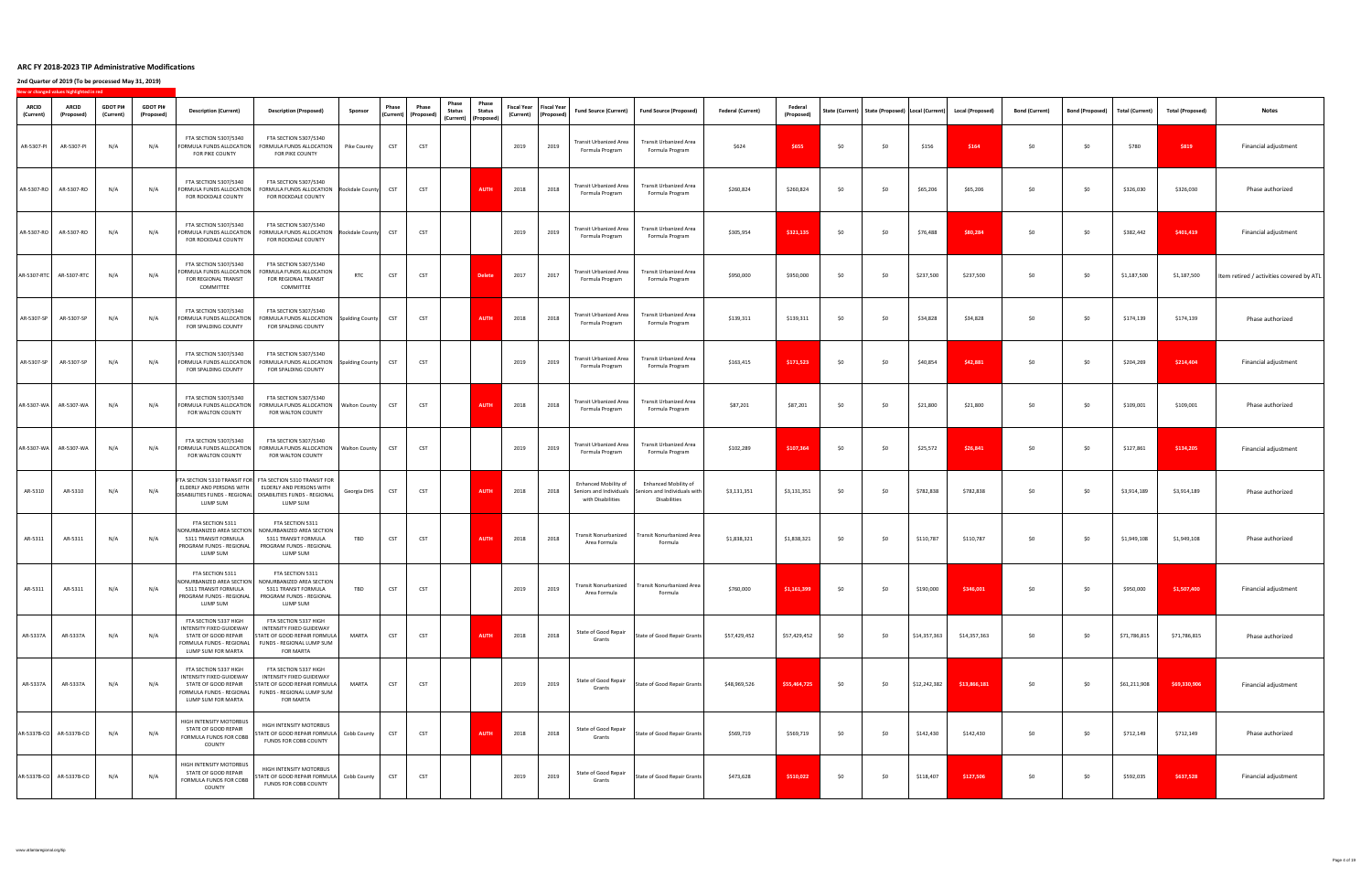|                           | New or changed values highlighted in red |                              |                               |                                                                                                                                    |                                                                                                                                                                                               |                      |                                                              |            |                                                                                                 |             |                                                       |                                                                             |                                                                             |                          |                              |      |     |              |                                                                         |                       |                        |                 |                         |                                                         |
|---------------------------|------------------------------------------|------------------------------|-------------------------------|------------------------------------------------------------------------------------------------------------------------------------|-----------------------------------------------------------------------------------------------------------------------------------------------------------------------------------------------|----------------------|--------------------------------------------------------------|------------|-------------------------------------------------------------------------------------------------|-------------|-------------------------------------------------------|-----------------------------------------------------------------------------|-----------------------------------------------------------------------------|--------------------------|------------------------------|------|-----|--------------|-------------------------------------------------------------------------|-----------------------|------------------------|-----------------|-------------------------|---------------------------------------------------------|
| <b>ARCID</b><br>(Current) | <b>ARCID</b><br>(Proposed)               | <b>GDOT PI#</b><br>(Current) | <b>GDOT PI#</b><br>(Proposed) | <b>Description (Current)</b>                                                                                                       | <b>Description (Proposed)</b>                                                                                                                                                                 | Sponsor              | <b>Phase</b><br>$\vert$ (Current) $\vert$ (Proposed) $\vert$ | Phase      | <b>Phase</b><br>Phase<br><b>Status</b><br><b>Status</b><br>$\vert$ (Current) $\vert$ (Proposed) |             | Fiscal Year   Fiscal Year  <br>(Current)   (Proposed) | <b>Fund Source (Current)</b>                                                | <b>Fund Source (Proposed)</b>                                               | <b>Federal (Current)</b> | <b>Federal</b><br>(Proposed) |      |     |              | State (Current)   State (Proposed)   Local (Current)   Local (Proposed) | <b>Bond (Current)</b> | <b>Bond (Proposed)</b> | Total (Current) | <b>Total (Proposed)</b> | <b>Notes</b>                                            |
| AR-5307-PI                | AR-5307-P                                | N/A                          | N/A                           | <b>FTA SECTION 5307/5340</b><br>FORMULA FUNDS ALLOCATION<br>FOR PIKE COUNTY                                                        | <b>FTA SECTION 5307/5340</b><br>FORMULA FUNDS ALLOCATION<br>FOR PIKE COUNTY                                                                                                                   | Pike County          | <b>CST</b>                                                   | <b>CST</b> |                                                                                                 | 2019        | 2019                                                  | Transit Urbanized Area<br>Formula Program                                   | <b>Transit Urbanized Area</b><br>Formula Program                            | \$624                    | \$655                        | \$0  | \$0 | \$156        | \$164                                                                   | \$0\$                 | \$0                    | \$780           | \$819                   | Financial adjustment                                    |
|                           | AR-5307-RO   AR-5307-RO                  | N/A                          | N/A                           | <b>FTA SECTION 5307/5340</b><br>FORMULA FUNDS ALLOCATION<br>FOR ROCKDALE COUNTY                                                    | <b>FTA SECTION 5307/5340</b><br>FORMULA FUNDS ALLOCATION<br>FOR ROCKDALE COUNTY                                                                                                               | Rockdale County      | <b>CST</b>                                                   | <b>CST</b> | <b>AUTH</b>                                                                                     | 2018        | 2018                                                  | <b>Transit Urbanized Area</b><br>Formula Program                            | <b>Transit Urbanized Area</b><br>Formula Program                            | \$260,824                | \$260,824                    | \$0  | \$0 | \$65,206     | \$65,206                                                                | \$0                   | \$0                    | \$326,030       | \$326,030               | Phase authorized                                        |
| AR-5307-RO                | AR-5307-RO                               | N/A                          | N/A                           | <b>FTA SECTION 5307/5340</b><br>FORMULA FUNDS ALLOCATION<br>FOR ROCKDALE COUNTY                                                    | <b>FTA SECTION 5307/5340</b><br>FORMULA FUNDS ALLOCATION   Rockdale County<br>FOR ROCKDALE COUNTY                                                                                             |                      | <b>CST</b>                                                   | <b>CST</b> |                                                                                                 | 2019        | 2019                                                  | Transit Urbanized Area<br>Formula Program                                   | <b>Transit Urbanized Area</b><br>Formula Program                            | \$305,954                | \$321,135                    | \$0  | \$0 | \$76,488     | \$80,284                                                                | \$0                   | \$0\$                  | \$382,442       | \$401,419               | Financial adjustment                                    |
|                           | AR-5307-RTC   AR-5307-RTC                | N/A                          | N/A                           | <b>FTA SECTION 5307/5340</b><br>FOR REGIONAL TRANSIT<br><b>COMMITTEE</b>                                                           | <b>FTA SECTION 5307/5340</b><br>  FORMULA FUNDS ALLOCATION   FORMULA FUNDS ALLOCATION<br>FOR REGIONAL TRANSIT<br><b>COMMITTEE</b>                                                             | <b>RTC</b>           | CST                                                          | <b>CST</b> |                                                                                                 | Delete 2017 | 2017                                                  | Formula Program                                                             | Transit Urbanized Area   Transit Urbanized Area<br>Formula Program          | \$950,000                | \$950,000                    | − ל∩ | \$0 | \$237,500    | \$237,500                                                               | \$0\$                 | \$0                    | $$1,187,500$    |                         | $$1,187,500$   Item retired / activities covered by ATL |
| AR-5307-SP                | AR-5307-SP                               | N/A                          | N/A                           | <b>FTA SECTION 5307/5340</b><br>FORMULA FUNDS ALLOCATIO<br>FOR SPALDING COUNTY                                                     | <b>FTA SECTION 5307/5340</b><br>FORMULA FUNDS ALLOCATION Spalding County<br>FOR SPALDING COUNTY                                                                                               |                      | <b>CST</b>                                                   | <b>CST</b> | <b>AUTH</b>                                                                                     | 2018        | 2018                                                  | <b>Transit Urbanized Area</b><br>Formula Program                            | <b>Transit Urbanized Area</b><br>Formula Program                            | \$139,311                | \$139,311                    | \$0  | \$0 | \$34,828     | \$34,828                                                                | \$0\$                 | \$0                    | \$174,139       | \$174,139               | Phase authorized                                        |
| AR-5307-SP                | AR-5307-SP                               | N/A                          |                               | <b>FTA SECTION 5307/5340</b><br>FORMULA FUNDS ALLOCATION<br>FOR SPALDING COUNTY                                                    | <b>FTA SECTION 5307/5340</b><br>FORMULA FUNDS ALLOCATION Spalding County<br>FOR SPALDING COUNTY                                                                                               |                      | <b>CST</b>                                                   | <b>CST</b> |                                                                                                 | 2019        | 2019                                                  | <b>Transit Urbanized Area</b><br>Formula Program                            | <b>Transit Urbanized Area</b><br>Formula Program                            | \$163,415                | \$171,523                    | \$0  | \$0 | \$40,854     | \$42,881                                                                | \$0\$                 | \$0                    | \$204,269       | \$214,404               | Financial adjustment                                    |
|                           | AR-5307-WA   AR-5307-WA                  | N/A                          | N/A                           | FTA SECTION 5307/5340<br>FORMULA FUNDS ALLOCATION<br>FOR WALTON COUNTY                                                             | <b>FTA SECTION 5307/5340</b><br>FORMULA FUNDS ALLOCATION<br>FOR WALTON COUNTY                                                                                                                 | I Walton County      | <b>CST</b>                                                   | <b>CST</b> | <b>AUTH</b>                                                                                     | 2018        | 2018                                                  | <b>Transit Urbanized Area</b><br>Formula Program                            | <b>Transit Urbanized Area</b><br>Formula Program                            | \$87,201                 | \$87,201                     | \$0  | \$0 | \$21,800     | \$21,800                                                                | \$0\$                 | \$0\$                  | \$109,001       | \$109,001               | Phase authorized                                        |
|                           | AR-5307-WA   AR-5307-WA                  | N/A                          |                               | <b>FTA SECTION 5307/5340</b><br>FORMULA FUNDS ALLOCATION<br>FOR WALTON COUNTY                                                      | FTA SECTION 5307/5340<br>FORMULA FUNDS ALLOCATION<br>FOR WALTON COUNTY                                                                                                                        | <b>Walton County</b> |                                                              | <b>CST</b> |                                                                                                 | 2019        | 2019                                                  | <b>Transit Urbanized Area</b><br>Formula Program                            | <b>Transit Urbanized Area</b><br>Formula Program                            | \$102,289                | \$107,364                    | \$0  | \$0 | \$25,572     | \$26,841                                                                | \$0\$                 | \$0                    | \$127,861       | \$134,205               | Financial adjustment                                    |
| AR-5310                   | AR-5310                                  | N/A                          | N/A                           | LUMP SUM                                                                                                                           | FTA SECTION 5310 TRANSIT FOR FTA SECTION 5310 TRANSIT FOR<br>ELDERLY AND PERSONS WITH   ELDERLY AND PERSONS WITH<br>DISABILITIES FUNDS - REGIONAL   DISABILITIES FUNDS - REGIONAL<br>LUMP SUM | Georgia DHS          | <b>CST</b>                                                   | <b>CST</b> | <b>AUTH</b>                                                                                     | 2018        | 2018                                                  | <b>Enhanced Mobility of</b><br>Seniors and Individuals<br>with Disabilities | <b>Enhanced Mobility of</b><br>Seniors and Individuals with<br>Disabilities | \$3,131,351              | \$3,131,351                  | \$0  | \$0 | \$782,838    | \$782,838                                                               | \$0                   | \$0\$                  | \$3,914,189     | \$3,914,189             | Phase authorized                                        |
| AR-5311                   | AR-5311                                  | N/A                          | N/A                           | FTA SECTION 5311<br>NONURBANIZED AREA SECTION<br>5311 TRANSIT FORMULA<br>PROGRAM FUNDS - REGIONAL<br>LUMP SUM                      | FTA SECTION 5311<br>NONURBANIZED AREA SECTION<br>5311 TRANSIT FORMULA<br><b>PROGRAM FUNDS - REGIONAL</b><br>LUMP SUM                                                                          | <b>TBD</b>           | <b>CST</b>                                                   | <b>CST</b> | <b>AUTH</b>                                                                                     | 2018        | 2018                                                  | Area Formula                                                                | Transit Nonurbanized   Transit Nonurbanized Area<br>Formula                 | \$1,838,321              | \$1,838,321                  | \$0  | \$0 | \$110,787    | \$110,787                                                               | \$0                   | \$0\$                  | \$1,949,108     | \$1,949,108             | Phase authorized                                        |
| AR-5311                   | AR-5311                                  | N/A                          | N/A                           | FTA SECTION 5311<br>NONURBANIZED AREA SECTION<br>5311 TRANSIT FORMULA<br>PROGRAM FUNDS - REGIONAL<br>LUMP SUM                      | FTA SECTION 5311<br>NONURBANIZED AREA SECTION<br>5311 TRANSIT FORMULA<br><b>PROGRAM FUNDS - REGIONAL</b><br>LUMP SUM                                                                          | <b>TBD</b>           | <b>CST</b>                                                   | <b>CST</b> |                                                                                                 | 2019        | 2019                                                  | <b>Transit Nonurbanized</b><br>Area Formula                                 | Transit Nonurbanized Area<br>Formula                                        | \$760,000                | \$1,161,399                  | \$0  | \$0 | \$190,000    | \$346,001                                                               | \$0                   | \$0                    | \$950,000       | \$1,507,400             | Financial adjustment                                    |
| AR-5337A                  | AR-5337A                                 | N/A                          | N/A                           | FTA SECTION 5337 HIGH<br><b>INTENSITY FIXED GUIDEWAY</b><br>STATE OF GOOD REPAIR<br>FORMULA FUNDS - REGIONAL<br>LUMP SUM FOR MARTA | FTA SECTION 5337 HIGH<br><b>INTENSITY FIXED GUIDEWAY</b><br>STATE OF GOOD REPAIR FORMULA<br>FUNDS - REGIONAL LUMP SUM<br><b>FOR MARTA</b>                                                     | <b>MARTA</b>         | <b>CST</b>                                                   | <b>CST</b> | <b>AUTH</b>                                                                                     | 2018        | 2018                                                  | State of Good Repair<br>Grants                                              | State of Good Repair Grants                                                 | \$57,429,452             | \$57,429,452                 | \$0  | \$0 | \$14,357,363 | \$14,357,363                                                            | \$0\$                 | \$0                    | \$71,786,815    | \$71,786,815            | Phase authorized                                        |
| AR-5337A                  | AR-5337A                                 | N/A                          | N/A                           | FTA SECTION 5337 HIGH<br><b>INTENSITY FIXED GUIDEWAY</b><br>STATE OF GOOD REPAIR<br>FORMULA FUNDS - REGIONAL<br>LUMP SUM FOR MARTA | FTA SECTION 5337 HIGH<br>INTENSITY FIXED GUIDEWAY<br><b>STATE OF GOOD REPAIR FORMULA</b><br>FUNDS - REGIONAL LUMP SUM<br><b>FOR MARTA</b>                                                     | <b>MARTA</b>         | <b>CST</b>                                                   | <b>CST</b> |                                                                                                 | 2019        | 2019                                                  | <b>State of Good Repair</b><br>Grants                                       | State of Good Repair Grants                                                 | \$48,969,526             | \$55,464,725                 | \$0  | \$0 | \$12,242,382 | \$13,866,181                                                            | \$0\$                 | \$0                    | \$61,211,908    | \$69,330,906            | Financial adjustment                                    |
|                           | AR-5337B-CO   AR-5337B-CO                | N/A                          | N/A                           | HIGH INTENSITY MOTORBUS<br>STATE OF GOOD REPAIR<br><b>FORMULA FUNDS FOR COBE</b><br><b>COUNTY</b>                                  | HIGH INTENSITY MOTORBUS<br>STATE OF GOOD REPAIR FORMULA Cobb County<br><b>FUNDS FOR COBB COUNTY</b>                                                                                           |                      | <b>CST</b>                                                   | <b>CST</b> | <b>AUTH</b>                                                                                     | 2018        | 2018                                                  | State of Good Repair<br>Grants                                              | State of Good Repair Grants                                                 | \$569,719                | \$569,719                    | \$0  | \$0 | \$142,430    | \$142,430                                                               | \$0                   | \$0\$                  | \$712,149       | \$712,149               | Phase authorized                                        |
|                           | AR-5337B-CO   AR-5337B-CO                | N/A                          | N/A                           | HIGH INTENSITY MOTORBUS<br>STATE OF GOOD REPAIR<br><b>FORMULA FUNDS FOR COBE</b><br><b>COUNTY</b>                                  | <b>HIGH INTENSITY MOTORBUS</b><br>STATE OF GOOD REPAIR FORMULA Cobb County<br><b>FUNDS FOR COBB COUNTY</b>                                                                                    |                      | <b>CST</b>                                                   | <b>CST</b> |                                                                                                 | 2019        | 2019                                                  | <b>State of Good Repair</b><br>Grants                                       | State of Good Repair Grants                                                 | \$473,628                | \$510,022                    | \$0  | \$0 | \$118,407    | \$127,506                                                               | \$0\$                 | \$0                    | \$592,035       | \$637,528               | Financial adjustment                                    |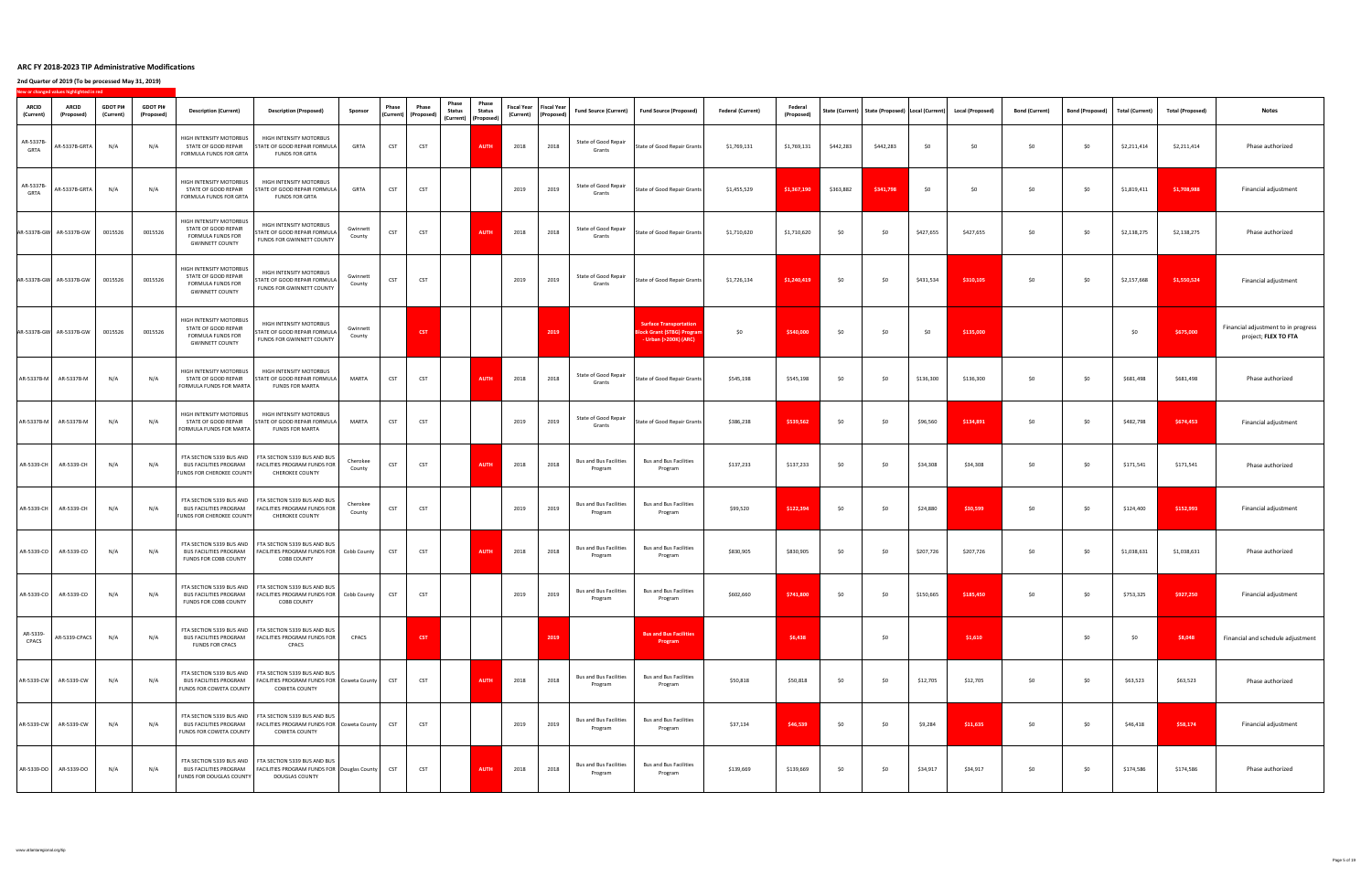|                           | New or changed values highlighted in red |                              |                               |                                                                                                              |                                                                                                                                                      |                            |              |                                                              |                        |                                                                        |      |                                                       |                                          |                                                                                             |                          |                              |           |           |           |                                                                         |                       |                        |                 |                         |                                                             |
|---------------------------|------------------------------------------|------------------------------|-------------------------------|--------------------------------------------------------------------------------------------------------------|------------------------------------------------------------------------------------------------------------------------------------------------------|----------------------------|--------------|--------------------------------------------------------------|------------------------|------------------------------------------------------------------------|------|-------------------------------------------------------|------------------------------------------|---------------------------------------------------------------------------------------------|--------------------------|------------------------------|-----------|-----------|-----------|-------------------------------------------------------------------------|-----------------------|------------------------|-----------------|-------------------------|-------------------------------------------------------------|
| <b>ARCID</b><br>(Current) | <b>ARCID</b><br>(Proposed)               | <b>GDOT PI#</b><br>(Current) | <b>GDOT PI#</b><br>(Proposed) | <b>Description (Current)</b>                                                                                 | <b>Description (Proposed)</b>                                                                                                                        | Sponsor                    | <b>Phase</b> | <b>Phase</b><br>$\vert$ (Current) $\vert$ (Proposed) $\vert$ | Phase<br><b>Status</b> | Phase<br><b>Status</b><br>$\vert$ (Current) $\vert$ (Proposed) $\vert$ |      | Fiscal Year   Fiscal Year  <br>(Current)   (Proposed) | <b>Fund Source (Current)</b>             | Fund Source (Proposed)                                                                      | <b>Federal (Current)</b> | <b>Federal</b><br>(Proposed) |           |           |           | State (Current)   State (Proposed)   Local (Current)   Local (Proposed) | <b>Bond (Current)</b> | <b>Bond (Proposed)</b> | Total (Current) | <b>Total (Proposed)</b> | <b>Notes</b>                                                |
| AR-5337B-<br><b>GRTA</b>  | AR-5337B-GRTA                            | N/A                          | N/A                           | HIGH INTENSITY MOTORBUS<br>STATE OF GOOD REPAIR<br>FORMULA FUNDS FOR GRTA                                    | <b>HIGH INTENSITY MOTORBUS</b><br>STATE OF GOOD REPAIR FORMULA<br><b>FUNDS FOR GRTA</b>                                                              | <b>GRTA</b>                | <b>CST</b>   | <b>CST</b>                                                   |                        | <b>AUTH</b>                                                            | 2018 | 2018                                                  | <b>State of Good Repair</b><br>Grants    | State of Good Repair Grants                                                                 | \$1,769,131              | \$1,769,131                  | \$442,283 | \$442,283 | \$0       | \$0                                                                     | \$0                   | \$0\$                  | \$2,211,414     | \$2,211,414             | Phase authorized                                            |
| AR-5337B-<br><b>GRTA</b>  | AR-5337B-GRTA                            | N/A                          | N/A                           | HIGH INTENSITY MOTORBUS<br>STATE OF GOOD REPAIR<br><b>FORMULA FUNDS FOR GRTA</b>                             | <b>HIGH INTENSITY MOTORBUS</b><br>STATE OF GOOD REPAIR FORMULA<br><b>FUNDS FOR GRTA</b>                                                              | <b>GRTA</b>                | <b>CST</b>   | <b>CST</b>                                                   |                        |                                                                        | 2019 | 2019                                                  | <b>State of Good Repair</b><br>Grants    | State of Good Repair Grants                                                                 | \$1,455,529              | \$1,367,190                  | \$363,882 | \$341,798 | \$0\$     | \$0                                                                     | \$0                   | \$0\$                  | \$1,819,411     | \$1,708,988             | Financial adjustment                                        |
|                           | AR-5337B-GW AR-5337B-GW                  | 0015526                      | 0015526                       | <b>HIGH INTENSITY MOTORBUS</b><br>STATE OF GOOD REPAIR<br><b>FORMULA FUNDS FOR</b><br><b>GWINNETT COUNTY</b> | HIGH INTENSITY MOTORBUS<br><b>ISTATE OF GOOD REPAIR FORMULA</b><br>FUNDS FOR GWINNETT COUNTY                                                         | Gwinnett<br>County         | <b>CST</b>   | <b>CST</b>                                                   |                        | <b>AUTH</b>                                                            | 2018 | 2018                                                  | State of Good Repair<br>Grants           | State of Good Repair Grants                                                                 | \$1,710,620              | \$1,710,620                  | \$0       | \$0       | \$427,655 | \$427,655                                                               | \$0                   | \$0\$                  | \$2,138,275     | \$2,138,275             | Phase authorized                                            |
|                           | $AR-5337B-GW$ $AR-5337B-GW$              | 0015526                      | 0015526                       | HIGH INTENSITY MOTORBUS<br>STATE OF GOOD REPAIR<br><b>FORMULA FUNDS FOR</b><br><b>GWINNETT COUNTY</b>        | HIGH INTENSITY MOTORBUS<br>STATE OF GOOD REPAIR FORMULA<br>FUNDS FOR GWINNETT COUNTY                                                                 | $\vert$ Gwinnett<br>County | <b>CST</b>   | <b>CST</b>                                                   |                        |                                                                        | 2019 | 2019                                                  | <b>State of Good Repair</b><br>Grants    | State of Good Repair Grants                                                                 | \$1,726,134              | \$1,240,419                  | 50        | \$0       | \$431,534 | \$310,105                                                               | <b>SO</b>             | \$0\$                  | \$2,157,668     | \$1,550,524             | Financial adjustment                                        |
|                           | AR-5337B-GW AR-5337B-GW                  | 0015526                      | 0015526                       | HIGH INTENSITY MOTORBUS<br>STATE OF GOOD REPAIR<br><b>FORMULA FUNDS FOR</b><br><b>GWINNETT COUNTY</b>        | HIGH INTENSITY MOTORBUS<br>STATE OF GOOD REPAIR FORMULA<br>FUNDS FOR GWINNETT COUNTY                                                                 | Gwinnett<br>County         |              | <b>CST</b>                                                   |                        |                                                                        |      | 2019                                                  |                                          | <b>Surface Transportation</b><br><b>Block Grant (STBG) Program</b><br>- Urban (>200K) (ARC) | \$0                      | \$540,000                    | \$0       | \$0       | \$0       | \$135,000                                                               |                       |                        | \$0             | \$675,000               | Financial adjustment to in progress<br>project; FLEX TO FTA |
|                           | $AR-5337B-M$ $AR-5337B-M$                | N/A                          | N/A                           | HIGH INTENSITY MOTORBUS<br>STATE OF GOOD REPAIR<br>FORMULA FUNDS FOR MARTA                                   | <b>HIGH INTENSITY MOTORBUS</b><br>STATE OF GOOD REPAIR FORMULA<br><b>FUNDS FOR MARTA</b>                                                             | <b>MARTA</b>               | <b>CST</b>   | <b>CST</b>                                                   |                        | <b>AUTH</b>                                                            | 2018 | 2018                                                  | <b>State of Good Repair</b><br>Grants    | State of Good Repair Grants                                                                 | \$545,198                | \$545,198                    | \$0       | \$0       | \$136,300 | \$136,300                                                               | \$0                   | \$0\$                  | \$681,498       | \$681,498               | Phase authorized                                            |
|                           | $AR-5337B-M$ $AR-5337B-M$                | N/A                          | N/A                           | HIGH INTENSITY MOTORBUS<br>STATE OF GOOD REPAIR<br>FORMULA FUNDS FOR MARTA                                   | <b>HIGH INTENSITY MOTORBUS</b><br>STATE OF GOOD REPAIR FORMULA<br><b>FUNDS FOR MARTA</b>                                                             | <b>MARTA</b>               | <b>CST</b>   | <b>CST</b>                                                   |                        |                                                                        | 2019 | 2019                                                  | State of Good Repair<br>Grants           | State of Good Repair Grants                                                                 | \$386,238                | \$539,562                    | \$0       | \$0       | \$96,560  | \$134,891                                                               | \$0                   | \$0\$                  | \$482,798       | \$674,453               | Financial adjustment                                        |
|                           | $AR-5339-CH$ $AR-5339-CH$                | N/A                          |                               | <b>FUNDS FOR CHEROKEE COUNTY</b>                                                                             | FTA SECTION 5339 BUS AND $\parallel$ FTA SECTION 5339 BUS AND BUS<br>BUS FACILITIES PROGRAM   FACILITIES PROGRAM FUNDS FOR<br><b>CHEROKEE COUNTY</b> | Cherokee<br>County         |              | <b>CST</b>                                                   |                        | <b>AUTH</b>                                                            | 2018 | 2018                                                  | Program                                  | Bus and Bus Facilities   Bus and Bus Facilities<br>Program                                  | $$137,233$ $$137,233$    |                              | $\zeta$   |           | \$34,308  | \$34,308                                                                |                       |                        | \$171,541       | \$171,541               | Phase authorized                                            |
| AR-5339-CH                | AR-5339-CH                               | N/A                          | N/A                           | <b>BUS FACILITIES PROGRAM</b><br><b>FUNDS FOR CHEROKEE COUNTY</b>                                            | FTA SECTION 5339 BUS AND   FTA SECTION 5339 BUS AND BUS<br>FACILITIES PROGRAM FUNDS FOR<br><b>CHEROKEE COUNTY</b>                                    | Cherokee<br>County         | <b>CST</b>   | <b>CST</b>                                                   |                        |                                                                        | 2019 | 2019                                                  | <b>Bus and Bus Facilities</b><br>Program | <b>Bus and Bus Facilities</b><br>Program                                                    | \$99,520                 | \$122,394                    | \$0       | \$0       | \$24,880  | \$30,599                                                                | \$0                   | \$0                    | \$124,400       | \$152,993               | Financial adjustment                                        |
| AR-5339-CO                | AR-5339-CO                               | N/A                          | N/A                           | <b>BUS FACILITIES PROGRAM</b><br><b>FUNDS FOR COBB COUNTY</b>                                                | FTA SECTION 5339 BUS AND FTA SECTION 5339 BUS AND BUS<br>  FACILITIES PROGRAM FUNDS FOR   Cobb County  <br><b>COBB COUNTY</b>                        |                            |              | <b>CST</b>                                                   |                        | <b>AUTH</b>                                                            | 2018 | 2018                                                  | <b>Bus and Bus Facilities</b><br>Program | <b>Bus and Bus Facilities</b><br>Program                                                    | \$830,905                | \$830,905                    | \$0       | \$0       | \$207,726 | \$207,726                                                               | \$0                   | \$0\$                  | \$1,038,631     | \$1,038,631             | Phase authorized                                            |
| AR-5339-CO                | AR-5339-CO                               | N/A                          | N/A                           | BUS FACILITIES PROGRAM<br><b>FUNDS FOR COBB COUNTY</b>                                                       | FTA SECTION 5339 BUS AND   FTA SECTION 5339 BUS AND BUS<br>  FACILITIES PROGRAM FUNDS FOR   Cobb County<br><b>COBB COUNTY</b>                        |                            |              | <b>CST</b>                                                   |                        |                                                                        | 2019 | 2019                                                  | <b>Bus and Bus Facilities</b><br>Program | <b>Bus and Bus Facilities</b><br>Program                                                    | \$602,660                | \$741,800                    | \$0       | \$0       | \$150,665 | \$185,450                                                               | \$0                   | \$0\$                  | \$753,325       | \$927,250               | Financial adjustment                                        |
| AR-5339-<br><b>CPACS</b>  | AR-5339-CPACS                            | N/A                          | N/A                           | <b>BUS FACILITIES PROGRAM</b><br><b>FUNDS FOR CPACS</b>                                                      | FTA SECTION 5339 BUS AND   FTA SECTION 5339 BUS AND BUS<br>  FACILITIES PROGRAM FUNDS FOR  <br><b>CPACS</b>                                          | <b>CPACS</b>               |              | <b>CST</b>                                                   |                        |                                                                        |      | 2019                                                  |                                          | <b>Bus and Bus Facilities</b><br>Program                                                    |                          | \$6,438                      |           | \$0       |           | \$1,610                                                                 |                       | \$0\$                  | \$0             | \$8,048                 | Financial and schedule adjustment                           |
|                           | AR-5339-CW   AR-5339-CW                  | N/A                          | N/A                           | <b>BUS FACILITIES PROGRAM</b><br>FUNDS FOR COWETA COUNTY                                                     | FTA SECTION 5339 BUS AND   FTA SECTION 5339 BUS AND BUS<br>  FACILITIES PROGRAM FUNDS FOR   Coweta County  <br><b>COWETA COUNTY</b>                  |                            | <b>CST</b>   | <b>CST</b>                                                   |                        | <b>AUTH</b>                                                            | 2018 | 2018                                                  | <b>Bus and Bus Facilities</b><br>Program | <b>Bus and Bus Facilities</b><br>Program                                                    | \$50,818                 | \$50,818                     | \$0       | \$0       | \$12,705  | \$12,705                                                                | \$0                   | \$0\$                  | \$63,523        | \$63,523                | Phase authorized                                            |
|                           | AR-5339-CW   AR-5339-CW                  | N/A                          | N/A                           | <b>BUS FACILITIES PROGRAM</b><br>FUNDS FOR COWETA COUNTY                                                     | FTA SECTION 5339 BUS AND   FTA SECTION 5339 BUS AND BUS<br>  FACILITIES PROGRAM FUNDS FOR   Coweta County  <br><b>COWETA COUNTY</b>                  |                            |              | <b>CST</b>                                                   |                        |                                                                        | 2019 | 2019                                                  | <b>Bus and Bus Facilities</b><br>Program | <b>Bus and Bus Facilities</b><br>Program                                                    | \$37,134                 | \$46,539                     | \$0       | \$0       | \$9,284   | \$11,635                                                                | \$0                   | \$0                    | \$46,418        | \$58,174                | Financial adjustment                                        |
|                           | AR-5339-DO   AR-5339-DO                  | N/A                          | N/A                           | <b>BUS FACILITIES PROGRAM</b><br><b>FUNDS FOR DOUGLAS COUNTY</b>                                             | FTA SECTION 5339 BUS AND   FTA SECTION 5339 BUS AND BUS<br>  FACILITIES PROGRAM FUNDS FOR   Douglas County  <br><b>DOUGLAS COUNTY</b>                |                            | <b>CST</b>   | <b>CST</b>                                                   |                        | <b>AUTH</b>                                                            | 2018 | 2018                                                  | <b>Bus and Bus Facilities</b><br>Program | <b>Bus and Bus Facilities</b><br>Program                                                    | \$139,669                | \$139,669                    | \$0       | \$0       | \$34,917  | \$34,917                                                                | \$0                   | \$0                    | \$174,586       | \$174,586               | Phase authorized                                            |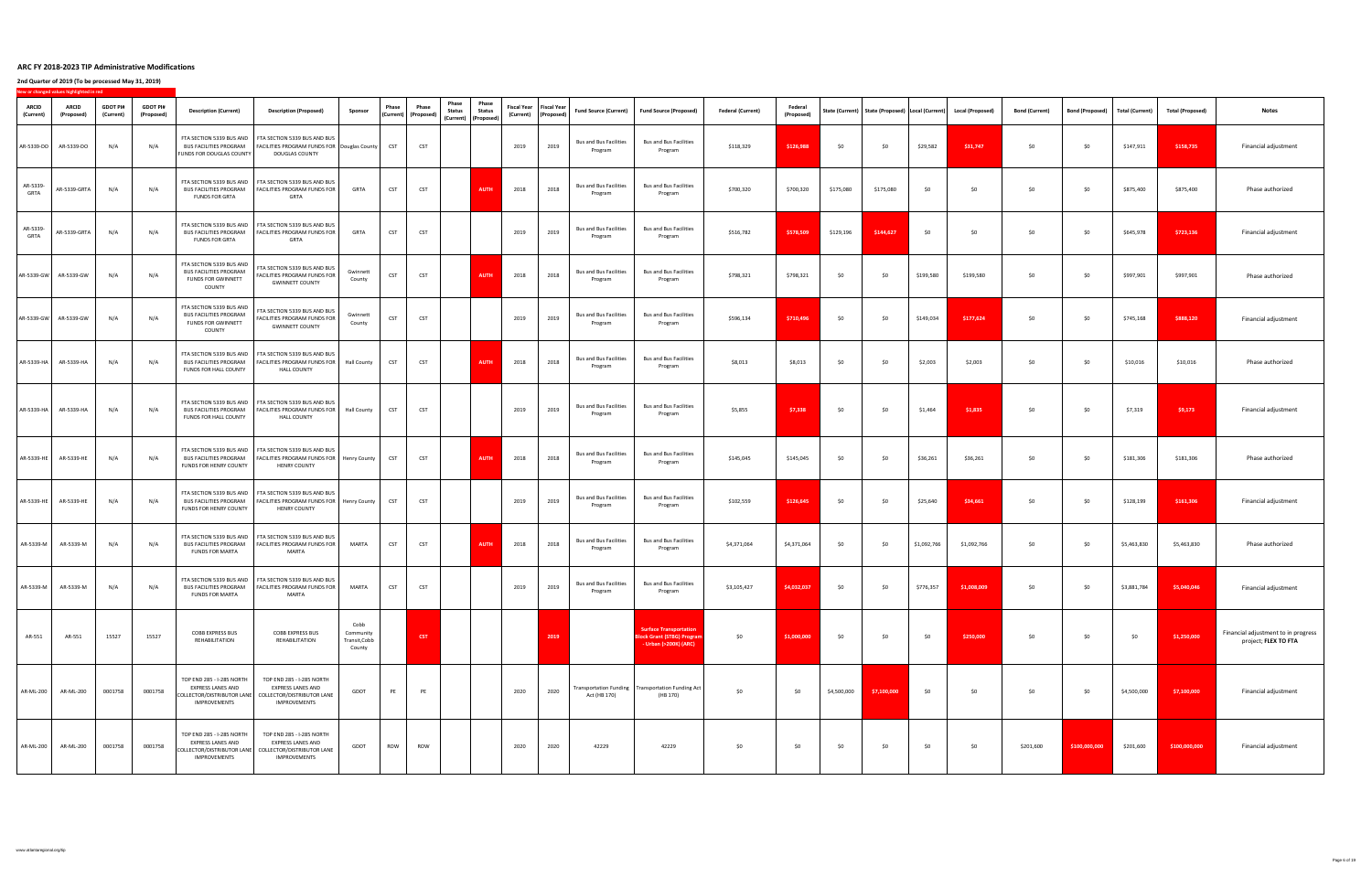|                           | New or changed values highlighted in red |                              |                               |                                                                                                                      |                                                                                                                                                          |                                              |              |                                                              |                                                                               |                        |                  |                                                                    |                                          |                                                                                             |                          |                              |             |                                                                         |             |             |                       |                                   |             |                         |                                                             |
|---------------------------|------------------------------------------|------------------------------|-------------------------------|----------------------------------------------------------------------------------------------------------------------|----------------------------------------------------------------------------------------------------------------------------------------------------------|----------------------------------------------|--------------|--------------------------------------------------------------|-------------------------------------------------------------------------------|------------------------|------------------|--------------------------------------------------------------------|------------------------------------------|---------------------------------------------------------------------------------------------|--------------------------|------------------------------|-------------|-------------------------------------------------------------------------|-------------|-------------|-----------------------|-----------------------------------|-------------|-------------------------|-------------------------------------------------------------|
| <b>ARCID</b><br>(Current) | <b>ARCID</b><br>(Proposed)               | <b>GDOT PI#</b><br>(Current) | <b>GDOT PI#</b><br>(Proposed) | <b>Description (Current)</b>                                                                                         | <b>Description (Proposed)</b>                                                                                                                            | Sponsor                                      | <b>Phase</b> | <b>Phase</b><br>$\vert$ (Current) $\vert$ (Proposed) $\vert$ | <b>Phase</b><br><b>Status</b><br>$\vert$ (Current) $\vert$ (Proposed) $\vert$ | Phase<br><b>Status</b> |                  | <b>Fiscal Year</b>   Fiscal Year  <br>(Current) $ $ (Proposed) $ $ |                                          | Fund Source (Current)   Fund Source (Proposed)                                              | <b>Federal (Current)</b> | <b>Federal</b><br>(Proposed) |             | State (Current)   State (Proposed)   Local (Current)   Local (Proposed) |             |             | <b>Bond (Current)</b> | Bond (Proposed)   Total (Current) |             | <b>Total (Proposed)</b> | <b>Notes</b>                                                |
| AR-5339-DO                | AR-5339-DO                               | N/A                          | N/A                           | <b>BUS FACILITIES PROGRAM</b><br><b>FUNDS FOR DOUGLAS COUNTY</b>                                                     | FTA SECTION 5339 BUS AND   FTA SECTION 5339 BUS AND BUS<br>  FACILITIES PROGRAM FUNDS FOR   Douglas County  <br><b>DOUGLAS COUNTY</b>                    |                                              |              | <b>CST</b>                                                   |                                                                               |                        | 2019             | 2019                                                               | <b>Bus and Bus Facilities</b><br>Program | <b>Bus and Bus Facilities</b><br>Program                                                    | \$118,329                | \$126,988                    | \$0         | \$0                                                                     | \$29,582    | \$31,747    | \$0                   | \$0\$                             | \$147,911   | \$158,735               | Financial adjustment                                        |
| AR-5339-<br><b>GRTA</b>   | AR-5339-GRTA                             | N/A                          | N/A                           | <b>BUS FACILITIES PROGRAM</b><br><b>FUNDS FOR GRTA</b>                                                               | FTA SECTION 5339 BUS AND   FTA SECTION 5339 BUS AND BUS<br>  FACILITIES PROGRAM FUNDS FOR  <br><b>GRTA</b>                                               | <b>GRTA</b>                                  | <b>CST</b>   | <b>CST</b>                                                   |                                                                               | <b>AUTH</b>            | 2018             | 2018                                                               | <b>Bus and Bus Facilities</b><br>Program | <b>Bus and Bus Facilities</b><br>Program                                                    | \$700,320                | \$700,320                    | \$175,080   | \$175,080                                                               | \$0         | \$0         | \$0                   | \$0\$                             | \$875,400   | \$875,400               | Phase authorized                                            |
| AR-5339-<br><b>GRTA</b>   | AR-5339-GRTA                             | N/A                          |                               | <b>BUS FACILITIES PROGRAM</b><br><b>FUNDS FOR GRTA</b>                                                               | FTA SECTION 5339 BUS AND   FTA SECTION 5339 BUS AND BUS<br>  FACILITIES PROGRAM FUNDS FOR  <br><b>GRTA</b>                                               | <b>GRTA</b>                                  | <b>CST</b>   | <b>CST</b>                                                   |                                                                               |                        | 2019             | 2019                                                               | <b>Bus and Bus Facilities</b><br>Program | <b>Bus and Bus Facilities</b><br>Program                                                    | \$516,782                | \$578,509                    | \$129,196   | \$144,627                                                               | \$0         | . ላገ        | \$0                   | \$0                               | \$645,978   | \$723,136               | Financial adjustment                                        |
|                           | AR-5339-GW   AR-5339-GW   N/A            |                              | N/A                           | <b>BUS FACILITIES PROGRAM</b><br><b>FUNDS FOR GWINNETT</b><br><b>COUNTY</b>                                          | FTA SECTION 5339 BUS AND   FTA SECTION 5339 BUS AND BUS  <br>  FACILITIES PROGRAM FUNDS FOR<br><b>GWINNETT COUNTY</b>                                    | Gwinnett<br>County                           | $CST$        | <b>CST</b>                                                   |                                                                               |                        | <b>AUTH</b> 2018 | 2018                                                               | Bus and Bus Facilities  <br>Program      | <b>Bus and Bus Facilities</b><br>Program                                                    | \$798,321                | \$798,321                    | <∩          | \$0\$                                                                   | \$199,580   | \$199,580   | \$0                   | \$0                               | \$997,901   | \$997,901               | Phase authorized                                            |
|                           |                                          | N/A                          | N/A                           | FTA SECTION 5339 BUS AND <sup>1</sup><br><b>BUS FACILITIES PROGRAM</b><br><b>FUNDS FOR GWINNETT</b><br><b>COUNTY</b> | FTA SECTION 5339 BUS AND BUS<br>FACILITIES PROGRAM FUNDS FOR<br><b>GWINNETT COUNTY</b>                                                                   | Gwinnett<br>County                           | <b>CST</b>   | <b>CST</b>                                                   |                                                                               |                        | 2019             | 2019                                                               | <b>Bus and Bus Facilities</b><br>Program | <b>Bus and Bus Facilities</b><br>Program                                                    | \$596,134                | \$710,496                    | \$0         | \$0                                                                     | \$149,034   | \$177,624   | \$0                   | \$0\$                             | \$745,168   | \$888,120               | Financial adjustment                                        |
| AR-5339-HA                | AR-5339-HA                               | N/A                          |                               | <b>BUS FACILITIES PROGRAM</b><br><b>FUNDS FOR HALL COUNTY</b>                                                        | FTA SECTION 5339 BUS AND   FTA SECTION 5339 BUS AND BUS<br>  FACILITIES PROGRAM FUNDS FOR   Hall County<br><b>HALL COUNTY</b>                            |                                              | <b>CST</b>   | <b>CST</b>                                                   |                                                                               | <b>AUTH</b>            | 2018             | 2018                                                               | <b>Bus and Bus Facilities</b><br>Program | <b>Bus and Bus Facilities</b><br>Program                                                    | \$8,013                  | \$8,013                      | \$0         | \$0                                                                     | \$2,003     | \$2,003     | \$0                   | \$0\$                             | \$10,016    | \$10,016                | Phase authorized                                            |
| AR-5339-HA                | AR-5339-HA                               | N/A                          | N/A                           | <b>BUS FACILITIES PROGRAM</b><br>FUNDS FOR HALL COUNTY                                                               | FTA SECTION 5339 BUS AND   FTA SECTION 5339 BUS AND BUS<br>  FACILITIES PROGRAM FUNDS FOR  <br><b>HALL COUNTY</b>                                        | <b>Hall County</b>                           |              | <b>CST</b>                                                   |                                                                               |                        | 2019             | 2019                                                               | <b>Bus and Bus Facilities</b><br>Program | <b>Bus and Bus Facilities</b><br>Program                                                    | \$5,855                  | \$7,338                      | \$0         | \$0                                                                     | \$1,464     | \$1,835     | \$0                   | \$0\$                             | \$7,319     | \$9,173                 | Financial adjustment                                        |
| AR-5339-HE                | AR-5339-HE                               | N/A                          |                               | FUNDS FOR HENRY COUNTY                                                                                               | FTA SECTION 5339 BUS AND   FTA SECTION 5339 BUS AND BUS<br>BUS FACILITIES PROGRAM   FACILITIES PROGRAM FUNDS FOR   Henry County  <br><b>HENRY COUNTY</b> |                                              |              | <b>CST</b>                                                   |                                                                               | <b>AUTH</b>            | 2018             | 2018                                                               | <b>Bus and Bus Facilities</b><br>Program | <b>Bus and Bus Facilities</b><br>Program                                                    | \$145,045                | \$145,045                    | \$0         | \$0                                                                     | \$36,261    | \$36,261    | \$0                   | \$0\$                             | \$181,306   | \$181,306               | Phase authorized                                            |
| AR-5339-HE                | AR-5339-HI                               | N/A                          | N/A                           | <b>BUS FACILITIES PROGRAM</b><br><b>FUNDS FOR HENRY COUNTY</b>                                                       | FTA SECTION 5339 BUS AND   FTA SECTION 5339 BUS AND BUS<br>  FACILITIES PROGRAM FUNDS FOR   Henry County<br><b>HENRY COUNTY</b>                          |                                              |              | <b>CST</b>                                                   |                                                                               |                        | 2019             | 2019                                                               | <b>Bus and Bus Facilities</b><br>Program | <b>Bus and Bus Facilities</b><br>Program                                                    | \$102,559                | \$126,645                    | \$0         | \$0                                                                     | \$25,640    | \$34,661    | \$0                   | \$0\$                             | \$128,199   | \$161,306               | Financial adjustment                                        |
| AR-5339-M                 | AR-5339-M                                | N/A                          | N/A                           | <b>BUS FACILITIES PROGRAM</b><br><b>FUNDS FOR MARTA</b>                                                              | FTA SECTION 5339 BUS AND   FTA SECTION 5339 BUS AND BUS<br>  FACILITIES PROGRAM FUNDS FOR  <br>MARTA                                                     | <b>MARTA</b>                                 | <b>CST</b>   | <b>CST</b>                                                   |                                                                               | <b>AUTH</b>            | 2018             | 2018                                                               | <b>Bus and Bus Facilities</b><br>Program | <b>Bus and Bus Facilities</b><br>Program                                                    | \$4,371,064              | \$4,371,064                  | \$0         | \$0                                                                     | \$1,092,766 | \$1,092,766 | \$0                   | \$0\$                             | \$5,463,830 | \$5,463,830             | Phase authorized                                            |
| AR-5339-M                 | AR-5339-M                                | N/A                          | N/A                           | <b>BUS FACILITIES PROGRAM</b><br><b>FUNDS FOR MARTA</b>                                                              | FTA SECTION 5339 BUS AND   FTA SECTION 5339 BUS AND BUS<br>  FACILITIES PROGRAM FUNDS FOR  <br>MARTA                                                     | MARTA                                        | <b>CST</b>   | <b>CST</b>                                                   |                                                                               |                        | 2019             | 2019                                                               | <b>Bus and Bus Facilities</b><br>Program | <b>Bus and Bus Facilities</b><br>Program                                                    | \$3,105,427              | \$4,032,037                  | \$0         | \$0                                                                     | \$776,357   | \$1,008,009 | \$0                   | \$0                               | \$3,881,784 | \$5,040,046             | Financial adjustment                                        |
| AR-551                    | AR-551                                   | 15527                        | 15527                         | <b>COBB EXPRESS BUS</b><br>REHABILITATION                                                                            | <b>COBB EXPRESS BUS</b><br>REHABILITATION                                                                                                                | Cobb<br>Community<br>Transit, Cobb<br>County |              | <b>CST</b>                                                   |                                                                               |                        |                  | 2019                                                               |                                          | <b>Surface Transportation</b><br><b>Block Grant (STBG) Program</b><br>- Urban (>200K) (ARC) | \$0                      | \$1,000,000                  | \$0         | \$0                                                                     | \$0         | \$250,000   | \$0                   | \$0                               | \$0         | \$1,250,000             | Financial adjustment to in progress<br>project; FLEX TO FTA |
| <b>AR-ML-200</b>          | <b>AR-ML-200</b>                         | 0001758                      | 0001758                       | TOP END 285 - I-285 NORTH<br><b>EXPRESS LANES AND</b><br>COLLECTOR/DISTRIBUTOR LANE<br><b>IMPROVEMENTS</b>           | TOP END 285 - I-285 NORTH<br><b>EXPRESS LANES AND</b><br><b>COLLECTOR/DISTRIBUTOR LANE</b><br><b>IMPROVEMENTS</b>                                        | <b>GDOT</b>                                  |              | PE                                                           |                                                                               |                        | 2020             | 2020                                                               | Act (HB 170)                             | Transportation Funding   Transportation Funding Act<br>(HB 170)                             | \$0                      | \$0                          | \$4,500,000 | \$7,100,000                                                             | \$0\$       | \$0         | \$0                   | \$0                               | \$4,500,000 | \$7,100,000             | Financial adjustment                                        |
| AR-ML-200                 | <b>AR-ML-200</b>                         | 0001758                      | 0001758                       | TOP END 285 - I-285 NORTH<br><b>EXPRESS LANES AND</b><br>COLLECTOR/DISTRIBUTOR LANE<br><b>IMPROVEMENTS</b>           | TOP END 285 - I-285 NORTH<br><b>EXPRESS LANES AND</b><br>COLLECTOR/DISTRIBUTOR LANE<br><b>IMPROVEMENTS</b>                                               | GDOT                                         | <b>ROW</b>   | <b>ROW</b>                                                   |                                                                               |                        | 2020             | 2020                                                               | 42229                                    | 42229                                                                                       | \$0                      | \$0                          | \$0         | \$0                                                                     | \$0         | \$0         | \$201,600             | \$100,000,000                     | \$201,600   | \$100,000,000           | Financial adjustment                                        |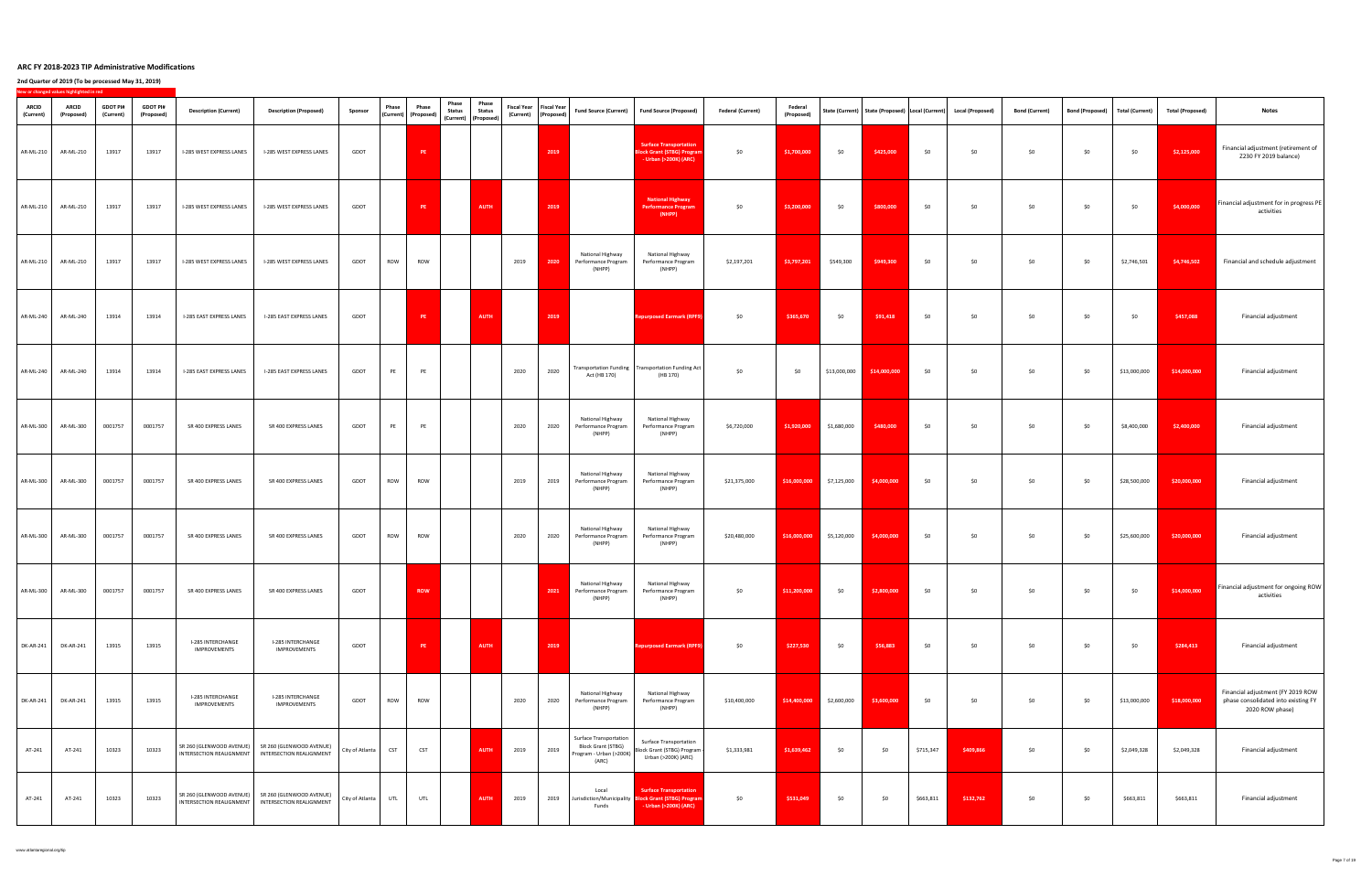|                           | New or changed values highlighted in red |                              |                               |                                                 |                                                                                                                          |                 |            |                                                       |                                                                               |                               |                           |                        |                                                                                                |                                                                                                         |                                                                                                                                    |                              |                                                                            |              |           |                                                                        |                       |                                   |                   |                         |                                                                                             |
|---------------------------|------------------------------------------|------------------------------|-------------------------------|-------------------------------------------------|--------------------------------------------------------------------------------------------------------------------------|-----------------|------------|-------------------------------------------------------|-------------------------------------------------------------------------------|-------------------------------|---------------------------|------------------------|------------------------------------------------------------------------------------------------|---------------------------------------------------------------------------------------------------------|------------------------------------------------------------------------------------------------------------------------------------|------------------------------|----------------------------------------------------------------------------|--------------|-----------|------------------------------------------------------------------------|-----------------------|-----------------------------------|-------------------|-------------------------|---------------------------------------------------------------------------------------------|
| <b>ARCID</b><br>(Current) | <b>ARCID</b><br>(Proposed)               | <b>GDOT PI#</b><br>(Current) | <b>GDOT PI#</b><br>(Proposed) | <b>Description (Current)</b>                    | <b>Description (Proposed)</b>                                                                                            | Sponsor         | Phase      | Phase<br>$\vert$ (Current) $\vert$ (Proposed) $\vert$ | <b>Phase</b><br><b>Status</b><br>$\vert$ (Current) $\vert$ (Proposed) $\vert$ | <b>Phase</b><br><b>Status</b> | Fiscal Year   Fiscal Year | (Current)   (Proposed) |                                                                                                | Fund Source (Current)   Fund Source (Proposed)                                                          | <b>Federal (Current)</b>                                                                                                           | <b>Federal</b><br>(Proposed) |                                                                            |              |           | State (Current)   State (Proposed)  Local (Current)   Local (Proposed) | <b>Bond (Current)</b> | Bond (Proposed)   Total (Current) |                   | <b>Total (Proposed)</b> | <b>Notes</b>                                                                                |
| AR-ML-210                 | AR-ML-210                                | 13917                        | 13917                         | I-285 WEST EXPRESS LANES                        | I-285 WEST EXPRESS LANES                                                                                                 | GDOT            |            | <b>PE</b>                                             |                                                                               |                               |                           | 2019                   |                                                                                                | <b>Surface Transportation</b><br><b>Block Grant (STBG) Program</b><br>- Urban (>200K) (ARC)             | \$0                                                                                                                                | \$1,700,000                  | \$0                                                                        | \$425,000    | \$0       | \$0                                                                    | \$0                   | \$0                               | \$0               | \$2,125,000             | Financial adjustment (retirement of<br>Z230 FY 2019 balance)                                |
| <b>AR-ML-210</b>          | AR-ML-210                                | 13917                        | 13917                         | I-285 WEST EXPRESS LANES                        | I-285 WEST EXPRESS LANES                                                                                                 | GDOT            |            | <b>PE</b>                                             |                                                                               | <b>AUTH</b>                   |                           | 2019                   |                                                                                                | <b>National Highway</b><br><b>Performance Program</b><br>(NHPP)                                         | \$0                                                                                                                                | \$3,200,000                  | \$0                                                                        | \$800,000    | \$0       | \$0                                                                    | \$0                   | \$0                               | \$0               | \$4,000,000             | Financial adjustment for in progress PE<br>activities                                       |
| AR-ML-210                 | AR-ML-210                                | 13917                        | 13917                         | I-285 WEST EXPRESS LANES                        | I-285 WEST EXPRESS LANES                                                                                                 | GDOT            | <b>ROW</b> | <b>ROW</b>                                            |                                                                               |                               | 2019                      | 2020                   | National Highway<br>Performance Program<br>(NHPP)                                              | National Highway<br>Performance Program<br>(NHPP)                                                       | \$2,197,201                                                                                                                        | \$3,797,201                  | \$549,300                                                                  | \$949,300    | \$0       | \$0                                                                    | \$0                   | \$0\$                             | \$2,746,501       | \$4,746,502             | Financial and schedule adjustment                                                           |
| AR-ML-240                 | AR-ML-240                                | 13914                        | 13914                         | <b>I-285 EAST EXPRESS LANES</b>                 | I-285 EAST EXPRESS LANES                                                                                                 | GDOT            |            | <b>PE</b>                                             |                                                                               | <b>AUTH</b>                   |                           | 2019                   |                                                                                                | <b>Repurposed Earmark (RPF9)</b>                                                                        | \$0                                                                                                                                | \$365,670                    | \$0\$                                                                      | \$91,418     | \$0\$     | \$0\$                                                                  | \$0\$                 | \$0                               | \$0               | \$457,088               | Financial adjustment                                                                        |
| AR-ML-240                 | <b>AR-ML-240</b>                         | 13914                        | 13914                         | <b>I-285 EAST EXPRESS LANES</b>                 | <b>I-285 EAST EXPRESS LANES</b>                                                                                          | GDOT            | PE         | PE                                                    |                                                                               |                               | 2020                      | 2020                   | Act (HB 170)                                                                                   | Transportation Funding   Transportation Funding Act  <br>(HB 170)                                       | \$0                                                                                                                                | \$0                          | \$13,000,000                                                               | \$14,000,000 | \$0       | \$0                                                                    | \$0                   | \$0                               | \$13,000,000      | \$14,000,000            | Financial adjustment                                                                        |
| AR-ML-300                 | AR-ML-300                                | 0001757                      | 0001757                       | SR 400 EXPRESS LANES                            | SR 400 EXPRESS LANES                                                                                                     | GDOT            | PE         | PE                                                    |                                                                               |                               | 2020                      | 2020                   | National Highway<br>Performance Program<br>(NHPP)                                              | National Highway<br>Performance Program<br>(NHPP)                                                       | \$6,720,000                                                                                                                        |                              | $\begin{array}{c c} \text{ $61,920,000} & \text{ $51,680,000} \end{array}$ | \$480,000    | \$0       | \$0                                                                    | \$0                   | \$0                               | \$8,400,000       | \$2,400,000             | Financial adjustment                                                                        |
| AR-ML-300                 | AR-ML-300                                | 0001757                      | 0001757                       | SR 400 EXPRESS LANES                            | SR 400 EXPRESS LANES                                                                                                     | GDOT            | <b>ROW</b> | <b>ROW</b>                                            |                                                                               |                               | 2019                      | 2019                   | National Highway<br>Performance Program<br>(NHPP)                                              | National Highway<br>Performance Program<br>(NHPP)                                                       | \$21,375,000                                                                                                                       |                              | $$16,000,000$ \$7,125,000                                                  | \$4,000,000  | \$0       | \$0                                                                    | \$0                   | \$0                               | \$28,500,000      | \$20,000,000            | Financial adjustment                                                                        |
| AR-ML-300                 | <b>AR-ML-300</b>                         | 0001757                      | 0001757                       | SR 400 EXPRESS LANES                            | SR 400 EXPRESS LANES                                                                                                     | GDOT            | <b>ROW</b> | <b>ROW</b>                                            |                                                                               |                               | 2020                      | 2020                   | National Highway<br>Performance Program<br>(NHPP)                                              | National Highway<br>Performance Program<br>(NHPP)                                                       | \$20,480,000                                                                                                                       |                              | \$16,000,000 \$5,120,000                                                   | \$4,000,000  | \$0       | \$0\$                                                                  | \$0                   | \$0                               | \$25,600,000      | \$20,000,000            | Financial adjustment                                                                        |
| AR-ML-300                 | <b>AR-ML-300</b>                         | 0001757                      | 0001757                       | SR 400 EXPRESS LANES                            | SR 400 EXPRESS LANES                                                                                                     | GDOT            |            | <b>ROW</b>                                            |                                                                               |                               |                           | 2021                   | National Highway<br>Performance Program<br>(NHPP)                                              | National Highway<br>Performance Program<br>(NHPP)                                                       | \$0                                                                                                                                | \$11,200,000                 | \$0                                                                        | \$2,800,000  | \$0       | \$0                                                                    | \$0                   | \$0                               | \$0               | \$14,000,000            | Financial adjustment for ongoing ROW<br>activities                                          |
|                           | DK-AR-241 DK-AR-241 13915                |                              | 13915                         | <b>I-285 INTERCHANGE</b><br><b>IMPROVEMENTS</b> | <b>I-285 INTERCHANGE</b><br><b>IMPROVEMENTS</b>                                                                          | <b>GDOT</b>     |            | <b>PE</b>                                             |                                                                               | <b>AUTH</b>                   |                           | 2019                   |                                                                                                | <b>Repurposed Earmark (RPF9)</b>                                                                        | $\begin{array}{ccccccccccccc}\n & & & & & \texttt{S227,530} & & & \texttt{S0} & & & \texttt{S56,883} & & \texttt{S0}\n\end{array}$ |                              |                                                                            |              |           | \$0                                                                    | \$0                   | \$0                               | $\frac{1}{2}$ \$0 | \$284,413               | Financial adjustment                                                                        |
| <b>DK-AR-241</b>          | <b>DK-AR-241</b>                         | 13915                        | 13915                         | I-285 INTERCHANGE<br>IMPROVEMENTS               | I-285 INTERCHANGE<br>IMPROVEMENTS                                                                                        | GDOT            | <b>ROW</b> | ROW                                                   |                                                                               |                               | 2020                      | 2020                   | National Highway<br>Performance Program<br>(NHPP)                                              | National Highway<br>Performance Program<br>(NHPP)                                                       | \$10,400,000                                                                                                                       | \$14,400,000                 | \$2,600,000                                                                | \$3,600,000  | \$0       | \$0                                                                    | \$0                   | \$0                               | \$13,000,000      | \$18,000,000            | Financial adjustment (FY 2019 ROW<br>phase consolidated into existing FY<br>2020 ROW phase) |
| AT-241                    | AT-241                                   | 10323                        | 10323                         |                                                 | $\mid$ SR 260 (GLENWOOD AVENUE) $\mid$ SR 260 (GLENWOOD AVENUE)<br>  INTERSECTION REALIGNMENT   INTERSECTION REALIGNMENT | City of Atlanta | <b>CST</b> | <b>CST</b>                                            |                                                                               | <b>AUTH</b>                   | 2019                      | 2019                   | <b>Surface Transportation</b><br><b>Block Grant (STBG)</b><br>Program - Urban (>200K)<br>(ARC) | <b>Surface Transportation</b><br>Block Grant (STBG) Program  <br>Urban (>200K) (ARC)                    | \$1,333,981                                                                                                                        | \$1,639,462                  | \$0                                                                        | \$0          | \$715,347 | \$409,866                                                              | \$0                   | \$0                               | \$2,049,328       | \$2,049,328             | Financial adjustment                                                                        |
| AT-241                    | AT-241                                   | 10323                        | 10323                         | INTERSECTION REALIGNMENT                        | $\mid$ SR 260 (GLENWOOD AVENUE) $\mid$ SR 260 (GLENWOOD AVENUE)<br>INTERSECTION REALIGNMENT                              | City of Atlanta | UTL        | UTL                                                   |                                                                               | <b>AUTH</b>                   | 2019                      | 2019                   | Local<br>Funds                                                                                 | Surface Transportation<br>Jurisdiction/Municipality Block Grant (STBG) Program<br>- Urban (>200K) (ARC) | \$0                                                                                                                                | \$531,049                    | \$0                                                                        | \$0          | \$663,811 | \$132,762                                                              | \$0                   | \$0                               | \$663,811         | \$663,811               | Financial adjustment                                                                        |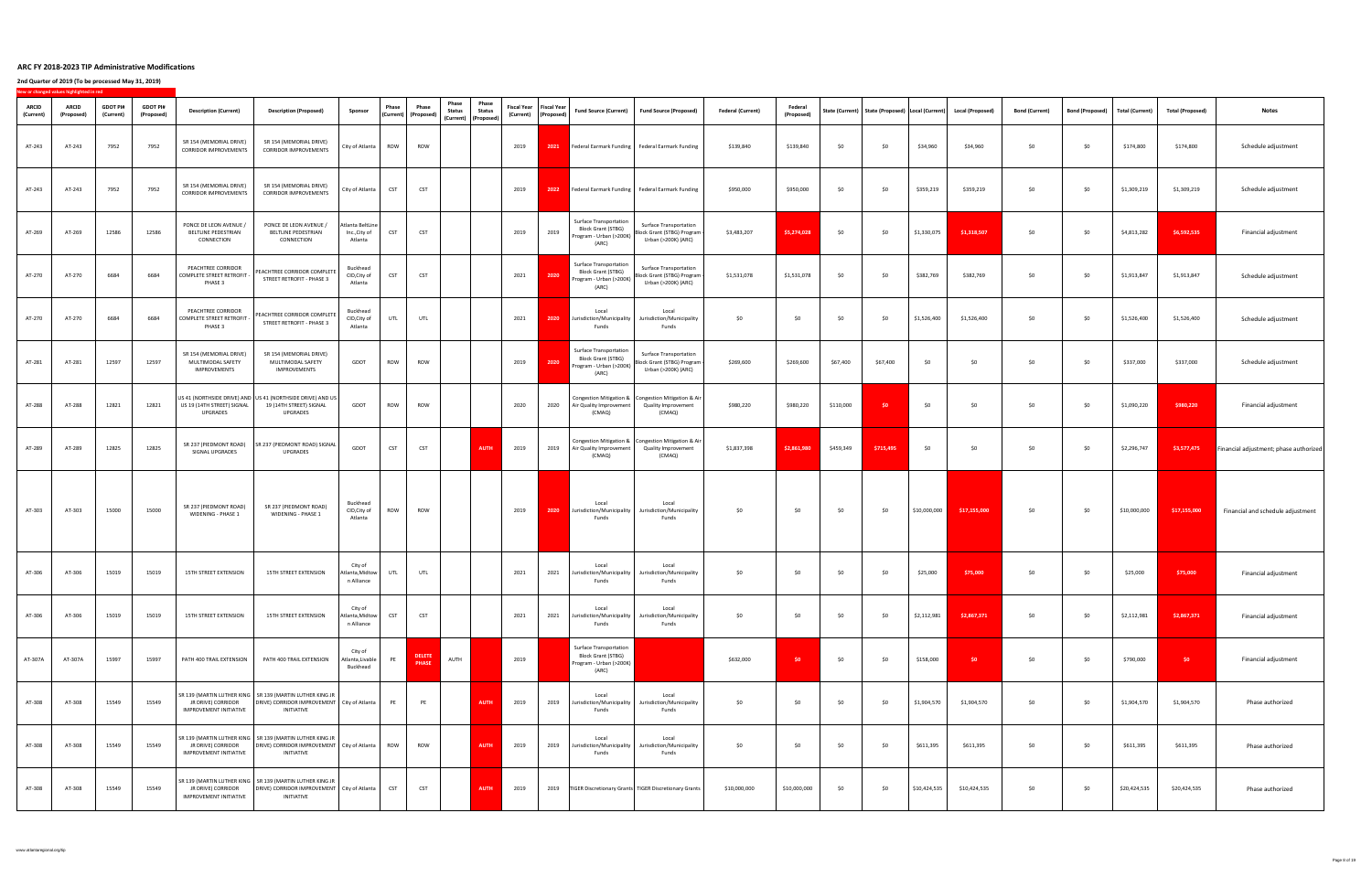|                           | New or changed values highlighted in red |                              |                               |                                                                         |                                                                                                                                        |                                                                                                |                                                                              |                                                                                                                               |      |                                                       |                                                                                                |                                                                                                      |                          |                              |           |           |              |                                                                         |                       |                        |                        |                         |                                        |
|---------------------------|------------------------------------------|------------------------------|-------------------------------|-------------------------------------------------------------------------|----------------------------------------------------------------------------------------------------------------------------------------|------------------------------------------------------------------------------------------------|------------------------------------------------------------------------------|-------------------------------------------------------------------------------------------------------------------------------|------|-------------------------------------------------------|------------------------------------------------------------------------------------------------|------------------------------------------------------------------------------------------------------|--------------------------|------------------------------|-----------|-----------|--------------|-------------------------------------------------------------------------|-----------------------|------------------------|------------------------|-------------------------|----------------------------------------|
| <b>ARCID</b><br>(Current) | <b>ARCID</b><br>(Proposed)               | <b>GDOT PI#</b><br>(Current) | <b>GDOT PI#</b><br>(Proposed) | <b>Description (Current)</b>                                            | <b>Description (Proposed)</b>                                                                                                          | Sponsor                                                                                        | <b>Phase</b><br><b>Phase</b><br>$\vert$ (Current) $\vert$ (Proposed) $\vert$ | <b>Phase</b><br>Phase<br><b>Status</b><br><b>Status</b><br>$\vert$ (Current) $\vert$ (Proposed) <sup><math>\vert</math></sup> |      | Fiscal Year   Fiscal Year  <br>(Current)   (Proposed) | <b>Fund Source (Current)</b>                                                                   | Fund Source (Proposed)                                                                               | <b>Federal (Current)</b> | <b>Federal</b><br>(Proposed) |           |           |              | State (Current)   State (Proposed)   Local (Current)   Local (Proposed) | <b>Bond (Current)</b> | <b>Bond (Proposed)</b> | <b>Total (Current)</b> | <b>Total (Proposed)</b> | <b>Notes</b>                           |
| AT-243                    | AT-243                                   | 7952                         | 7952                          | SR 154 (MEMORIAL DRIVE)<br><b>CORRIDOR IMPROVEMENTS</b>                 | SR 154 (MEMORIAL DRIVE)<br><b>CORRIDOR IMPROVEMENTS</b>                                                                                | City of Atlanta   ROW                                                                          | <b>ROW</b>                                                                   |                                                                                                                               | 2019 | 2021                                                  |                                                                                                | Federal Earmark Funding   Federal Earmark Funding                                                    | \$139,840                | \$139,840                    | \$0       | \$0       | \$34,960     | \$34,960                                                                | \$0\$                 | \$0\$                  | \$174,800              | \$174,800               | Schedule adjustment                    |
| AT-243                    | AT-243                                   | 7952                         | 7952                          | SR 154 (MEMORIAL DRIVE)<br><b>CORRIDOR IMPROVEMENTS</b>                 | SR 154 (MEMORIAL DRIVE)<br><b>CORRIDOR IMPROVEMENTS</b>                                                                                | City of Atlanta                                                                                | <b>CST</b><br><b>CST</b>                                                     |                                                                                                                               | 2019 | 2022                                                  |                                                                                                | Federal Earmark Funding   Federal Earmark Funding                                                    | \$950,000                | \$950,000                    | \$0       | \$0       | \$359,219    | \$359,219                                                               | \$0                   | \$0                    | \$1,309,219            | \$1,309,219             | Schedule adjustment                    |
| AT-269                    | AT-269                                   | 12586                        | 12586                         | <b>PONCE DE LEON AVENUE</b><br>BELTLINE PEDESTRIAN<br><b>CONNECTION</b> | PONCE DE LEON AVENUE /<br>BELTLINE PEDESTRIAN<br><b>CONNECTION</b>                                                                     | Atlanta BeltLine<br>Inc., City of<br>Atlanta                                                   | <b>CST</b><br><b>CST</b>                                                     |                                                                                                                               | 2019 | 2019                                                  | <b>Surface Transportation</b><br><b>Block Grant (STBG)</b><br>Program - Urban (>200K)<br>(ARC) | <b>Surface Transportation</b><br>Block Grant (STBG) Program  <br>Urban (>200K) (ARC)                 | \$3,483,207              | \$5,274,028                  | \$0       | \$0       | \$1,330,075  | \$1,318,507                                                             | \$0\$                 | \$0\$                  | \$4,813,282            | \$6,592,535             | Financial adjustment                   |
| AT-270                    | AT-270                                   | 6684                         | 6684                          | PEACHTREE CORRIDOR<br>  COMPLETE STREET RETROFIT -  <br>PHASE 3         | PEACHTREE CORRIDOR COMPLETE<br>STREET RETROFIT - PHASE 3                                                                               | <b>Buckhead</b><br>CID, City of $\Big \begin{array}{c} \text{CST} \end{array}\Big $<br>Atlanta | <b>CST</b>                                                                   |                                                                                                                               | 2021 | 2020                                                  | <b>Surface Transportation</b><br><b>Block Grant (STBG)</b><br>Program - Urban (>200K)<br>(ARC) | <b>Surface Transportation</b><br>Block Grant (STBG) Program $\left\{ \right.$<br>Urban (>200K) (ARC) | \$1,531,078              | \$1,531,078                  |           | \$0       | \$382,769    | \$382,769                                                               | \$0\$                 | \$0                    | \$1,913,847            | \$1,913,847             | Schedule adjustment                    |
| AT-270                    | AT-270                                   | 6684                         | 6684                          | PEACHTREE CORRIDOR<br><b>COMPLETE STREET RETROFIT</b><br>PHASE 3        | PEACHTREE CORRIDOR COMPLETE<br><b>STREET RETROFIT - PHASE 3</b>                                                                        | Buckhead<br>CID, City of<br>Atlanta                                                            | UTL<br>UTL                                                                   |                                                                                                                               | 2021 | 2020                                                  | Local<br>Jurisdiction/Municipality<br>Funds                                                    | Local<br>Jurisdiction/Municipality<br>Funds                                                          | \$0\$                    | \$0                          | \$0       | \$0       | \$1,526,400  | \$1,526,400                                                             | 50 <sup>°</sup>       | \$0\$                  | \$1,526,400            | \$1,526,400             | Schedule adjustment                    |
| AT-281                    | AT-281                                   | 12597                        | 12597                         | SR 154 (MEMORIAL DRIVE)<br>MULTIMODAL SAFETY<br><b>IMPROVEMENTS</b>     | SR 154 (MEMORIAL DRIVE)<br>MULTIMODAL SAFETY<br><b>IMPROVEMENTS</b>                                                                    | GDOT                                                                                           | <b>ROW</b><br>ROW                                                            |                                                                                                                               | 2019 | 2020                                                  | <b>Surface Transportation</b><br><b>Block Grant (STBG)</b><br>Program - Urban (>200K)<br>(ARC) | <b>Surface Transportation</b><br>Block Grant (STBG) Program  <br>Urban (>200K) (ARC)                 | \$269,600                | \$269,600                    | \$67,400  | \$67,400  | \$0          | \$0                                                                     | \$0\$                 | \$0                    | \$337,000              | \$337,000               | Schedule adjustment                    |
| AT-288                    | AT-288                                   | 12821                        | 12821                         | US 19 (14TH STREET) SIGNAL<br><b>UPGRADES</b>                           | US 41 (NORTHSIDE DRIVE) AND   US 41 (NORTHSIDE DRIVE) AND US<br>19 (14TH STREET) SIGNAL<br><b>UPGRADES</b>                             | GDOT                                                                                           | ROW<br><b>ROW</b>                                                            |                                                                                                                               | 2020 | 2020                                                  | <b>Air Quality Improvement</b><br>(CMAQ)                                                       | Congestion Mitigation &   Congestion Mitigation & Air  <br><b>Quality Improvement</b><br>(CMAQ)      | \$980,220                | \$980,220                    | \$110,000 | \$0       | \$0\$        | c∩ ≀                                                                    | \$0                   | \$0                    | \$1,090,220            | \$980,220               | Financial adjustment                   |
| AT-289                    | AT-289                                   | 12825                        | 12825                         | SR 237 (PIEDMONT ROAD)<br>SIGNAL UPGRADES                               | SR 237 (PIEDMONT ROAD) SIGNAL<br><b>UPGRADES</b>                                                                                       | <b>GDOT</b>                                                                                    | <b>CST</b><br><b>CST</b>                                                     | <b>AUTH</b>                                                                                                                   | 2019 | 2019                                                  | Air Quality Improvement<br>(CMAQ)                                                              | Congestion Mitigation &   Congestion Mitigation & Air  <br><b>Quality Improvement</b><br>(CMAQ)      | \$1,837,398              | \$2,861,980                  | \$459,349 | \$715,495 | \$0          | \$0                                                                     | \$0                   | \$0                    | \$2,296,747            | \$3,577,475             | Financial adjustment; phase authorized |
| AT-303                    | AT-303                                   | 15000                        | 15000                         | SR 237 (PIEDMONT ROAD)<br><b>WIDENING - PHASE 1</b>                     | SR 237 (PIEDMONT ROAD)<br><b>WIDENING - PHASE 1</b>                                                                                    | Buckhead<br>CID, City of<br>Atlanta                                                            | <b>ROW</b><br>ROW                                                            |                                                                                                                               | 2019 | 2020                                                  | Local<br>Jurisdiction/Municipality<br>Funds                                                    | Local<br>Jurisdiction/Municipality<br>Funds                                                          | \$0                      | \$0                          | \$0       | \$0       | \$10,000,000 | \$17,155,000                                                            | \$0                   | \$0\$                  | \$10,000,000           | \$17,155,000            | Financial and schedule adjustment      |
| AT-306                    | AT-306                                   | 15019                        | 15019                         | <b>15TH STREET EXTENSION</b>                                            | 15TH STREET EXTENSION                                                                                                                  | City of<br>Atlanta, Midtow<br>n Alliance                                                       | UTL<br>UTL                                                                   |                                                                                                                               | 2021 | 2021                                                  | Local<br>Jurisdiction/Municipality<br>Funds                                                    | Local<br>Jurisdiction/Municipality<br>Funds                                                          | \$0                      | \$0                          | \$0       | \$0       | \$25,000     | \$75,000                                                                | \$0                   | \$0                    | \$25,000               | \$75,000                | Financial adjustment                   |
| AT-306                    | AT-306                                   | 15019                        | 15019                         | <b>15TH STREET EXTENSION</b>                                            | 15TH STREET EXTENSION                                                                                                                  | City of<br>Atlanta, Midtow<br>n Alliance                                                       | <b>CST</b><br><b>CST</b>                                                     |                                                                                                                               | 2021 | 2021                                                  | Local<br>risdiction/Municipality<br>Funds                                                      | Local<br>Jurisdiction/Municipality<br>Funds                                                          | \$0\$                    | \$0                          | \$0       | \$0       | \$2,112,981  | \$2,867,371                                                             | \$0\$                 | \$0\$                  | \$2,112,981            | \$2,867,371             | Financial adjustment                   |
| AT-307A                   | AT-307A                                  | 15997                        | 15997                         | PATH 400 TRAIL EXTENSION                                                | PATH 400 TRAIL EXTENSION                                                                                                               | City of<br>Atlanta, Livable<br><b>Buckhead</b>                                                 | <b>DELETE</b><br>PE<br><b>PHASE</b>                                          | <b>AUTH</b>                                                                                                                   | 2019 |                                                       | Surface Transportation<br><b>Block Grant (STBG)</b><br>Program - Urban (>200K)<br>(ARC)        |                                                                                                      | \$632,000                | \$0                          | \$0       | \$0       | \$158,000    | \$0                                                                     | \$0\$                 | \$0                    | \$790,000              | \$0                     | Financial adjustment                   |
| AT-308                    | AT-308                                   | 15549                        | 15549                         | JR DRIVE) CORRIDOR<br><b>IMPROVEMENT INITIATIVE</b>                     | SR 139 (MARTIN LUTHER KING   SR 139 (MARTIN LUTHER KING JR<br>  DRIVE) CORRIDOR IMPROVEMENT   City of Atlanta  <br><b>INITIATIVE</b>   |                                                                                                | <b>PE</b>                                                                    | <b>AUTH</b>                                                                                                                   | 2019 | 2019                                                  | Local<br>Jurisdiction/Municipality<br>Funds                                                    | Local<br>Jurisdiction/Municipality<br>Funds                                                          | 50                       | \$0                          | \$0       | \$0       | \$1,904,570  | \$1,904,570                                                             | 50 <sup>°</sup>       | \$0                    | \$1,904,570            | \$1,904,570             | Phase authorized                       |
| AT-308                    | AT-308                                   | 15549                        | 15549                         | JR DRIVE) CORRIDOR<br><b>IMPROVEMENT INITIATIVE</b>                     | SR 139 (MARTIN LUTHER KING   SR 139 (MARTIN LUTHER KING JR<br>DRIVE) CORRIDOR IMPROVEMENT   City of Atlanta   ROW<br><b>INITIATIVE</b> |                                                                                                | <b>ROW</b>                                                                   | <b>AUTH</b>                                                                                                                   | 2019 | 2019                                                  | Local<br>Jurisdiction/Municipality<br>Funds                                                    | Local<br>Jurisdiction/Municipality<br>Funds                                                          | \$0                      | \$0                          | \$0       | \$0       | \$611,395    | \$611,395                                                               | \$0\$                 | \$0                    | \$611,395              | \$611,395               | Phase authorized                       |
| AT-308                    | AT-308                                   | 15549                        | 15549                         | JR DRIVE) CORRIDOR<br><b>IMPROVEMENT INITIATIVE</b>                     | SR 139 (MARTIN LUTHER KING   SR 139 (MARTIN LUTHER KING JR<br>DRIVE) CORRIDOR IMPROVEMENT<br><b>INITIATIVE</b>                         | City of Atlanta                                                                                | <b>CST</b><br><b>CST</b>                                                     | <b>AUTH</b>                                                                                                                   | 2019 | 2019                                                  |                                                                                                | TIGER Discretionary Grants TIGER Discretionary Grants                                                | \$10,000,000             | \$10,000,000                 | \$0       | \$0       | \$10,424,535 | \$10,424,535                                                            | \$0\$                 | \$0\$                  | \$20,424,535           | \$20,424,535            | Phase authorized                       |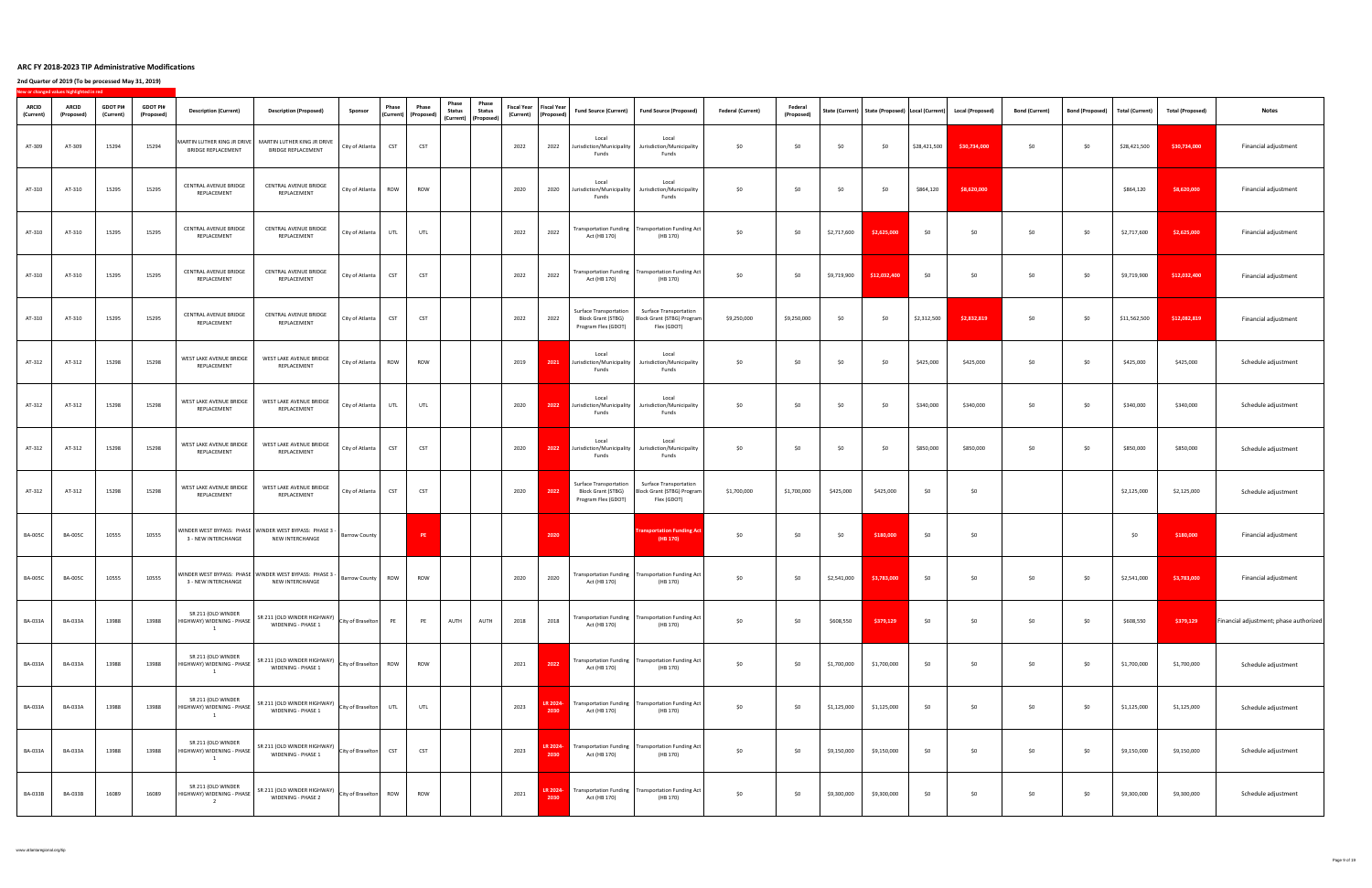|                           | New or changed values highlighted in red |                              |                               |                                                 |                                                                                        |                             |                                          |            |                                                                                     |                                                       |                  |                                                                                   |                                                                                         |                          |                       |             |                                                                                                                                                       |              |              |                       |                        |                 |                         |                                        |
|---------------------------|------------------------------------------|------------------------------|-------------------------------|-------------------------------------------------|----------------------------------------------------------------------------------------|-----------------------------|------------------------------------------|------------|-------------------------------------------------------------------------------------|-------------------------------------------------------|------------------|-----------------------------------------------------------------------------------|-----------------------------------------------------------------------------------------|--------------------------|-----------------------|-------------|-------------------------------------------------------------------------------------------------------------------------------------------------------|--------------|--------------|-----------------------|------------------------|-----------------|-------------------------|----------------------------------------|
| <b>ARCID</b><br>(Current) | <b>ARCID</b><br>(Proposed                | <b>GDOT PI#</b><br>(Current) | <b>GDOT PI#</b><br>(Proposed) | <b>Description (Current)</b>                    | <b>Description (Proposed)</b>                                                          | Sponsor                     | <b>Phase</b><br>  (Current)   (Proposed) | Phase      | <b>Phase</b><br>Phase<br><b>Status</b><br><b>Status</b><br>  (Current)   (Proposed) | Fiscal Year   Fiscal Year  <br>(Current)   (Proposed) |                  | <b>Fund Source (Current)</b>                                                      | <b>Fund Source (Proposed)</b>                                                           | <b>Federal (Current)</b> | Federal<br>(Proposed) |             | State (Current)   State (Proposed)   Local (Current)   Local (Proposed)                                                                               |              |              | <b>Bond (Current)</b> | <b>Bond (Proposed)</b> | Total (Current) | <b>Total (Proposed)</b> | <b>Notes</b>                           |
| AT-309                    | AT-309                                   | 15294                        | 15294                         | <b>BRIDGE REPLACEMENT</b>                       | MARTIN LUTHER KING JR DRIVE   MARTIN LUTHER KING JR DRIVE<br><b>BRIDGE REPLACEMENT</b> | City of Atlanta             | <b>CST</b>                               | <b>CST</b> |                                                                                     | 2022                                                  | 2022             | Local<br>Jurisdiction/Municipality<br>Funds                                       | Local<br>Jurisdiction/Municipality<br>Funds                                             | \$0\$                    | \$0                   | \$0         | \$0                                                                                                                                                   | \$28,421,500 | \$30,734,000 | \$0\$                 | \$0                    | \$28,421,500    | \$30,734,000            | Financial adjustment                   |
| AT-310                    | AT-310                                   | 15295                        | 15295                         | <b>CENTRAL AVENUE BRIDGE</b><br>REPLACEMENT     | CENTRAL AVENUE BRIDGE<br>REPLACEMENT                                                   | City of Atlanta             | <b>ROW</b>                               | <b>ROW</b> |                                                                                     | 2020                                                  | 2020             | Local<br>urisdiction/Municipality<br>Funds                                        | Local<br>Jurisdiction/Municipality<br>Funds                                             | \$0                      | \$0                   | \$0         | \$0                                                                                                                                                   | \$864,120    | \$8,620,000  |                       |                        | \$864,120       | \$8,620,000             | Financial adjustment                   |
| AT-310                    | AT-310                                   | 15295                        | 15295                         | <b>CENTRAL AVENUE BRIDGE</b><br>REPLACEMENT     | <b>CENTRAL AVENUE BRIDGE</b><br>REPLACEMENT                                            | City of Atlanta             | UTL                                      | UTL        |                                                                                     | 2022                                                  | 2022             | Act (HB 170)                                                                      | Transportation Funding   Transportation Funding Act  <br>(HB 170)                       | \$0                      | \$0                   | \$2,717,600 | \$2,625,000                                                                                                                                           | \$0          | \$0          | \$0\$                 | \$0\$                  | \$2,717,600     | \$2,625,000             | Financial adjustment                   |
| AT-310                    | AT-310                                   | 15295                        | 15295                         | <b>CENTRAL AVENUE BRIDGE</b><br>REPLACEMENT     | <b>CENTRAL AVENUE BRIDGE</b><br>REPLACEMENT                                            | City of Atlanta   CST   CST |                                          |            |                                                                                     |                                                       |                  | Act (HB 170)                                                                      | 2022 $\Big $ 2022 Transportation Funding Transportation Funding Act $\Big $<br>(HB 170) | $\sharp 0$               |                       |             | $\begin{array}{ c c c c c c } \hline \quad & \xi 0 & \quad \quad & \xi 9,719,900 & \quad \quad & \text{\bf \large{512,032,400}} \ \hline \end{array}$ | \$0          | — ר^         | 50                    | \$0                    | \$9,719,900     | \$12,032,400            | Financial adjustment                   |
| AT-310                    | AT-310                                   | 15295                        | 15295                         | <b>CENTRAL AVENUE BRIDGE</b><br>REPLACEMENT     | CENTRAL AVENUE BRIDGE<br>REPLACEMENT                                                   | City of Atlanta             | <b>CST</b>                               | <b>CST</b> |                                                                                     | 2022                                                  | 2022             | <b>Surface Transportation</b><br><b>Block Grant (STBG)</b><br>Program Flex (GDOT) | <b>Surface Transportation</b><br>Block Grant (STBG) Program<br>Flex (GDOT)              | \$9,250,000              | \$9,250,000           | \$0         | \$0                                                                                                                                                   | \$2,312,500  | \$2,832,819  | \$0                   | \$0                    | \$11,562,500    | \$12,082,819            | Financial adjustment                   |
| AT-312                    | AT-312                                   | 15298                        | 15298                         | WEST LAKE AVENUE BRIDGE<br>REPLACEMENT          | WEST LAKE AVENUE BRIDGE<br>REPLACEMENT                                                 | City of Atlanta $\vert$     | <b>ROW</b>                               | <b>ROW</b> |                                                                                     | 2019                                                  | 2021             | Local<br>Jurisdiction/Municipality<br>Funds                                       | Local<br>Jurisdiction/Municipality<br>Funds                                             | \$0                      | \$0                   | \$0         | \$0                                                                                                                                                   | \$425,000    | \$425,000    | \$0\$                 | \$0                    | \$425,000       | \$425,000               | Schedule adjustment                    |
| AT-312                    | AT-312                                   | 15298                        | 15298                         | WEST LAKE AVENUE BRIDGE<br>REPLACEMENT          | WEST LAKE AVENUE BRIDGE<br>REPLACEMENT                                                 | City of Atlanta             |                                          | UTL        |                                                                                     | 2020                                                  | 2022             | Local<br>Jurisdiction/Municipality<br>Funds                                       | Local<br>Jurisdiction/Municipality<br>Funds                                             | \$0                      | \$0                   | \$0         | \$0                                                                                                                                                   | \$340,000    | \$340,000    | \$0\$                 | \$0                    | \$340,000       | \$340,000               | Schedule adjustment                    |
| AT-312                    | AT-312                                   | 15298                        | 15298                         | WEST LAKE AVENUE BRIDGE<br>REPLACEMENT          | WEST LAKE AVENUE BRIDGE<br>REPLACEMENT                                                 | City of Atlanta             | <b>CST</b>                               | <b>CST</b> |                                                                                     | 2020                                                  | 2022             | Local<br>Jurisdiction/Municipality<br>Funds                                       | Local<br>Jurisdiction/Municipality<br>Funds                                             | \$0                      | \$0                   | \$0         | \$0                                                                                                                                                   | \$850,000    | \$850,000    | \$0                   | \$0                    | \$850,000       | \$850,000               | Schedule adjustment                    |
| AT-312                    | AT-312                                   | 15298                        | 15298                         | WEST LAKE AVENUE BRIDGE<br>REPLACEMENT          | WEST LAKE AVENUE BRIDGE<br>REPLACEMENT                                                 | City of Atlanta             | <b>CST</b>                               | <b>CST</b> |                                                                                     | 2020                                                  | 2022             | <b>Surface Transportation</b><br><b>Block Grant (STBG)</b><br>Program Flex (GDOT) | <b>Surface Transportation</b><br>Block Grant (STBG) Program<br>Flex (GDOT)              | \$1,700,000              | \$1,700,000           | \$425,000   | \$425,000                                                                                                                                             | \$0          | \$0          |                       |                        | \$2,125,000     | \$2,125,000             | Schedule adjustment                    |
| <b>BA-005C</b>            | <b>BA-005C</b>                           | 10555                        | 10555                         | 3 - NEW INTERCHANGE                             | WINDER WEST BYPASS: PHASE   WINDER WEST BYPASS: PHASE 3<br>NEW INTERCHANGE             | <b>Barrow County</b>        |                                          | PE         |                                                                                     |                                                       | 2020             |                                                                                   | <b>Transportation Funding Act</b><br>(HB 170)                                           | \$0                      | \$0                   | \$0         | \$180,000                                                                                                                                             | \$0          | \$0          |                       |                        | \$0             | \$180,000               | Financial adjustment                   |
| <b>BA-005C</b>            | <b>BA-005C</b>                           | 10555                        | 10555                         | 3 - NEW INTERCHANGE                             | WINDER WEST BYPASS: PHASE   WINDER WEST BYPASS: PHASE 3 -<br>NEW INTERCHANGE           | Barrow County               | ROW                                      | ROW        |                                                                                     | 2020                                                  | 2020             | Act (HB 170)                                                                      | Transportation Funding   Transportation Funding Act  <br>(HB 170)                       | \$0                      | \$0                   | \$2,541,000 | \$3,783,000                                                                                                                                           | \$0\$        | \$0          | \$0\$                 | \$0                    | \$2,541,000     | \$3,783,000             | Financial adjustment                   |
| BA-033A                   | <b>BA-033A</b>                           | 13988                        | 13988                         | SR 211 (OLD WINDER<br>HIGHWAY) WIDENING - PHASE | SR 211 (OLD WINDER HIGHWAY)<br><b>WIDENING - PHASE 1</b>                               | City of Braselton           |                                          | <b>PE</b>  | <b>AUTH</b><br><b>AUTH</b>                                                          | 2018                                                  | 2018             | Act (HB 170)                                                                      | Transportation Funding   Transportation Funding Act  <br>(HB 170)                       | \$0                      | \$0                   | \$608,550   | \$379,129                                                                                                                                             | \$0          | \$0          | \$0\$                 | \$0                    | \$608,550       | \$379,129               | Financial adjustment; phase authorized |
| <b>BA-033A</b>            | <b>BA-033A</b>                           | 13988                        | 13988                         | SR 211 (OLD WINDER<br>HIGHWAY) WIDENING - PHASE | SR 211 (OLD WINDER HIGHWAY)<br>WIDENING - PHASE 1                                      | City of Braselton   ROW     |                                          | <b>ROW</b> |                                                                                     | 2021                                                  | 2022             | Act (HB 170)                                                                      | Transportation Funding   Transportation Funding Act  <br>(HB 170)                       | \$0                      | \$0                   | \$1,700,000 | \$1,700,000                                                                                                                                           | \$0\$        | \$0          | \$0\$                 | \$0                    | \$1,700,000     | \$1,700,000             | Schedule adjustment                    |
| BA-033A                   | <b>BA-033A</b>                           | 13988                        | 13988                         | SR 211 (OLD WINDER<br>HIGHWAY) WIDENING - PHASE | SR 211 (OLD WINDER HIGHWAY)<br>WIDENING - PHASE 1                                      | City of Braselton           | UTL                                      | UTL        |                                                                                     | 2023                                                  | LR 2024-<br>2030 | Act (HB 170)                                                                      | Transportation Funding   Transportation Funding Act  <br>(HB 170)                       | \$0                      | \$0                   | \$1,125,000 | \$1,125,000                                                                                                                                           | \$0          | ה ל          | \$0                   | \$0                    | \$1,125,000     | \$1,125,000             | Schedule adjustment                    |
| BA-033A                   | <b>BA-033A</b>                           | 13988                        | 13988                         | SR 211 (OLD WINDER<br>HIGHWAY) WIDENING - PHASE | SR 211 (OLD WINDER HIGHWAY)<br><b>WIDENING - PHASE 1</b>                               | City of Braselton           | <b>CST</b>                               | <b>CST</b> |                                                                                     | 2023                                                  | LR 2024-<br>2030 | Act (HB 170)                                                                      | Transportation Funding   Transportation Funding Act<br>(HB 170)                         | \$0                      | \$0                   | \$9,150,000 | \$9,150,000                                                                                                                                           | \$0          | ר ל∩         | \$0\$                 | \$0                    | \$9,150,000     | \$9,150,000             | Schedule adjustment                    |
| <b>BA-033B</b>            | <b>BA-033B</b>                           | 16089                        | 16089                         | SR 211 (OLD WINDER<br>HIGHWAY) WIDENING - PHASE | SR 211 (OLD WINDER HIGHWAY)<br><b>WIDENING - PHASE 2</b>                               | City of Braselton $\vert$   | <b>ROW</b>                               | <b>ROW</b> |                                                                                     | 2021                                                  | LR 2024-<br>2030 | Act (HB 170)                                                                      | Transportation Funding   Transportation Funding Act  <br>(HB 170)                       | \$0                      | \$0                   | \$9,300,000 | \$9,300,000                                                                                                                                           | \$0\$        | − ¢∩         | 50 <sub>o</sub>       | \$0\$                  | \$9,300,000     | \$9,300,000             | Schedule adjustment                    |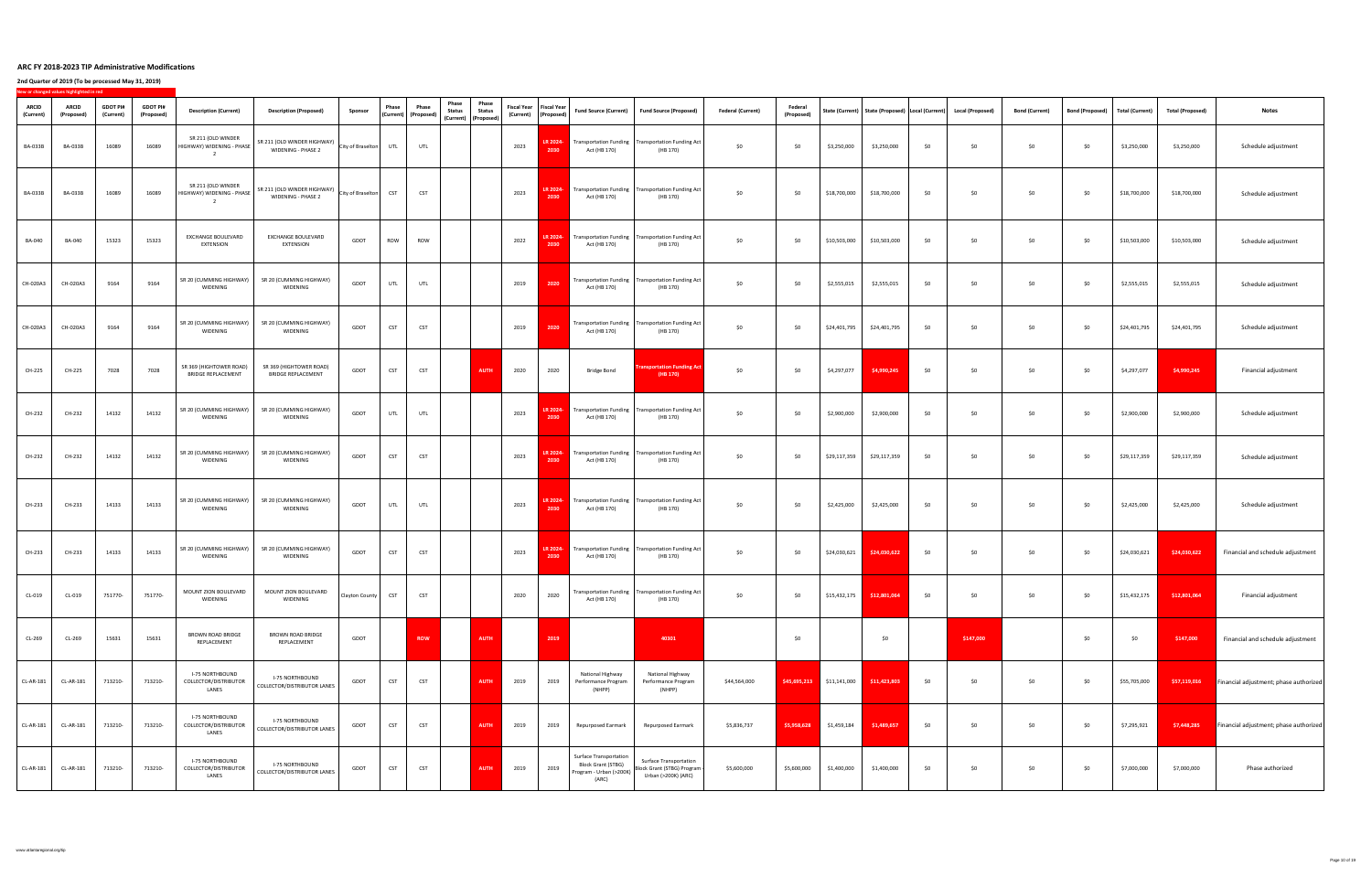|                           | New or changed values highlighted in red |                              |                               |                                                          |                                                              |                       |              |                                                              |                                                                        |                        |      |                                                              |                                                                                                |                                                                                      |                          |                              |                             |              |       |                                                                         |                       |                 |                 |                         |                                               |
|---------------------------|------------------------------------------|------------------------------|-------------------------------|----------------------------------------------------------|--------------------------------------------------------------|-----------------------|--------------|--------------------------------------------------------------|------------------------------------------------------------------------|------------------------|------|--------------------------------------------------------------|------------------------------------------------------------------------------------------------|--------------------------------------------------------------------------------------|--------------------------|------------------------------|-----------------------------|--------------|-------|-------------------------------------------------------------------------|-----------------------|-----------------|-----------------|-------------------------|-----------------------------------------------|
| <b>ARCID</b><br>(Current) | <b>ARCID</b><br>(Proposed)               | <b>GDOT PI#</b><br>(Current) | <b>GDOT PI#</b><br>(Proposed) | <b>Description (Current)</b>                             | <b>Description (Proposed)</b>                                | <b>Sponsor</b>        | <b>Phase</b> | <b>Phase</b><br>$\vert$ (Current) $\vert$ (Proposed) $\vert$ | <b>Phase</b><br><b>Status</b><br>  (Current)   (Proposed) <sup> </sup> | Phase<br><b>Status</b> |      | <b>Fiscal Year</b>   Fiscal Year  <br>(Current)   (Proposed) |                                                                                                | Fund Source (Current)   Fund Source (Proposed)                                       | <b>Federal (Current)</b> | <b>Federal</b><br>(Proposed) |                             |              |       | State (Current)   State (Proposed)   Local (Current)   Local (Proposed) | <b>Bond (Current)</b> | Bond (Proposed) | Total (Current) | <b>Total (Proposed)</b> | <b>Notes</b>                                  |
| <b>BA-033B</b>            | <b>BA-033B</b>                           | 16089                        | 16089                         | SR 211 (OLD WINDER<br>HIGHWAY) WIDENING - PHASE          | SR 211 (OLD WINDER HIGHWAY)<br>WIDENING - PHASE 2            | City of Braselton UTL |              | UTL                                                          |                                                                        |                        | 2023 | LR 2024-<br>2030                                             | Act (HB 170)                                                                                   | Transportation Funding   Transportation Funding Act  <br>(HB 170)                    | \$0                      | \$0                          | \$3,250,000                 | \$3,250,000  | \$0   | \$0\$                                                                   | \$0                   | \$0             | \$3,250,000     | \$3,250,000             | Schedule adjustment                           |
| <b>BA-033B</b>            | <b>BA-033B</b>                           | 16089                        | 16089                         | SR 211 (OLD WINDER<br>HIGHWAY) WIDENING - PHASE          | SR 211 (OLD WINDER HIGHWAY)<br><b>WIDENING - PHASE 2</b>     | City of Braselton     | <b>CST</b>   | <b>CST</b>                                                   |                                                                        |                        | 2023 | LR 2024-<br>2030                                             | Act (HB 170)                                                                                   | Transportation Funding   Transportation Funding Act  <br>(HB 170)                    | \$0                      | \$0                          | \$18,700,000                | \$18,700,000 | \$0\$ | \$0\$                                                                   | \$0                   | \$0\$           | \$18,700,000    | \$18,700,000            | Schedule adjustment                           |
| <b>BA-040</b>             | <b>BA-040</b>                            | 15323                        | 15323                         | <b>EXCHANGE BOULEVARD</b><br>EXTENSION                   | <b>EXCHANGE BOULEVARD</b><br><b>EXTENSION</b>                | <b>GDOT</b>           | <b>ROW</b>   | ROW                                                          |                                                                        |                        | 2022 | LR 2024-<br>2030                                             | Act (HB 170)                                                                                   | Transportation Funding   Transportation Funding Act  <br>(HB 170)                    | \$0                      | \$0                          | \$10,503,000                | \$10,503,000 | \$0   | \$0                                                                     | \$0                   | \$0\$           | \$10,503,000    | \$10,503,000            | Schedule adjustment                           |
| CH-020A3                  | CH-020A3                                 | 9164                         | 9164                          | SR 20 (CUMMING HIGHWAY)<br>WIDENING                      | SR 20 (CUMMING HIGHWAY)<br><b>WIDENING</b>                   | GDOT                  | UTL          | UTL                                                          |                                                                        |                        | 2019 | 2020                                                         | Act (HB 170)                                                                                   | Transportation Funding   Transportation Funding Act  <br>(HB 170)                    | \$0                      | \$0                          | \$2,555,015                 | \$2,555,015  | \$0   | \$0\$                                                                   | \$0                   | \$0\$           | \$2,555,015     | \$2,555,015             | Schedule adjustment                           |
| CH-020A3                  | CH-020A3                                 | 9164                         | 9164                          | SR 20 (CUMMING HIGHWAY)<br>WIDENING                      | SR 20 (CUMMING HIGHWAY)<br><b>WIDENING</b>                   | GDOT                  | <b>CST</b>   | <b>CST</b>                                                   |                                                                        |                        | 2019 | 2020                                                         | Act (HB 170)                                                                                   | Transportation Funding   Transportation Funding Act  <br>(HB 170)                    | \$0                      | \$0                          | \$24,401,795                | \$24,401,795 | \$0   | \$0                                                                     | \$0                   | \$0\$           | \$24,401,795    | \$24,401,795            | Schedule adjustment                           |
| <b>CH-225</b>             | CH-225                                   | 7028                         | 7028                          | SR 369 (HIGHTOWER ROAD)<br><b>BRIDGE REPLACEMENT</b>     | SR 369 (HIGHTOWER ROAD)<br><b>BRIDGE REPLACEMENT</b>         | GDOT                  | <b>CST</b>   | <b>CST</b>                                                   |                                                                        | <b>AUTH</b>            | 2020 | 2020                                                         | <b>Bridge Bond</b>                                                                             | <b>Transportation Funding Act</b><br>(HB 170)                                        | \$0                      | \$0                          | \$4,297,077                 | \$4,990,245  | \$0\$ | \$0                                                                     | \$0                   | \$0             | \$4,297,077     | \$4,990,245             | Financial adjustment                          |
| CH-232                    | CH-232                                   | 14132                        | 14132                         | SR 20 (CUMMING HIGHWAY)<br>WIDENING                      | SR 20 (CUMMING HIGHWAY)<br><b>WIDENING</b>                   | <b>GDOT</b>           | UTL          | <b>UTL</b>                                                   |                                                                        |                        | 2023 | LR 2024-<br>2030                                             | Act (HB 170)                                                                                   | $\blacksquare$ Transportation Funding   Transportation Funding Act  <br>(HB 170)     | \$0                      | \$0                          | \$2,900,000                 | \$2,900,000  | \$0   | <b>SO</b>                                                               | \$0                   | \$0\$           | \$2,900,000     | \$2,900,000             | Schedule adjustment                           |
| <b>CH-232</b>             | CH-232                                   | 14132                        | 14132                         | SR 20 (CUMMING HIGHWAY)<br>WIDENING                      | SR 20 (CUMMING HIGHWAY)<br>WIDENING                          | GDOT                  | <b>CST</b>   | <b>CST</b>                                                   |                                                                        |                        | 2023 | 2030                                                         | Act (HB 170)                                                                                   | <b>LR 2024-</b> Transportation Funding   Transportation Funding Act<br>(HB 170)      | \$0                      | $\zeta$                      | \$29,117,359                | \$29,117,359 | \$0   | \$0                                                                     | \$0                   | \$0\$           | \$29,117,359    | \$29,117,359            | Schedule adjustment                           |
| <b>CH-233</b>             | CH-233                                   | 14133                        | 14133                         | SR 20 (CUMMING HIGHWAY)<br>WIDENING                      | SR 20 (CUMMING HIGHWAY)<br><b>WIDENING</b>                   | <b>GDOT</b>           | UTL          | UTL                                                          |                                                                        |                        | 2023 | 2030                                                         | Act (HB 170)                                                                                   | <b>LR 2024-</b> Transportation Funding   Transportation Funding Act  <br>(HB 170)    | \$0                      | \$0                          | \$2,425,000                 | \$2,425,000  | \$0\$ | \$0\$                                                                   | \$0                   | \$0             | \$2,425,000     | \$2,425,000             | Schedule adjustment                           |
| <b>CH-233</b>             | CH-233                                   | 14133                        | 14133                         | SR 20 (CUMMING HIGHWAY)<br>WIDENING                      | SR 20 (CUMMING HIGHWAY)<br><b>WIDENING</b>                   | GDOT                  | <b>CST</b>   | <b>CST</b>                                                   |                                                                        |                        | 2023 | 2030                                                         | Act (HB 170)                                                                                   | <b>LR 2024-</b> Transportation Funding   Transportation Funding Act  <br>(HB 170)    | \$0                      | \$0                          | \$24,030,621                | \$24,030,622 | \$0\$ | \$0                                                                     | \$0                   | \$0\$           | \$24,030,621    | \$24,030,622            | Financial and schedule adjustment             |
| CL-019                    | $CL-019$                                 | 751770-                      | 751770-                       | MOUNT ZION BOULEVARD<br>WIDENING                         | MOUNT ZION BOULEVARD<br><b>WIDENING</b>                      | Clayton County        |              | <b>CST</b>                                                   |                                                                        |                        | 2020 | 2020                                                         | Act (HB 170)                                                                                   | Transportation Funding   Transportation Funding Act<br>(HB 170)                      | \$0                      | \$0                          | \$15,432,175                | \$12,801,064 | \$0   | \$0                                                                     | \$0                   | \$0\$           | \$15,432,175    | \$12,801,064            | Financial adjustment                          |
| CL-269                    | CL-269                                   | 15631                        | 15631                         | <b>BROWN ROAD BRIDGE</b><br>REPLACEMENT                  | <b>BROWN ROAD BRIDGE</b><br>REPLACEMENT                      | GDOT                  |              | <b>ROW</b>                                                   |                                                                        | <b>AUTH</b>            |      | 2019                                                         |                                                                                                | 40301                                                                                |                          | <b>\$0</b>                   |                             | \$0          |       | \$147,000                                                               |                       | \$0             | \$0             | \$147,000               | Financial and schedule adjustment             |
| <b>CL-AR-181</b>          | CL-AR-181                                | 713210-                      | 713210-                       | <b>I-75 NORTHBOUND</b><br>COLLECTOR/DISTRIBUTOR<br>LANES | <b>I-75 NORTHBOUND</b><br><b>COLLECTOR/DISTRIBUTOR LANES</b> | GDOT                  | <b>CST</b>   | <b>CST</b>                                                   |                                                                        | <b>AUTH</b>            | 2019 | 2019                                                         | <b>National Highway</b><br>Performance Program<br>(NHPP)                                       | National Highway<br>Performance Program<br>(NHPP)                                    | \$44,564,000             |                              | $$45,695,213$ $$11,141,000$ | \$11,423,803 | \$0   | \$0\$                                                                   | \$0                   | \$0\$           | \$55,705,000    | \$57,119,016            | <b>Financial adjustment; phase authorized</b> |
| <b>CL-AR-181</b>          | <b>CL-AR-181</b>                         | 713210-                      | 713210-                       | <b>I-75 NORTHBOUND</b><br>COLLECTOR/DISTRIBUTOR<br>LANES | <b>I-75 NORTHBOUND</b><br><b>COLLECTOR/DISTRIBUTOR LANES</b> | GDOT                  | <b>CST</b>   | <b>CST</b>                                                   |                                                                        | <b>AUTH</b>            | 2019 | 2019                                                         | <b>Repurposed Earmark</b>                                                                      | <b>Repurposed Earmark</b>                                                            | \$5,836,737              | \$5,958,628                  | \$1,459,184                 | \$1,489,657  | \$0\$ | \$0                                                                     | \$0                   | \$0             | \$7,295,921     | \$7,448,285             | <b>Financial adjustment; phase authorized</b> |
| <b>CL-AR-181</b>          | CL-AR-181                                | 713210-                      | 713210-                       | <b>I-75 NORTHBOUND</b><br>COLLECTOR/DISTRIBUTOR<br>LANES | <b>I-75 NORTHBOUND</b><br><b>COLLECTOR/DISTRIBUTOR LANES</b> | GDOT                  | <b>CST</b>   | <b>CST</b>                                                   |                                                                        | <b>AUTH</b>            | 2019 | 2019                                                         | <b>Surface Transportation</b><br><b>Block Grant (STBG)</b><br>Program - Urban (>200K)<br>(ARC) | <b>Surface Transportation</b><br>Block Grant (STBG) Program  <br>Urban (>200K) (ARC) | \$5,600,000              | \$5,600,000                  | \$1,400,000                 | \$1,400,000  | \$0   | .  ጎቦ                                                                   | \$0                   | \$0             | \$7,000,000     | \$7,000,000             | Phase authorized                              |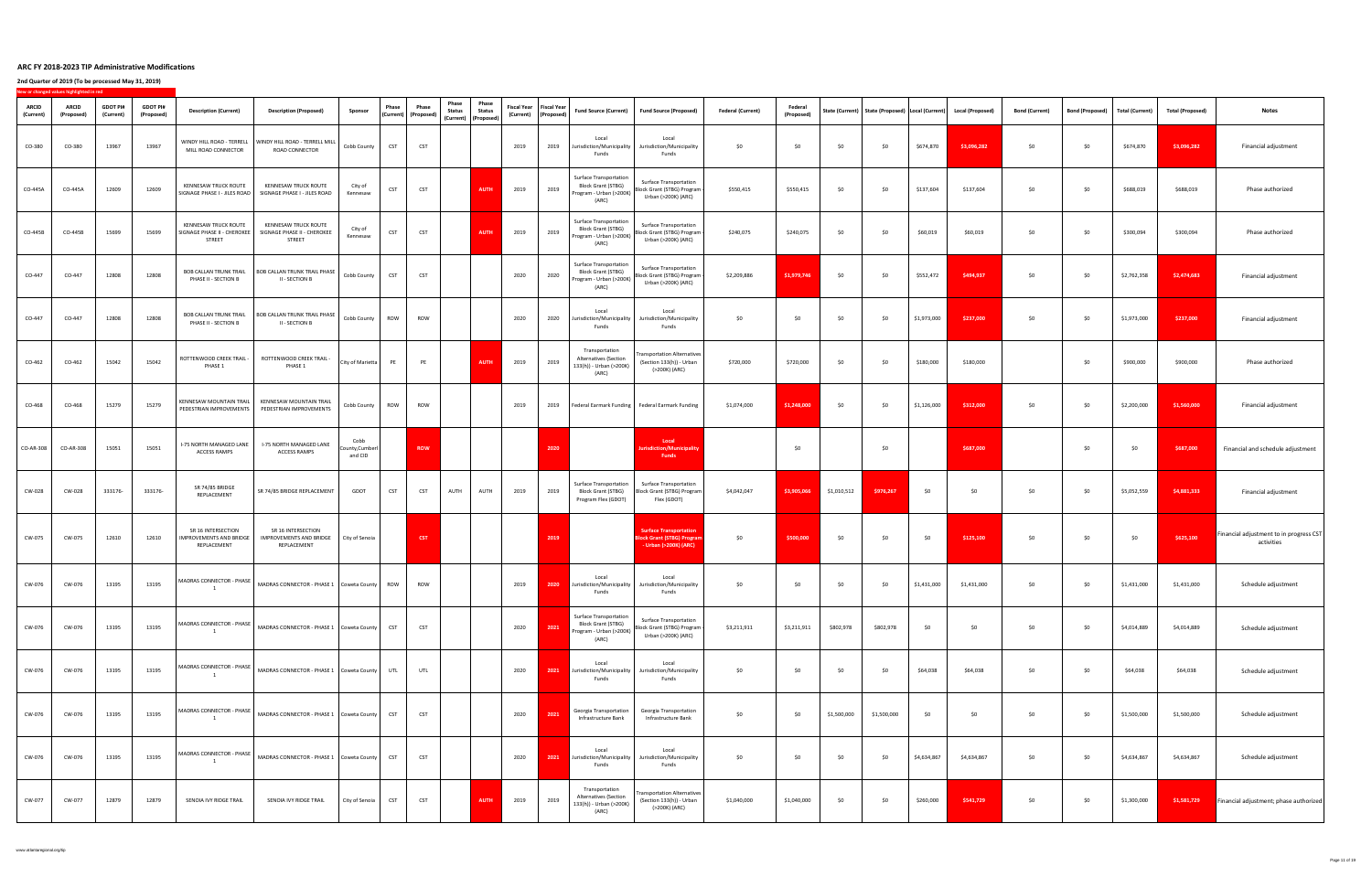|                           | New or changed values highlighted in red |                              |                               |                                                                             |                                                                                                   |                                    |              |                                   |                                                                 |                        |      |                                                       |                                                                                                |                                                                                                                              |                               |                              |             |             |             |                                                                         |                       |                                |                 |                         |                                                       |
|---------------------------|------------------------------------------|------------------------------|-------------------------------|-----------------------------------------------------------------------------|---------------------------------------------------------------------------------------------------|------------------------------------|--------------|-----------------------------------|-----------------------------------------------------------------|------------------------|------|-------------------------------------------------------|------------------------------------------------------------------------------------------------|------------------------------------------------------------------------------------------------------------------------------|-------------------------------|------------------------------|-------------|-------------|-------------|-------------------------------------------------------------------------|-----------------------|--------------------------------|-----------------|-------------------------|-------------------------------------------------------|
| <b>ARCID</b><br>(Current) | <b>ARCID</b><br>(Proposed)               | <b>GDOT PI#</b><br>(Current) | <b>GDOT PI#</b><br>(Proposed) | <b>Description (Current)</b>                                                | <b>Description (Proposed)</b>                                                                     | <b>Sponsor</b>                     | <b>Phase</b> | Phase<br>  (Current)   (Proposed) | Phase<br><b>Status</b><br>  (Current)   (Proposed) <sup> </sup> | Phase<br><b>Status</b> |      | Fiscal Year   Fiscal Year  <br>(Current)   (Proposed) | <b>Fund Source (Current)</b>                                                                   | <b>Fund Source (Proposed)</b>                                                                                                | <b>Federal (Current)</b>      | <b>Federal</b><br>(Proposed) |             |             |             | State (Current)   State (Proposed)   Local (Current)   Local (Proposed) | <b>Bond (Current)</b> | <b>Bond (Proposed)</b>         | Total (Current) | <b>Total (Proposed)</b> | <b>Notes</b>                                          |
| CO-380                    | CO-380                                   | 13967                        | 13967                         | WINDY HILL ROAD - TERRELL<br>MILL ROAD CONNECTOR                            | WINDY HILL ROAD - TERRELL MILL<br>ROAD CONNECTOR                                                  | Cobb County                        | <b>CST</b>   | <b>CST</b>                        |                                                                 |                        | 2019 | 2019                                                  | Local<br>Jurisdiction/Municipality<br>Funds                                                    | Local<br>Jurisdiction/Municipality<br>Funds                                                                                  | \$0                           | \$0                          | \$0         | \$0         | \$674,870   | \$3,096,282                                                             | \$0                   | \$0\$                          | \$674,870       | \$3,096,282             | Financial adjustment                                  |
| CO-445A                   | CO-445A                                  | 12609                        | 12609                         | <b>KENNESAW TRUCK ROUTE</b><br>SIGNAGE PHASE I - JILES ROAD                 | <b>KENNESAW TRUCK ROUTE</b><br>SIGNAGE PHASE I - JILES ROAD                                       | City of<br>Kennesaw                | <b>CST</b>   | <b>CST</b>                        |                                                                 | <b>AUTH</b>            | 2019 | 2019                                                  | <b>Surface Transportation</b><br><b>Block Grant (STBG)</b><br>Program - Urban (>200K)<br>(ARC) | <b>Surface Transportation</b><br>Block Grant (STBG) Program<br>Urban (>200K) (ARC)                                           | \$550,415                     | \$550,415                    | \$0         | \$0         | \$137,604   | \$137,604                                                               | \$0                   | \$0\$                          | \$688,019       | \$688,019               | Phase authorized                                      |
| $CO-445B$                 | CO-445B                                  | 15699                        | 15699                         | <b>KENNESAW TRUCK ROUTE</b><br>SIGNAGE PHASE II - CHEROKEL<br><b>STREET</b> | <b>KENNESAW TRUCK ROUTE</b><br>SIGNAGE PHASE II - CHEROKEE<br><b>STREET</b>                       | City of<br>Kennesaw                | <b>CST</b>   | <b>CST</b>                        |                                                                 | <b>AUTH</b>            | 2019 | 2019                                                  | <b>Surface Transportation</b><br><b>Block Grant (STBG)</b><br>Program - Urban (>200K)<br>(ARC) | <b>Surface Transportation</b><br>Block Grant (STBG) Program  <br>Urban (>200K) (ARC)                                         | \$240,075                     | \$240,075                    | \$0         | \$0         | \$60,019    | \$60,019                                                                | \$0                   | \$0\$                          | \$300,094       | \$300,094               | Phase authorized                                      |
| $CO-447$                  | $CO-447$                                 | 12808                        | 12808                         | PHASE II - SECTION B                                                        | BOB CALLAN TRUNK TRAIL   BOB CALLAN TRUNK TRAIL PHASE   Cobb County   CST   CST<br>II - SECTION B |                                    |              |                                   |                                                                 |                        | 2020 | 2020                                                  | <b>Surface Transportation</b><br><b>Block Grant (STBG)</b><br>Program - Urban (>200K)<br>(ARC) | <b>Surface Transportation</b><br>$\frac{1}{\sqrt{1}}$ Block Grant (STBG) Program $\frac{1}{\sqrt{1}}$<br>Urban (>200K) (ARC) | $$2,209,886$ $$1,979,746$ \$0 |                              |             | \$0         | \$552,472   | \$494,937                                                               | \$0                   | $\begin{matrix}50\end{matrix}$ | \$2,762,358     | \$2,474,683             | Financial adjustment                                  |
| CO-447                    | $CO-447$                                 | 12808                        | 12808                         | PHASE II - SECTION B                                                        | BOB CALLAN TRUNK TRAIL   BOB CALLAN TRUNK TRAIL PHASE  <br><b>II - SECTION B</b>                  | Cobb County                        | <b>ROW</b>   | <b>ROW</b>                        |                                                                 |                        | 2020 | 2020                                                  | Local<br>Jurisdiction/Municipality<br>Funds                                                    | Local<br>Jurisdiction/Municipality<br>Funds                                                                                  | \$0                           | \$0                          | \$0         | \$0         | \$1,973,000 | \$237,000                                                               | \$0                   | \$0\$                          | \$1,973,000     | \$237,000               | Financial adjustment                                  |
| $CO-462$                  | CO-462                                   | 15042                        | 15042                         | ROTTENWOOD CREEK TRAIL -<br>PHASE 1                                         | ROTTENWOOD CREEK TRAIL -<br>PHASE 1                                                               | City of Marietta                   |              | <b>PE</b>                         |                                                                 | <b>AUTH</b>            | 2019 | 2019                                                  | Transportation<br><b>Alternatives (Section</b><br>133(h)) - Urban (>200K)<br>(ARC)             | Transportation Alternatives  <br>(Section 133(h)) - Urban<br>(>200K) (ARC)                                                   | \$720,000                     | \$720,000                    | \$0         | \$0         | \$180,000   | \$180,000                                                               |                       | \$0                            | \$900,000       | \$900,000               | Phase authorized                                      |
| CO-468                    | CO-468                                   | 15279                        | 15279                         | PEDESTRIAN IMPROVEMENTS                                                     | KENNESAW MOUNTAIN TRAIL   KENNESAW MOUNTAIN TRAIL<br>PEDESTRIAN IMPROVEMENTS                      | Cobb County   ROW                  |              | <b>ROW</b>                        |                                                                 |                        | 2019 | 2019                                                  |                                                                                                | Federal Earmark Funding   Federal Earmark Funding                                                                            | \$1,074,000                   | \$1,248,000                  | \$0         | \$0         | \$1,126,000 | \$312,000                                                               | \$0                   | \$0\$                          | \$2,200,000     | \$1,560,000             | Financial adjustment                                  |
| CO-AR-308                 | CO-AR-308                                | 15051                        | 15051                         | <b>I-75 NORTH MANAGED LANE</b><br><b>ACCESS RAMPS</b>                       | <b>I-75 NORTH MANAGED LANE</b><br><b>ACCESS RAMPS</b>                                             | Cobb<br>County, Cumberl<br>and CID |              | <b>ROW</b>                        |                                                                 |                        |      | 2020                                                  |                                                                                                | Local<br>Jurisdiction/Municipality<br><b>Funds</b>                                                                           |                               | \$0                          |             | \$0         |             | \$687,000                                                               |                       | \$0\$                          | \$0             | \$687,000               | Financial and schedule adjustment                     |
| <b>CW-028</b>             | <b>CW-028</b>                            | 333176-                      | 333176-                       | SR 74/85 BRIDGE<br>REPLACEMENT                                              | SR 74/85 BRIDGE REPLACEMENT                                                                       | <b>GDOT</b>                        | <b>CST</b>   | <b>CST</b>                        | <b>AUTH</b>                                                     | <b>AUTH</b>            | 2019 | 2019                                                  | <b>Surface Transportation</b><br><b>Block Grant (STBG)</b><br>Program Flex (GDOT)              | <b>Surface Transportation</b><br>Block Grant (STBG) Program<br>Flex (GDOT)                                                   | \$4,042,047                   | \$3,905,066                  | \$1,010,512 | \$976,267   | \$0\$       | \$0                                                                     | \$0                   | \$0                            | \$5,052,559     | \$4,881,333             | Financial adjustment                                  |
| <b>CW-075</b>             | <b>CW-075</b>                            | 12610                        | 12610                         | SR 16 INTERSECTION<br><b>IMPROVEMENTS AND BRIDGE</b><br>REPLACEMENT         | SR 16 INTERSECTION<br><b>IMPROVEMENTS AND BRIDGE</b><br>REPLACEMENT                               | City of Senoia                     |              | <b>CST</b>                        |                                                                 |                        |      | 2019                                                  |                                                                                                | <b>Surface Transportation</b><br><b>Block Grant (STBG) Program</b><br>- Urban (>200K) (ARC)                                  | \$0                           | \$500,000                    | \$0         | \$0         | \$0         | \$125,100                                                               | \$0                   | \$0\$                          | \$0             | \$625,100               | Financial adjustment to in progress CST<br>activities |
| CW-076                    | CW-076                                   | 13195                        | 13195                         | MADRAS CONNECTOR - PHASE                                                    | MADRAS CONNECTOR - PHASE 1   Coweta County                                                        |                                    | <b>ROW</b>   | <b>ROW</b>                        |                                                                 |                        | 2019 | 2020                                                  | Local<br>Jurisdiction/Municipality<br>Funds                                                    | Local<br>Jurisdiction/Municipality<br>Funds                                                                                  | \$0                           | \$0                          | \$0         | \$0         | \$1,431,000 | \$1,431,000                                                             | \$0                   | \$0\$                          | \$1,431,000     | \$1,431,000             | Schedule adjustment                                   |
| CW-076                    | CW-076                                   | 13195                        | 13195                         |                                                                             | MADRAS CONNECTOR - PHASE $\big $ MADRAS CONNECTOR - PHASE 1 $\big $ Coweta County $\big $         |                                    | <b>CST</b>   | <b>CST</b>                        |                                                                 |                        | 2020 | 2021                                                  | <b>Surface Transportation</b><br><b>Block Grant (STBG)</b><br>Program - Urban (>200K)<br>(ARC) | <b>Surface Transportation</b><br>Block Grant (STBG) Program -<br>Urban (>200K) (ARC)                                         | \$3,211,911                   | \$3,211,911                  | \$802,978   | \$802,978   | \$0         | ר ל                                                                     | \$0                   | \$0\$                          | \$4,014,889     | \$4,014,889             | Schedule adjustment                                   |
| CW-076                    | CW-076                                   | 13195                        | 13195                         | MADRAS CONNECTOR - PHASE                                                    | MADRAS CONNECTOR - PHASE 1   Coweta County                                                        |                                    | UTL          | UTL                               |                                                                 |                        | 2020 | 2021                                                  | Local<br>Jurisdiction/Municipality<br>Funds                                                    | Local<br>Jurisdiction/Municipality<br>Funds                                                                                  | \$0                           | \$0                          | \$0         | \$0         | \$64,038    | \$64,038                                                                | \$0                   | \$0\$                          | \$64,038        | \$64,038                | Schedule adjustment                                   |
| CW-076                    | CW-076                                   | 13195                        | 13195                         | MADRAS CONNECTOR - PHASE                                                    | MADRAS CONNECTOR - PHASE 1   Coweta County                                                        |                                    | <b>CST</b>   | <b>CST</b>                        |                                                                 |                        | 2020 | 2021                                                  | <b>Georgia Transportation</b><br>Infrastructure Bank                                           | <b>Georgia Transportation</b><br>Infrastructure Bank                                                                         | \$0                           | \$0                          | \$1,500,000 | \$1,500,000 | \$0\$       | \$0                                                                     | \$0                   | \$0\$                          | \$1,500,000     | \$1,500,000             | Schedule adjustment                                   |
| CW-076                    | CW-076                                   | 13195                        | 13195                         | MADRAS CONNECTOR - PHASE                                                    | MADRAS CONNECTOR - PHASE 1   Coweta County                                                        |                                    | <b>CST</b>   | <b>CST</b>                        |                                                                 |                        | 2020 | 2021                                                  | Local<br>Jurisdiction/Municipality<br>Funds                                                    | Local<br>Jurisdiction/Municipality<br>Funds                                                                                  | \$0                           | \$0                          | \$0         | \$0         | \$4,634,867 | \$4,634,867                                                             | \$0                   | \$0\$                          | \$4,634,867     | \$4,634,867             | Schedule adjustment                                   |
| CW-077                    | CW-077                                   | 12879                        | 12879                         | SENOIA IVY RIDGE TRAIL                                                      | SENOIA IVY RIDGE TRAIL                                                                            | City of Senoia                     | <b>CST</b>   | <b>CST</b>                        |                                                                 | <b>AUTH</b>            | 2019 | 2019                                                  | Transportation<br><b>Alternatives (Section</b><br>133(h)) - Urban (>200K)<br>(ARC)             | Transportation Alternatives<br>(Section 133(h)) - Urban<br>(>200K) (ARC)                                                     | \$1,040,000                   | \$1,040,000                  | \$0         | \$0         | \$260,000   | \$541,729                                                               | \$0                   | \$0\$                          | \$1,300,000     | \$1,581,729             | Financial adjustment; phase authorized                |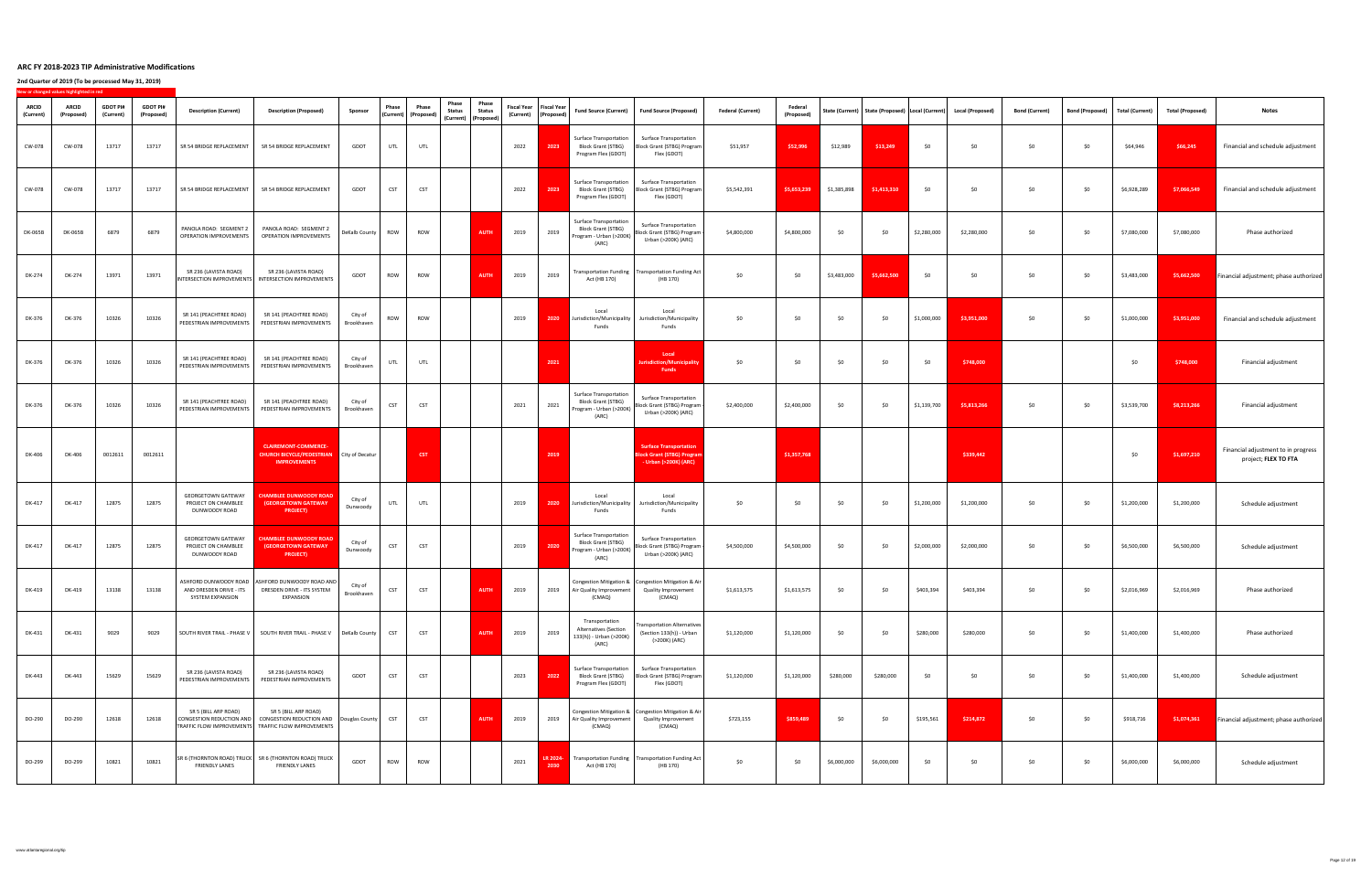|                           | New or changed values highlighted in red |                              |                               |                                                                   |                                                                                                                            |                       |              |                                                              |                                                                        |                        |      |                                                              |                                                                                                |                                                                                                             |                          |                              |             |             |             |                                                                         |                       |                        |                        |                         |                                                             |
|---------------------------|------------------------------------------|------------------------------|-------------------------------|-------------------------------------------------------------------|----------------------------------------------------------------------------------------------------------------------------|-----------------------|--------------|--------------------------------------------------------------|------------------------------------------------------------------------|------------------------|------|--------------------------------------------------------------|------------------------------------------------------------------------------------------------|-------------------------------------------------------------------------------------------------------------|--------------------------|------------------------------|-------------|-------------|-------------|-------------------------------------------------------------------------|-----------------------|------------------------|------------------------|-------------------------|-------------------------------------------------------------|
| <b>ARCID</b><br>(Current) | <b>ARCID</b><br>(Proposed)               | <b>GDOT PI#</b><br>(Current) | <b>GDOT PI#</b><br>(Proposed) | <b>Description (Current)</b>                                      | <b>Description (Proposed)</b>                                                                                              | Sponsor               | <b>Phase</b> | <b>Phase</b><br>$\big $ (Current) $\big $ (Proposed) $\big $ | Phase<br><b>Status</b><br>$\vert$ (Current) $\vert$ (Proposed) $\vert$ | Phase<br><b>Status</b> |      | <b>Fiscal Year   Fiscal Year  </b><br>(Current)   (Proposed) | <b>Fund Source (Current)</b>                                                                   | Fund Source (Proposed)                                                                                      | <b>Federal (Current)</b> | <b>Federal</b><br>(Proposed) |             |             |             | State (Current)   State (Proposed)   Local (Current)   Local (Proposed) | <b>Bond (Current)</b> | <b>Bond (Proposed)</b> | <b>Total (Current)</b> | <b>Total (Proposed)</b> | <b>Notes</b>                                                |
| <b>CW-078</b>             | CW-078                                   | 13717                        | 13717                         | SR 54 BRIDGE REPLACEMENT                                          | SR 54 BRIDGE REPLACEMENT                                                                                                   | <b>GDOT</b>           | UTL          | UTL                                                          |                                                                        |                        | 2022 | 2023                                                         | <b>Surface Transportation</b><br><b>Block Grant (STBG)</b><br>Program Flex (GDOT)              | <b>Surface Transportation</b><br>Block Grant (STBG) Program<br>Flex (GDOT)                                  | \$51,957                 | \$52,996                     | \$12,989    | \$13,249    | \$0\$       | \$0                                                                     | \$0                   | \$0\$                  | \$64,946               | \$66,245                | Financial and schedule adjustment                           |
| <b>CW-078</b>             | CW-078                                   | 13717                        | 13717                         | SR 54 BRIDGE REPLACEMENT                                          | SR 54 BRIDGE REPLACEMENT                                                                                                   | GDOT                  | <b>CST</b>   | <b>CST</b>                                                   |                                                                        |                        | 2022 | 2023                                                         | <b>Surface Transportation</b><br><b>Block Grant (STBG)</b><br>Program Flex (GDOT)              | <b>Surface Transportation</b><br>Block Grant (STBG) Program<br>Flex (GDOT)                                  | \$5,542,391              | \$5,653,239                  | \$1,385,898 | \$1,413,310 | \$0\$       | \$0                                                                     | \$0                   | \$0                    | \$6,928,289            | \$7,066,549             | Financial and schedule adjustment                           |
| <b>DK-065B</b>            | <b>DK-065B</b>                           | 6879                         | 6879                          | PANOLA ROAD: SEGMENT 2<br><b>OPERATION IMPROVEMENTS</b>           | PANOLA ROAD: SEGMENT 2<br><b>OPERATION IMPROVEMENTS</b>                                                                    | DeKalb County   ROW   |              | ROW                                                          |                                                                        | <b>AUTH</b>            | 2019 | 2019                                                         | <b>Surface Transportation</b><br><b>Block Grant (STBG)</b><br>Program - Urban (>200K)<br>(ARC) | <b>Surface Transportation</b><br>Block Grant (STBG) Program  <br>Urban (>200K) (ARC)                        | \$4,800,000              | \$4,800,000                  | \$0         | \$0         | \$2,280,000 | \$2,280,000                                                             | \$0                   | \$0\$                  | \$7,080,000            | \$7,080,000             | Phase authorized                                            |
| DK-274                    | DK-274                                   | 13971                        | 13971                         | SR 236 (LAVISTA ROAD)                                             | SR 236 (LAVISTA ROAD)<br>INTERSECTION IMPROVEMENTS   INTERSECTION IMPROVEMENTS                                             | <b>GDOT</b>           | ROW          | ROW                                                          |                                                                        | <b>AUTH</b> 2019       |      | 2019                                                         | Act (HB 170)                                                                                   | $\vert$ Transportation Funding $\vert$ Transportation Funding Act $\vert$<br>(HB 170)                       | \$0                      | \$0                          |             |             | \$0         |                                                                         | \$0                   | \$0                    | \$3,483,000            |                         | <b>\$5,662,500</b> Financial adjustment; phase authorized   |
| <b>DK-376</b>             | DK-376                                   | 10326                        | 10326                         | SR 141 (PEACHTREE ROAD)<br>PEDESTRIAN IMPROVEMENTS                | SR 141 (PEACHTREE ROAD)<br>PEDESTRIAN IMPROVEMENTS                                                                         | City of<br>Brookhaven | <b>ROW</b>   | <b>ROW</b>                                                   |                                                                        |                        | 2019 | 2020                                                         | Local<br>Jurisdiction/Municipality<br>Funds                                                    | Local<br>Jurisdiction/Municipality<br>Funds                                                                 | \$0                      | \$0                          | \$0         | \$0         | \$1,000,000 | \$3,951,000                                                             | \$0                   | \$0\$                  | \$1,000,000            | \$3,951,000             | Financial and schedule adjustment                           |
| <b>DK-376</b>             | DK-376                                   | 10326                        | 10326                         | SR 141 (PEACHTREE ROAD)<br>PEDESTRIAN IMPROVEMENTS                | SR 141 (PEACHTREE ROAD)<br>PEDESTRIAN IMPROVEMENTS                                                                         | City of<br>Brookhaven | UTL          | <b>UTL</b>                                                   |                                                                        |                        |      | 2021                                                         |                                                                                                | Local<br>Jurisdiction/Municipality<br><b>Funds</b>                                                          | \$0                      | \$0                          | \$0         | \$0         | \$0         | \$748,000                                                               |                       |                        | \$0                    | \$748,000               | Financial adjustment                                        |
| DK-376                    | DK-376                                   | 10326                        | 10326                         | SR 141 (PEACHTREE ROAD)<br>PEDESTRIAN IMPROVEMENTS                | SR 141 (PEACHTREE ROAD)<br>PEDESTRIAN IMPROVEMENTS                                                                         | City of<br>Brookhaven | CST          | <b>CST</b>                                                   |                                                                        |                        | 2021 | 2021                                                         | <b>Surface Transportation</b><br><b>Block Grant (STBG)</b><br>Program - Urban (>200K)<br>(ARC) | <b>Surface Transportation</b><br>Block Grant (STBG) Program  <br>Urban (>200K) (ARC)                        | \$2,400,000              | \$2,400,000                  | \$0         | \$0         | \$1,139,700 | \$5,813,266                                                             | \$0                   | \$0\$                  | \$3,539,700            | \$8,213,266             | Financial adjustment                                        |
| <b>DK-406</b>             | <b>DK-406</b>                            | 0012611                      | 0012611                       |                                                                   | <b>CLAIREMONT-COMMERCE-</b><br><b>CHURCH BICYCLE/PEDESTRIAN</b> City of Decatur<br><b>IMPROVEMENTS</b>                     |                       |              | <b>CST</b>                                                   |                                                                        |                        |      | 2019                                                         |                                                                                                | <b>Surface Transportation</b><br><b>Block Grant (STBG) Program</b><br>$-$ Urban (>200K) (ARC)               |                          | \$1,357,768                  |             |             |             | \$339,442                                                               |                       |                        | \$0\$                  | \$1,697,210             | Financial adjustment to in progress<br>project; FLEX TO FTA |
| <b>DK-417</b>             | <b>DK-417</b>                            | 12875                        | 12875                         | <b>GEORGETOWN GATEWAY</b><br>PROJECT ON CHAMBLEE<br>DUNWOODY ROAD | <b>CHAMBLEE DUNWOODY ROAD</b><br><b>(GEORGETOWN GATEWAY</b><br><b>PROJECT)</b>                                             | City of<br>Dunwoody   | UTL          | UTL                                                          |                                                                        |                        | 2019 | <b>2020</b>                                                  | Local<br>Jurisdiction/Municipality<br><b>Funds</b>                                             | Local<br>Jurisdiction/Municipality<br>Funds                                                                 | \$0                      | \$0                          | \$0         | \$0         | \$1,200,000 | \$1,200,000                                                             | \$0                   | \$0\$                  | \$1,200,000            | \$1,200,000             | Schedule adjustment                                         |
| <b>DK-417</b>             | <b>DK-417</b>                            | 12875                        | 12875                         | <b>GEORGETOWN GATEWAY</b><br>PROJECT ON CHAMBLEE<br>DUNWOODY ROAD | <b>CHAMBLEE DUNWOODY ROAD</b><br><b>(GEORGETOWN GATEWAY</b><br><b>PROJECT)</b>                                             | City of<br>Dunwoody   | <b>CST</b>   | <b>CST</b>                                                   |                                                                        |                        | 2019 | 2020                                                         | <b>Surface Transportation</b><br><b>Block Grant (STBG)</b><br>Program - Urban (>200K)<br>(ARC) | <b>Surface Transportation</b><br>Block Grant (STBG) Program  <br>Urban (>200K) (ARC)                        | \$4,500,000              | \$4,500,000                  | \$0         | \$0         | \$2,000,000 | \$2,000,000                                                             | \$0                   | \$0\$                  | \$6,500,000            | \$6,500,000             | Schedule adjustment                                         |
| <b>DK-419</b>             | <b>DK-419</b>                            | 13138                        | 13138                         | AND DRESDEN DRIVE - I<br><b>SYSTEM EXPANSION</b>                  | ASHFORD DUNWOODY ROAD   ASHFORD DUNWOODY ROAD AND  <br>DRESDEN DRIVE - ITS SYSTEM<br>EXPANSION                             | City of<br>Brookhaven | <b>CST</b>   | <b>CST</b>                                                   |                                                                        | <b>AUTH</b>            | 2019 | 2019                                                         | Air Quality Improvemen<br>(CMAQ)                                                               | Congestion Mitigation &   Congestion Mitigation & Air  <br><b>Quality Improvement</b><br>(CMAQ)             | \$1,613,575              | \$1,613,575                  | \$0         | \$0         | \$403,394   | \$403,394                                                               | \$0                   | \$0\$                  | \$2,016,969            | \$2,016,969             | Phase authorized                                            |
| <b>DK-431</b>             | <b>DK-431</b>                            | 9029                         | 9029                          |                                                                   | SOUTH RIVER TRAIL - PHASE V   SOUTH RIVER TRAIL - PHASE V                                                                  | DeKalb County         | <b>CST</b>   | <b>CST</b>                                                   |                                                                        | <b>AUTH</b>            | 2019 | 2019                                                         | Transportation<br><b>Alternatives (Section</b><br>133(h)) - Urban (>200K)<br>(ARC)             | <b>Transportation Alternatives</b><br>(Section 133(h)) - Urban<br>(>200K) (ARC)                             | \$1,120,000              | \$1,120,000                  | \$0         | \$0         | \$280,000   | \$280,000                                                               | \$0                   | \$0\$                  | \$1,400,000            | \$1,400,000             | Phase authorized                                            |
| <b>DK-443</b>             | <b>DK-443</b>                            | 15629                        | 15629                         | SR 236 (LAVISTA ROAD)<br>PEDESTRIAN IMPROVEMENTS                  | SR 236 (LAVISTA ROAD)<br>PEDESTRIAN IMPROVEMENTS                                                                           | <b>GDOT</b>           | <b>CST</b>   | <b>CST</b>                                                   |                                                                        |                        | 2023 | 202                                                          | <b>Surface Transportation</b><br><b>Block Grant (STBG)</b><br>Program Flex (GDOT)              | <b>Surface Transportation</b><br>Block Grant (STBG) Program<br>Flex (GDOT)                                  | \$1,120,000              | \$1,120,000                  | \$280,000   | \$280,000   | \$0\$       |                                                                         | \$0                   | \$0\$                  | \$1,400,000            | \$1,400,000             | Schedule adjustment                                         |
| DO-290                    | DO-290                                   | 12618                        | 12618                         | SR 5 (BILL ARP ROAD)<br>CONGESTION REDUCTION AND                  | SR 5 (BILL ARP ROAD)<br>CONGESTION REDUCTION AND   Douglas County  <br>TRAFFIC FLOW IMPROVEMENTS TRAFFIC FLOW IMPROVEMENTS |                       | <b>CST</b>   | <b>CST</b>                                                   |                                                                        | <b>AUTH</b>            | 2019 | 2019                                                         | Air Quality Improvement<br>(CMAQ)                                                              | Congestion Mitigation & $\vert$ Congestion Mitigation & Air $\vert$<br><b>Quality Improvement</b><br>(CMAQ) | \$723,155                | \$859,489                    | \$0         | \$0         | \$195,561   | \$214,872                                                               | \$0                   | \$0\$                  | \$918,716              | \$1,074,361             | <b>Financial adjustment; phase authorized</b>               |
| DO-299                    | DO-299                                   | 10821                        | 10821                         | <b>FRIENDLY LANES</b>                                             | SR 6 (THORNTON ROAD) TRUCK   SR 6 (THORNTON ROAD) TRUCK<br><b>FRIENDLY LANES</b>                                           | <b>GDOT</b>           | <b>ROW</b>   | <b>ROW</b>                                                   |                                                                        |                        | 2021 | LR 2024-<br>2030                                             | Act (HB 170)                                                                                   | $\blacksquare$ Transportation Funding $\blacksquare$ Transportation Funding Act $\blacksquare$<br>(HB 170)  | \$0                      | \$0                          | \$6,000,000 | \$6,000,000 | \$0         | \$0                                                                     | \$0                   | \$0\$                  | \$6,000,000            | \$6,000,000             | Schedule adjustment                                         |
|                           |                                          |                              |                               |                                                                   |                                                                                                                            |                       |              |                                                              |                                                                        |                        |      |                                                              |                                                                                                |                                                                                                             |                          |                              |             |             |             |                                                                         |                       |                        |                        |                         |                                                             |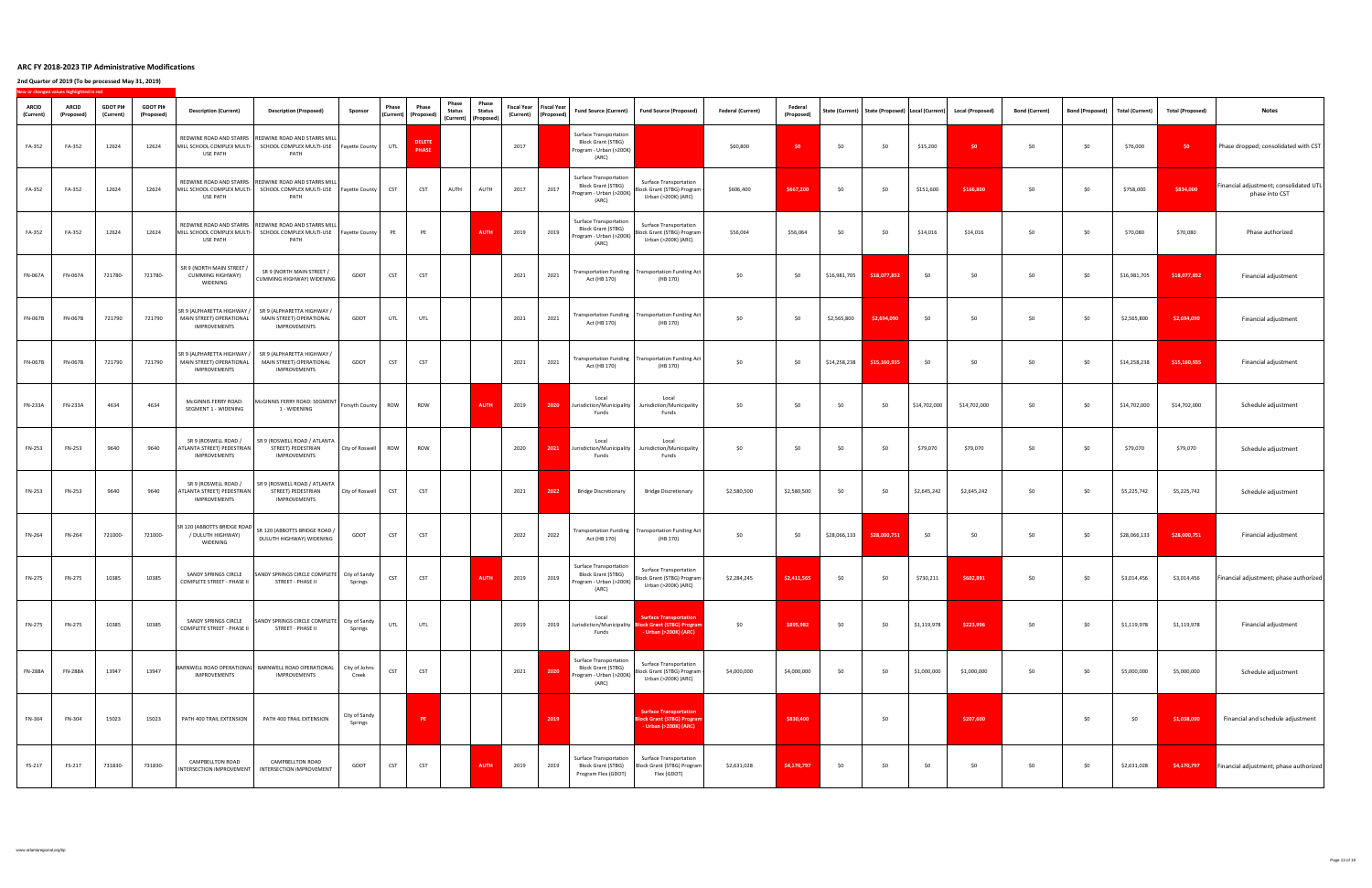|                           | New or changed values highlighted in red |                              |                               |                                                                               |                                                                                                   |                          |              |                                                              |                                                                        |                        |      |                                                       |                                                                                                |                                                                                                                |                          |                              |              |                             |              |                                                                         |                       |                        |                        |                         |                                                          |
|---------------------------|------------------------------------------|------------------------------|-------------------------------|-------------------------------------------------------------------------------|---------------------------------------------------------------------------------------------------|--------------------------|--------------|--------------------------------------------------------------|------------------------------------------------------------------------|------------------------|------|-------------------------------------------------------|------------------------------------------------------------------------------------------------|----------------------------------------------------------------------------------------------------------------|--------------------------|------------------------------|--------------|-----------------------------|--------------|-------------------------------------------------------------------------|-----------------------|------------------------|------------------------|-------------------------|----------------------------------------------------------|
| <b>ARCID</b><br>(Current) | <b>ARCID</b><br>(Proposed)               | <b>GDOT PI#</b><br>(Current) | <b>GDOT PI#</b><br>(Proposed) | <b>Description (Current)</b>                                                  | <b>Description (Proposed)</b>                                                                     | Sponsor                  | <b>Phase</b> | <b>Phase</b><br>$\vert$ (Current) $\vert$ (Proposed) $\vert$ | Phase<br><b>Status</b><br>$\vert$ (Current) $\vert$ (Proposed) $\vert$ | Phase<br><b>Status</b> |      | Fiscal Year   Fiscal Year  <br>(Current)   (Proposed) | <b>Fund Source (Current)</b>                                                                   | Fund Source (Proposed)                                                                                         | <b>Federal (Current)</b> | <b>Federal</b><br>(Proposed) |              |                             |              | State (Current)   State (Proposed)   Local (Current)   Local (Proposed) | <b>Bond (Current)</b> | <b>Bond (Proposed)</b> | <b>Total (Current)</b> | <b>Total (Proposed)</b> | <b>Notes</b>                                             |
| FA-352                    | FA-352                                   | 12624                        | 12624                         | MILL SCHOOL COMPLEX MULTI-<br><b>USE PATH</b>                                 | REDWINE ROAD AND STARRS   REDWINE ROAD AND STARRS MILL<br>SCHOOL COMPLEX MULTI-USE<br><b>PATH</b> | Fayette County   UTL     |              | <b>DELETE</b><br><b>PHASE</b>                                |                                                                        |                        | 2017 |                                                       | <b>Surface Transportation</b><br><b>Block Grant (STBG)</b><br>Program - Urban (>200K)<br>(ARC) |                                                                                                                | \$60,800                 | \$0                          | \$0          | \$0                         | \$15,200     |                                                                         | \$0                   | \$0\$                  | \$76,000               | 50 <sup>°</sup>         | Phase dropped; consolidated with CST                     |
| FA-352                    | FA-352                                   | 12624                        | 12624                         | MILL SCHOOL COMPLEX MULTI-<br><b>USE PATH</b>                                 | REDWINE ROAD AND STARRS   REDWINE ROAD AND STARRS MILL<br>SCHOOL COMPLEX MULTI-USE<br><b>PATH</b> | Fayette County           | <b>CST</b>   | <b>CST</b>                                                   | <b>AUTH</b>                                                            | AUTH                   | 2017 | 2017                                                  | <b>Surface Transportation</b><br><b>Block Grant (STBG)</b><br>Program - Urban (>200K)<br>(ARC) | <b>Surface Transportation</b><br>Block Grant (STBG) Program  <br>Urban (>200K) (ARC)                           | \$606,400                | \$667,200                    | \$0          | \$0                         | \$151,600    | \$166,800                                                               | \$0                   | \$0                    | \$758,000              | \$834,000               | Financial adjustment; consolidated UTL<br>phase into CST |
| FA-352                    | FA-352                                   | 12624                        | 12624                         | MILL SCHOOL COMPLEX MULTI-<br><b>USE PATH</b>                                 | REDWINE ROAD AND STARRS   REDWINE ROAD AND STARRS MILL<br>SCHOOL COMPLEX MULTI-USE<br><b>PATH</b> | Fayette County           |              | <b>PE</b>                                                    |                                                                        | <b>AUTH</b>            | 2019 | 2019                                                  | <b>Surface Transportation</b><br><b>Block Grant (STBG)</b><br>Program - Urban (>200K)<br>(ARC) | <b>Surface Transportation</b><br>Block Grant (STBG) Program  <br>Urban (>200K) (ARC)                           | \$56,064                 | \$56,064                     | \$0          | \$0                         | \$14,016     | \$14,016                                                                | \$0                   | \$0                    | \$70,080               | \$70,080                | Phase authorized                                         |
|                           | FN-067A   FN-067A                        | 721780-                      | 721780-                       | SR 9 (NORTH MAIN STREET /<br>CUMMING HIGHWAY)<br>WIDENING                     | SR 9 (NORTH MAIN STREET /<br>  CUMMING HIGHWAY) WIDENING                                          | <b>GDOT</b>              | CST          | <b>CST</b>                                                   |                                                                        |                        | 2021 | 2021                                                  | Act (HB 170)                                                                                   | $\vert$ Transportation Funding $\vert$ Transportation Funding Act $\vert$<br>(HB 170)                          | \$0                      |                              |              | $$16,981,705$ $$18,077,852$ | \$0          |                                                                         | \$0                   | \$0                    | \$16,981,705           | \$18,077,852            | Financial adjustment                                     |
| <b>FN-067B</b>            | <b>FN-067B</b>                           | 721790                       | 721790                        | SR 9 (ALPHARETTA HIGHWAY /<br>MAIN STREET) OPERATIONAL<br><b>IMPROVEMENTS</b> | SR 9 (ALPHARETTA HIGHWAY /<br>MAIN STREET) OPERATIONAL<br><b>IMPROVEMENTS</b>                     | <b>GDOT</b>              | UTL          | UTL                                                          |                                                                        |                        | 2021 | 2021                                                  | Act (HB 170)                                                                                   | Transportation Funding   Transportation Funding Act  <br>(HB 170)                                              | \$0                      | \$0                          | \$2,565,800  | \$2,694,090                 | \$0          | ר ל                                                                     | \$0                   | \$0\$                  | \$2,565,800            | \$2,694,090             | Financial adjustment                                     |
| FN-067B                   | <b>FN-067B</b>                           | 721790                       | 721790                        | SR 9 (ALPHARETTA HIGHWAY /<br>MAIN STREET) OPERATIONAL<br><b>IMPROVEMENTS</b> | SR 9 (ALPHARETTA HIGHWAY /<br>MAIN STREET) OPERATIONAL<br><b>IMPROVEMENTS</b>                     | <b>GDOT</b>              | <b>CST</b>   | <b>CST</b>                                                   |                                                                        |                        | 2021 | 2021                                                  | Act (HB 170)                                                                                   | Transportation Funding   Transportation Funding Act  <br>(HB 170)                                              | \$0                      | \$0                          | \$14,258,238 | \$15,160,935                | \$0          | \$0                                                                     | \$0                   | \$0\$                  | \$14,258,238           | \$15,160,935            | Financial adjustment                                     |
| <b>FN-233A</b>            | <b>FN-233A</b>                           | 4634                         | 4634                          | McGINNIS FERRY ROAD:<br><b>SEGMENT 1 - WIDENING</b>                           | McGINNIS FERRY ROAD: SEGMENT<br>1 - WIDENING                                                      | Forsyth County   ROW     |              | ROW                                                          |                                                                        | <b>AUTH</b>            | 2019 | 2020                                                  | Local<br>Jurisdiction/Municipality<br>Funds                                                    | Local<br>Jurisdiction/Municipality<br>Funds                                                                    | \$0                      | − ל∩                         | \$0          | \$0                         | \$14,702,000 | \$14,702,000                                                            | \$0                   | \$0\$                  | \$14,702,000           | \$14,702,000            | Schedule adjustment                                      |
| <b>FN-253</b>             | FN-253                                   | 9640                         | 9640                          | SR 9 (ROSWELL ROAD /<br>ATLANTA STREET) PEDESTRIAN<br><b>IMPROVEMENTS</b>     | SR 9 (ROSWELL ROAD / ATLANTA<br>STREET) PEDESTRIAN<br><b>IMPROVEMENTS</b>                         | City of Roswell          | ROW          | <b>ROW</b>                                                   |                                                                        |                        | 2020 | 2021                                                  | Local<br>Jurisdiction/Municipality<br>Funds                                                    | Local<br>Jurisdiction/Municipality<br>Funds                                                                    | \$0                      | \$0                          | \$0          | \$0                         | \$79,070     | \$79,070                                                                | \$0                   | \$0\$                  | \$79,070               | \$79,070                | Schedule adjustment                                      |
| <b>FN-253</b>             | FN-253                                   | 9640                         | 9640                          | SR 9 (ROSWELL ROAD /<br>ATLANTA STREET) PEDESTRIAN<br><b>IMPROVEMENTS</b>     | SR 9 (ROSWELL ROAD / ATLANTA<br>STREET) PEDESTRIAN<br><b>IMPROVEMENTS</b>                         | City of Roswell          | <b>CST</b>   | <b>CST</b>                                                   |                                                                        |                        | 2021 | 2022                                                  | <b>Bridge Discretionary</b>                                                                    | <b>Bridge Discretionary</b>                                                                                    | \$2,580,500              | \$2,580,500                  | \$0          | \$0                         | \$2,645,242  | \$2,645,242                                                             | \$0                   | \$0\$                  | \$5,225,742            | \$5,225,742             | Schedule adjustment                                      |
| <b>FN-264</b>             | FN-264                                   | 721000-                      | 721000-                       | SR 120 (ABBOTTS BRIDGE ROAD<br>/ DULUTH HIGHWAY)<br><b>WIDENING</b>           | SR 120 (ABBOTTS BRIDGE ROAD /<br>DULUTH HIGHWAY) WIDENING                                         | <b>GDOT</b>              | <b>CST</b>   | <b>CST</b>                                                   |                                                                        |                        | 2022 | 2022                                                  | Act (HB 170)                                                                                   | Transportation Funding   Transportation Funding Act  <br>(HB 170)                                              | \$0                      | \$0                          | \$28,066,133 | \$28,000,751                | \$0\$        | \$0                                                                     | \$0                   | \$0\$                  | \$28,066,133           | \$28,000,751            | Financial adjustment                                     |
| <b>FN-275</b>             | <b>FN-275</b>                            | 10385                        | 10385                         | SANDY SPRINGS CIRCLE<br><b>COMPLETE STREET - PHASE II</b>                     | SANDY SPRINGS CIRCLE COMPLETE City of Sandy<br>STREET - PHASE II                                  | Springs                  | <b>CST</b>   | <b>CST</b>                                                   |                                                                        | <b>AUTH</b>            | 2019 | 2019                                                  | <b>Surface Transportation</b><br><b>Block Grant (STBG)</b><br>Program - Urban (>200K)<br>(ARC) | <b>Surface Transportation</b><br>Block Grant (STBG) Program  <br>Urban (>200K) (ARC)                           | \$2,284,245              | \$2,411,565                  | \$0\$        | \$0                         | \$730,211    | \$602,891                                                               | \$0                   | \$0                    | \$3,014,456            | \$3,014,456             | Financial adjustment; phase authorized                   |
| <b>FN-275</b>             | <b>FN-275</b>                            | 10385                        | 10385                         | SANDY SPRINGS CIRCLE<br><b>COMPLETE STREET - PHASE II</b>                     | SANDY SPRINGS CIRCLE COMPLETE   City of Sandy<br>STREET - PHASE II                                | Springs                  | UTL          | <b>UTL</b>                                                   |                                                                        |                        | 2019 | 2019                                                  | Local<br>Funds                                                                                 | <b>Surface Transportation</b><br>Jurisdiction/Municipality Block Grant (STBG) Program<br>- Urban (>200K) (ARC) | \$0                      | \$895,982                    | \$0\$        | \$0                         | \$1,119,978  | \$223,996                                                               | \$0\$                 | \$0\$                  | \$1,119,978            | \$1,119,978             | Financial adjustment                                     |
| <b>FN-288A</b>            | <b>FN-288A</b>                           | 13947                        | 13947                         | <b>IMPROVEMENTS</b>                                                           | BARNWELL ROAD OPERATIONAL BARNWELL ROAD OPERATIONAL<br><b>IMPROVEMENTS</b>                        | City of Johns<br>Creek   | <b>CST</b>   | <b>CST</b>                                                   |                                                                        |                        | 2021 | 2020                                                  | <b>Surface Transportation</b><br><b>Block Grant (STBG)</b><br>Program - Urban (>200K)<br>(ARC) | <b>Surface Transportation</b><br> Block Grant (STBG) Program  <br>Urban (>200K) (ARC)                          | \$4,000,000              | \$4,000,000                  | \$0          | \$0                         | \$1,000,000  | \$1,000,000                                                             | \$0                   | \$0\$                  | \$5,000,000            | \$5,000,000             | Schedule adjustment                                      |
| <b>FN-304</b>             | FN-304                                   | 15023                        | 15023                         | PATH 400 TRAIL EXTENSION                                                      | PATH 400 TRAIL EXTENSION                                                                          | City of Sandy<br>Springs |              | PE                                                           |                                                                        |                        |      | 2019                                                  |                                                                                                | <b>Surface Transportation</b><br><b>Block Grant (STBG) Program</b><br>- Urban (>200K) (ARC)                    |                          | \$830,400                    |              | \$0                         |              | \$207,600                                                               |                       | \$0                    | \$0                    | \$1,038,000             | Financial and schedule adjustment                        |
| FS-217                    | FS-217                                   | 731830-                      | 731830-                       | <b>CAMPBELLTON ROAD</b><br>INTERSECTION IMPROVEMENT                           | <b>CAMPBELLTON ROAD</b><br><b>INTERSECTION IMPROVEMENT</b>                                        | <b>GDOT</b>              | <b>CST</b>   | <b>CST</b>                                                   |                                                                        | <b>AUTH</b>            | 2019 | 2019                                                  | <b>Surface Transportation</b><br><b>Block Grant (STBG)</b><br>Program Flex (GDOT)              | <b>Surface Transportation</b><br>Block Grant (STBG) Program<br>Flex (GDOT)                                     | \$2,631,028              | \$4,170,797                  | \$0          | \$0                         | \$0          | \$0                                                                     | \$0                   | \$0\$                  | \$2,631,028            | \$4,170,797             | Financial adjustment; phase authorized '                 |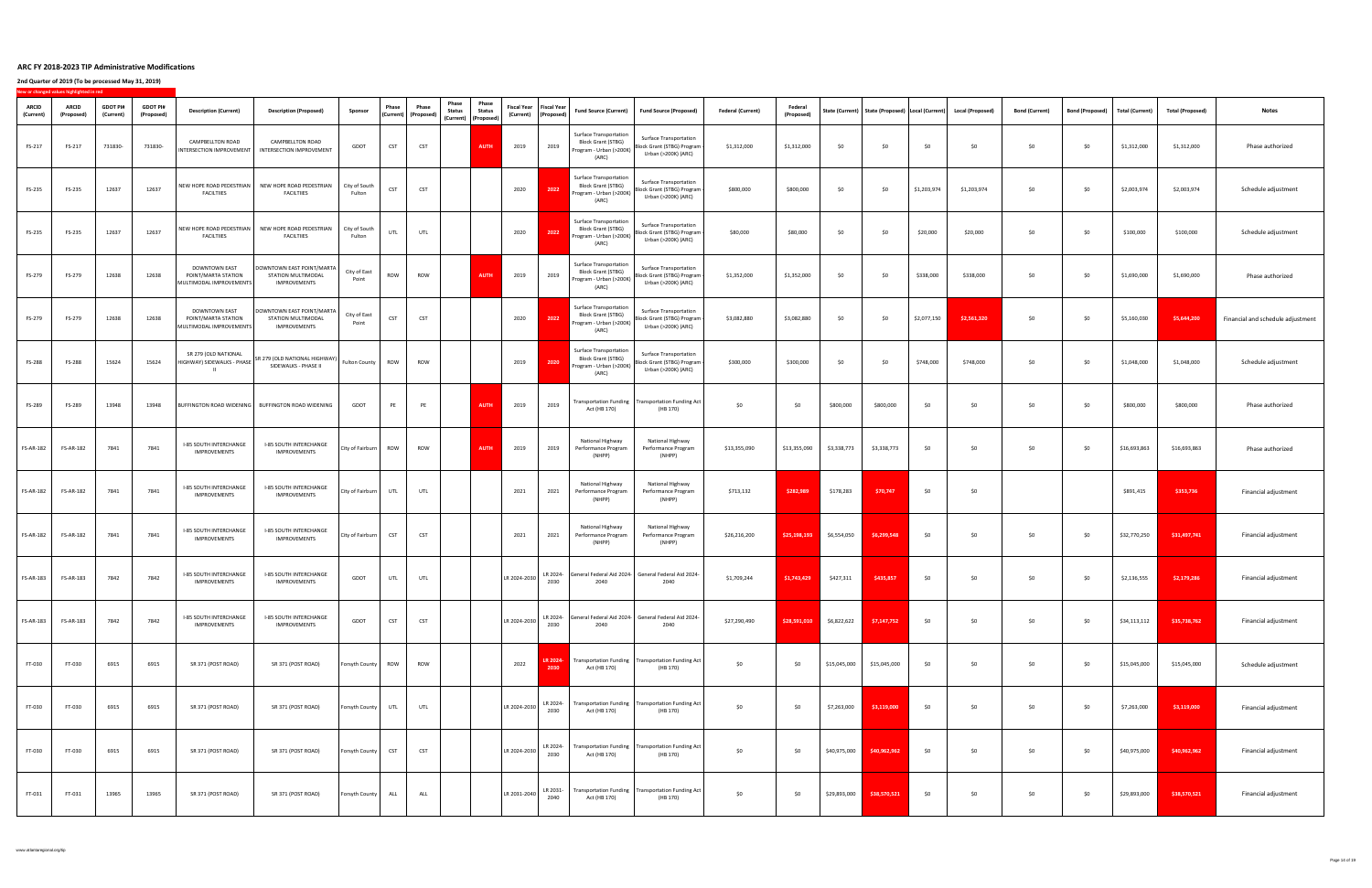**2nd Quarter of 2019 (To be processed May 31, 2019)**

**New or changed values highlighted in red**

| <b>ARCID</b><br>(Current) | <b>ICW OF CHANGED VAIDES INGINISHED IN FER</b><br><b>ARCID</b><br>(Proposed | <b>GDOT PI#</b><br>(Current) | <b>GDOT PI#</b><br>(Proposed) | <b>Description (Current)</b>                                           | <b>Description (Proposed)</b>                                            | Sponsor                 | Phase      | <b>Phase</b><br>  (Current)   (Proposed) | Phase<br><b>Status</b><br>$\vert$ (Current) $\vert$ (Proposed) | <b>Phase</b><br><b>Status</b> |              | Fiscal Year   Fiscal Year  <br>(Current)   (Proposed) | <b>Fund Source (Current)</b>                                                                   | Fund Source (Proposed)                                                                                       | <b>Federal (Current)</b> | <b>Federal</b><br>(Proposed) |              |              |             | State (Current)   State (Proposed)   Local (Current)   Local (Proposed) | <b>Bond (Current)</b> | Bond (Proposed) | Total (Current) | <b>Total (Proposed)</b> | <b>Notes</b>                      |
|---------------------------|-----------------------------------------------------------------------------|------------------------------|-------------------------------|------------------------------------------------------------------------|--------------------------------------------------------------------------|-------------------------|------------|------------------------------------------|----------------------------------------------------------------|-------------------------------|--------------|-------------------------------------------------------|------------------------------------------------------------------------------------------------|--------------------------------------------------------------------------------------------------------------|--------------------------|------------------------------|--------------|--------------|-------------|-------------------------------------------------------------------------|-----------------------|-----------------|-----------------|-------------------------|-----------------------------------|
| FS-217                    | FS-217                                                                      | 731830-                      | 731830-                       | <b>CAMPBELLTON ROAD</b><br>INTERSECTION IMPROVEMENT                    | <b>CAMPBELLTON ROAD</b><br><b>INTERSECTION IMPROVEMENT</b>               | <b>GDOT</b>             | <b>CST</b> | <b>CST</b>                               |                                                                | <b>AUTH</b>                   | 2019         | 2019                                                  | <b>Surface Transportation</b><br><b>Block Grant (STBG)</b><br>Program - Urban (>200K)<br>(ARC) | <b>Surface Transportation</b><br>Block Grant (STBG) Program  <br>Urban (>200K) (ARC)                         | \$1,312,000              | \$1,312,000                  | \$0          | \$0          | \$0         | \$0                                                                     | \$0                   | \$0             | \$1,312,000     | \$1,312,000             | Phase authorized                  |
| FS-235                    | FS-235                                                                      | 12637                        | 12637                         | NEW HOPE ROAD PEDESTRIAN<br><b>FACILTIIES</b>                          | NEW HOPE ROAD PEDESTRIAN<br><b>FACILTIIES</b>                            | City of South<br>Fulton | <b>CST</b> | <b>CST</b>                               |                                                                |                               | 2020         | 2022                                                  | <b>Surface Transportation</b><br><b>Block Grant (STBG)</b><br>Program - Urban (>200K)<br>(ARC) | <b>Surface Transportation</b><br>Block Grant (STBG) Program  <br>Urban (>200K) (ARC)                         | \$800,000                | \$800,000                    | \$0          | \$0          | \$1,203,974 | \$1,203,974                                                             | \$0                   | \$0             | \$2,003,974     | \$2,003,974             | Schedule adjustment               |
| FS-235                    | FS-235                                                                      | 12637                        | 12637                         | NEW HOPE ROAD PEDESTRIAN<br><b>FACILTIIES</b>                          | NEW HOPE ROAD PEDESTRIAN<br><b>FACILTIIES</b>                            | City of South<br>Fulton | UTL        | UTL                                      |                                                                |                               | 2020         | 2022                                                  | <b>Surface Transportation</b><br><b>Block Grant (STBG)</b><br>Program - Urban (>200K)<br>(ARC) | <b>Surface Transportation</b><br>Block Grant (STBG) Program  <br>Urban (>200K) (ARC)                         | \$80,000                 | \$80,000                     | \$0          | \$0          | \$20,000    | \$20,000                                                                | \$0                   | \$0             | \$100,000       | \$100,000               | Schedule adjustment               |
| FS-279                    | FS-279                                                                      | 12638                        | 12638                         | DOWNTOWN EAST<br>POINT/MARTA STATION<br>MULTIMODAL IMPROVEMENTS        | DOWNTOWN EAST POINT/MARTA  <br>STATION MULTIMODAL<br><b>IMPROVEMENTS</b> | City of East<br>Point   | <b>ROW</b> | <b>ROW</b>                               |                                                                | <b>AUTH</b>                   | 2019         | 2019                                                  | <b>Surface Transportation</b><br><b>Block Grant (STBG)</b><br>(ARC)                            | <b>Surface Transportation</b><br>Program - Urban (>200K) Block Grant (STBG) Program  <br>Urban (>200K) (ARC) | \$1,352,000              | \$1,352,000                  | \$0          | \$0          | \$338,000   | \$338,000                                                               | 50 <sub>2</sub>       | \$0\$           | \$1,690,000     | \$1,690,000             | Phase authorized                  |
| FS-279                    | FS-279                                                                      | 12638                        | 12638                         | <b>DOWNTOWN EAST</b><br>POINT/MARTA STATION<br>MULTIMODAL IMPROVEMENTS | DOWNTOWN EAST POINT/MARTA<br>STATION MULTIMODAL<br><b>IMPROVEMENTS</b>   | City of East<br>Point   | <b>CST</b> | <b>CST</b>                               |                                                                |                               | 2020         | 2022                                                  | <b>Surface Transportation</b><br><b>Block Grant (STBG)</b><br>Program - Urban (>200K)<br>(ARC) | <b>Surface Transportation</b><br>Block Grant (STBG) Program  <br>Urban (>200K) (ARC)                         | \$3,082,880              | \$3,082,880                  | \$0          | \$0          | \$2,077,150 | \$2,561,320                                                             | \$0\$                 | \$0             | \$5,160,030     | \$5,644,200             | Financial and schedule adjustment |
| FS-288                    | FS-288                                                                      | 15624                        | 15624                         | SR 279 (OLD NATIONAL<br>HIGHWAY) SIDEWALKS - PHASE                     | SR 279 (OLD NATIONAL HIGHWAY)<br>SIDEWALKS - PHASE II                    | Fulton County           | ROW        | <b>ROW</b>                               |                                                                |                               | 2019         | 2020                                                  | <b>Surface Transportation</b><br><b>Block Grant (STBG)</b><br>Program - Urban (>200K)<br>(ARC) | <b>Surface Transportation</b><br>Block Grant (STBG) Program  <br>Urban (>200K) (ARC)                         | \$300,000                | \$300,000                    | \$0          | \$0          | \$748,000   | \$748,000                                                               | \$0                   | \$0             | \$1,048,000     | \$1,048,000             | Schedule adjustment               |
| FS-289                    | FS-289                                                                      | 13948                        | 13948                         |                                                                        | BUFFINGTON ROAD WIDENING   BUFFINGTON ROAD WIDENING                      | <b>GDOT</b>             | PE         | PE                                       |                                                                | <b>AUTH</b>                   | 2019         | 2019                                                  | Act (HB 170)                                                                                   | Transportation Funding   Transportation Funding Act  <br>(HB 170)                                            | \$0                      | \$0                          | \$800,000    | \$800,000    | \$0         | c∩ ≀                                                                    | 50 <sup>°</sup>       | \$0\$           | \$800,000       | \$800,000               | Phase authorized                  |
| <b>FS-AR-182</b>          | <b>FS-AR-182</b>                                                            | 7841                         | 7841                          | <b>I-85 SOUTH INTERCHANGE</b><br><b>IMPROVEMENTS</b>                   | <b>I-85 SOUTH INTERCHANGE</b><br><b>IMPROVEMENTS</b>                     | City of Fairburn   ROW  |            | <b>ROW</b>                               |                                                                | <b>AUTH</b>                   | 2019         | 2019                                                  | <b>National Highway</b><br>Performance Program<br>(NHPP)                                       | National Highway<br>Performance Program<br>(NHPP)                                                            | \$13,355,090             | \$13,355,090                 | \$3,338,773  | \$3,338,773  | \$0         | \$0\$                                                                   | \$0                   | \$0             | \$16,693,863    | \$16,693,863            | Phase authorized                  |
| <b>FS-AR-182</b>          | <b>FS-AR-182</b>                                                            | 7841                         | 7841                          | <b>I-85 SOUTH INTERCHANGE</b><br><b>IMPROVEMENTS</b>                   | <b>I-85 SOUTH INTERCHANGE</b><br><b>IMPROVEMENTS</b>                     | City of Fairburn        | UTL        | UTL                                      |                                                                |                               | 2021         | 2021                                                  | National Highway<br>Performance Program<br>(NHPP)                                              | National Highway<br>Performance Program<br>(NHPP)                                                            | \$713,132                | \$282,989                    | \$178,283    | \$70,747     | \$0         | \$0                                                                     |                       |                 | \$891,415       | \$353,736               | Financial adjustment              |
| <b>FS-AR-182</b>          | <b>FS-AR-182</b>                                                            | 7841                         | 7841                          | <b>I-85 SOUTH INTERCHANGE</b><br><b>IMPROVEMENTS</b>                   | <b>I-85 SOUTH INTERCHANGE</b><br><b>IMPROVEMENTS</b>                     | City of Fairburn        | <b>CST</b> | <b>CST</b>                               |                                                                |                               | 2021         | 2021                                                  | National Highway<br>Performance Program<br>(NHPP)                                              | National Highway<br>Performance Program<br>(NHPP)                                                            | \$26,216,200             | \$25,198,193                 | \$6,554,050  | \$6,299,548  | \$0         | \$0                                                                     | \$0\$                 | \$0             | \$32,770,250    | \$31,497,741            | Financial adjustment              |
| <b>FS-AR-183</b>          | <b>FS-AR-183</b>                                                            | 7842                         | 7842                          | <b>I-85 SOUTH INTERCHANGE</b><br><b>IMPROVEMENTS</b>                   | <b>I-85 SOUTH INTERCHANGE</b><br><b>IMPROVEMENTS</b>                     | GDOT                    | UTL        | UTL                                      |                                                                |                               | LR 2024-2030 | LR 2024-<br>2030                                      | 2040                                                                                           | General Federal Aid 2024-   General Federal Aid 2024-<br>2040                                                | \$1,709,244              | \$1,743,429                  | \$427,311    | \$435,857    | \$0         | \$0\$                                                                   | \$0\$                 | \$0             | \$2,136,555     | \$2,179,286             | Financial adjustment              |
| <b>FS-AR-183</b>          | <b>FS-AR-183</b>                                                            | 7842                         | 7842                          | <b>I-85 SOUTH INTERCHANGE</b><br><b>IMPROVEMENTS</b>                   | <b>I-85 SOUTH INTERCHANGE</b><br><b>IMPROVEMENTS</b>                     | GDOT                    | <b>CST</b> | <b>CST</b>                               |                                                                |                               | LR 2024-2030 | 2030                                                  | 2040                                                                                           | LR 2024- General Federal Aid 2024- General Federal Aid 2024-<br>2040                                         | \$27,290,490             | \$28,591,010                 | \$6,822,622  | \$7,147,752  | \$0         | \$0                                                                     | \$0                   | \$0             | \$34,113,112    | \$35,738,762            | Financial adjustment              |
| FT-030                    | FT-030                                                                      | 6915                         | 6915                          | SR 371 (POST ROAD)                                                     | SR 371 (POST ROAD)                                                       | Forsyth County          | ROW        | <b>ROW</b>                               |                                                                |                               | 2022         | 2030                                                  | Act (HB 170)                                                                                   | <b>LR 2024-</b> Transportation Funding   Transportation Funding Act  <br>(HB 170)                            | \$0                      | \$0                          | \$15,045,000 | \$15,045,000 | \$0         | \$0                                                                     | \$0                   | \$0             | \$15,045,000    | \$15,045,000            | Schedule adjustment               |
| FT-030                    | FT-030                                                                      | 6915                         | 6915                          | SR 371 (POST ROAD)                                                     | SR 371 (POST ROAD)                                                       | Forsyth County          | UTL        | UTL                                      |                                                                |                               | LR 2024-2030 | LR 2024-<br>2030                                      | Act (HB 170)                                                                                   | Transportation Funding   Transportation Funding Act  <br>(HB 170)                                            | \$0                      | \$0                          | \$7,263,000  | \$3,119,000  | \$0\$       | \$0                                                                     | \$0                   | \$0             | \$7,263,000     | \$3,119,000             | Financial adjustment              |
| FT-030                    | FT-030                                                                      | 6915                         | 6915                          | SR 371 (POST ROAD)                                                     | SR 371 (POST ROAD)                                                       | Forsyth County          | <b>CST</b> | <b>CST</b>                               |                                                                |                               | LR 2024-2030 | LR 2024-<br>2030                                      | Act (HB 170)                                                                                   | Transportation Funding   Transportation Funding Act  <br>(HB 170)                                            | \$0                      | \$0                          | \$40,975,000 | \$40,962,962 | \$0         | \$0\$                                                                   | \$0\$                 | \$0\$           | \$40,975,000    | \$40,962,962            | Financial adjustment              |
| FT-031                    | FT-031                                                                      | 13965                        | 13965                         | SR 371 (POST ROAD)                                                     | SR 371 (POST ROAD)                                                       | Forsyth County          | <b>ALL</b> | <b>ALL</b>                               |                                                                |                               | LR 2031-2040 | LR 2031-<br>2040                                      | Act (HB 170)                                                                                   | Transportation Funding   Transportation Funding Act  <br>(HB 170)                                            | \$0                      | \$0                          | \$29,893,000 | \$38,570,521 | \$0\$       | \$0                                                                     | \$0\$                 | \$0\$           | \$29,893,000    | \$38,570,521            | Financial adjustment              |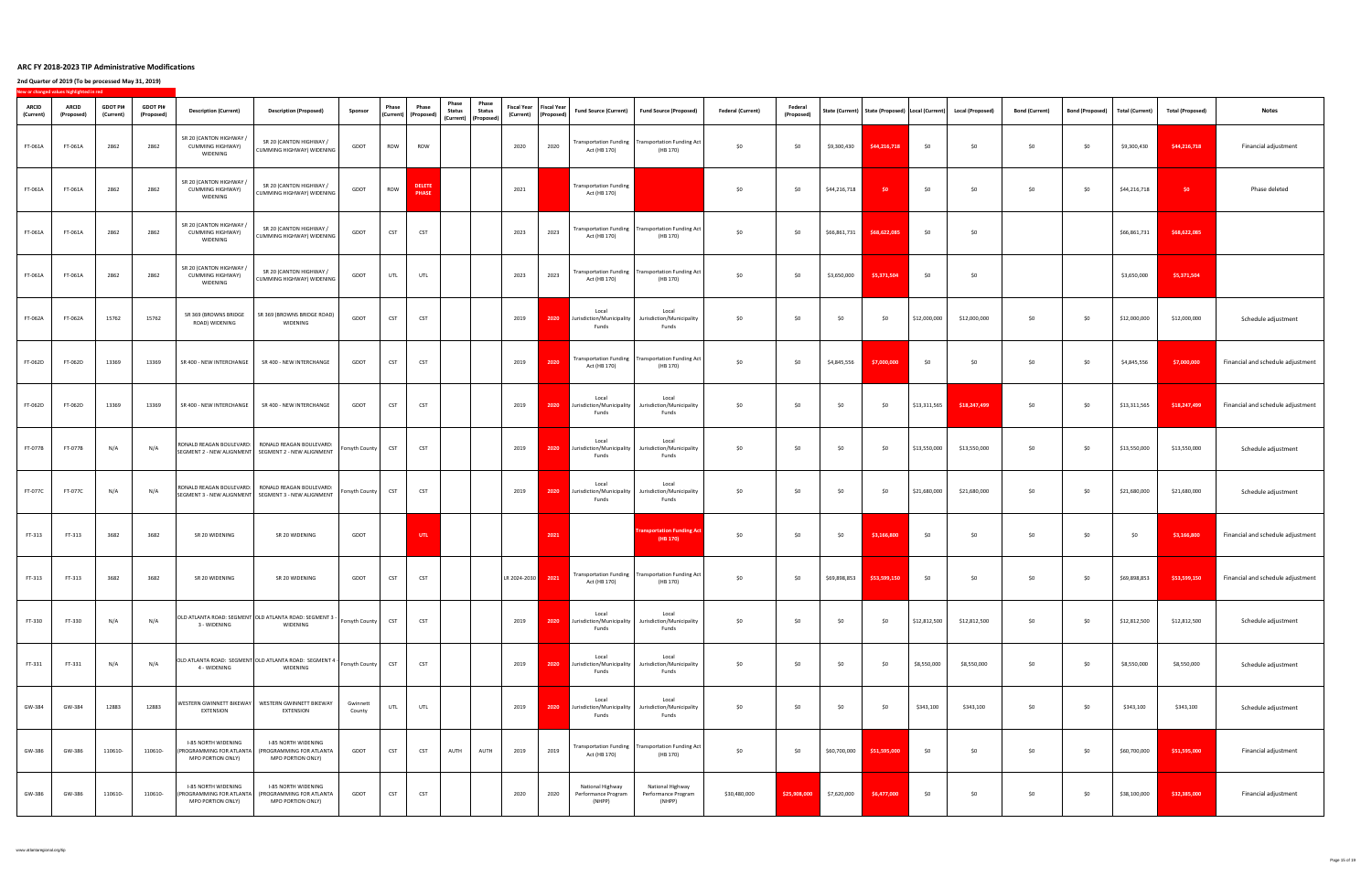**2nd Quarter of 2019 (To be processed May 31, 2019)**

**New or changed values highlighted in red**

| <b>ARCID</b><br>(Current) | <b>INCW OF CHANGED VAIDES HIGHIGHTED IN FEW</b><br><b>ARCID</b><br>(Proposed | <b>GDOT PI#</b><br>(Current) | <b>GDOT PI#</b><br>(Proposed) | <b>Description (Current)</b>                                                       | <b>Description (Proposed)</b>                                                                                  | Sponsor            | <b>Phase</b><br>$ $ (Current) $ $ (Proposed) | Phase                         | Phase<br>Phase<br><b>Status</b><br><b>Status</b><br>$\vert$ (Current) $\vert$ (Proposed) $\vert$ |              | Fiscal Year   Fiscal Year  <br>(Current)   (Proposed) | <b>Fund Source (Current)</b>                      | Fund Source (Proposed)                                                   | <b>Federal (Current)</b> | <b>Federal</b><br>(Proposed) |              |              |              | State (Current)   State (Proposed)   Local (Current)   Local (Proposed) | <b>Bond (Current)</b> | Bond (Proposed) l | <b>Total (Current)</b> | <b>Total (Proposed)</b> | <b>Notes</b>                      |
|---------------------------|------------------------------------------------------------------------------|------------------------------|-------------------------------|------------------------------------------------------------------------------------|----------------------------------------------------------------------------------------------------------------|--------------------|----------------------------------------------|-------------------------------|--------------------------------------------------------------------------------------------------|--------------|-------------------------------------------------------|---------------------------------------------------|--------------------------------------------------------------------------|--------------------------|------------------------------|--------------|--------------|--------------|-------------------------------------------------------------------------|-----------------------|-------------------|------------------------|-------------------------|-----------------------------------|
| FT-061A                   | FT-061A                                                                      | 2862                         | 2862                          | SR 20 (CANTON HIGHWAY /<br><b>CUMMING HIGHWAY)</b><br>WIDENING                     | SR 20 (CANTON HIGHWAY /<br><b>CUMMING HIGHWAY) WIDENING</b>                                                    | <b>GDOT</b>        | ROW                                          | <b>ROW</b>                    |                                                                                                  | 2020         | 2020                                                  | Act (HB 170)                                      | Transportation Funding   Transportation Funding Act  <br>(HB 170)        | \$0                      | \$0                          | \$9,300,430  | \$44,216,718 | \$0          | \$0\$                                                                   | \$0                   | \$0               | \$9,300,430            | \$44,216,718            | Financial adjustment              |
| FT-061A                   | FT-061A                                                                      | 2862                         | 2862                          | SR 20 (CANTON HIGHWAY /<br><b>CUMMING HIGHWAY)</b><br>WIDENING                     | SR 20 (CANTON HIGHWAY /<br><b>CUMMING HIGHWAY) WIDENING</b>                                                    | GDOT               | <b>ROW</b>                                   | <b>DELETE</b><br><b>PHASE</b> |                                                                                                  | 2021         |                                                       | <b>Transportation Funding</b><br>Act (HB 170)     |                                                                          | \$0                      | \$0                          | \$44,216,718 | \$0          | \$0          | \$0                                                                     | \$0\$                 | \$0               | \$44,216,718           | \$0                     | Phase deleted                     |
| FT-061A                   | FT-061A                                                                      | 2862                         | 2862                          | SR 20 (CANTON HIGHWAY /<br><b>CUMMING HIGHWAY)</b><br><b>WIDENING</b>              | SR 20 (CANTON HIGHWAY /<br>  CUMMING HIGHWAY) WIDENING                                                         | <b>GDOT</b>        | <b>CST</b>                                   | <b>CST</b>                    |                                                                                                  | 2023         | 2023                                                  | Act (HB 170)                                      | Transportation Funding   Transportation Funding Act  <br>(HB 170)        | \$0                      | \$0                          | \$66,861,731 | \$68,622,085 | \$0\$        | \$0                                                                     |                       |                   | \$66,861,731           | \$68,622,085            |                                   |
| FT-061A                   | FT-061A                                                                      | 2862                         | 2862                          | SR 20 (CANTON HIGHWAY /<br>CUMMING HIGHWAY)<br>WIDENING                            | SR 20 (CANTON HIGHWAY /<br>CUMMING HIGHWAY) WIDENING                                                           | GDOT               | UTL $\ $                                     | UTL                           |                                                                                                  | 2023         | 2023                                                  | Act (HB 170)                                      | <b>Transportation Funding   Transportation Funding Act  </b><br>(HB 170) | \$0                      | \$0                          | \$3,650,000  | \$5,371,504  | \$0          |                                                                         |                       |                   | \$3,650,000            | \$5,371,504             |                                   |
| <b>FT-062A</b>            | <b>FT-062A</b>                                                               | 15762                        | 15762                         | SR 369 (BROWNS BRIDGE<br>ROAD) WIDENING                                            | SR 369 (BROWNS BRIDGE ROAD)<br>WIDENING                                                                        | GDOT               | <b>CST</b>                                   | <b>CST</b>                    |                                                                                                  | 2019         | 2020                                                  | Local<br>Jurisdiction/Municipality<br>Funds       | Local<br>Jurisdiction/Municipality<br>Funds                              | \$0\$                    | \$0                          | \$0          | \$0          | \$12,000,000 | \$12,000,000                                                            | \$0\$                 | \$0               | \$12,000,000           | \$12,000,000            | Schedule adjustment               |
| FT-062D                   | FT-062D                                                                      | 13369                        | 13369                         | SR 400 - NEW INTERCHANGE                                                           | SR 400 - NEW INTERCHANGE                                                                                       | GDOT               | <b>CST</b>                                   | <b>CST</b>                    |                                                                                                  | 2019         | 2020                                                  | Act (HB 170)                                      | Transportation Funding   Transportation Funding Act  <br>(HB 170)        | \$0                      | \$0                          | \$4,845,556  | \$7,000,000  | \$0          |                                                                         | \$0\$                 | \$0\$             | \$4,845,556            | \$7,000,000             | Financial and schedule adjustment |
| <b>FT-062D</b>            | FT-062D                                                                      | 13369                        | 13369                         | SR 400 - NEW INTERCHANGE                                                           | SR 400 - NEW INTERCHANGE                                                                                       | GDOT               | <b>CST</b>                                   | <b>CST</b>                    |                                                                                                  | 2019         | 2020                                                  | Local<br>Jurisdiction/Municipality<br>Funds       | Local<br>Jurisdiction/Municipality<br>Funds                              | \$0                      | \$0                          | \$0          | \$0          | \$13,311,565 | \$18,247,499                                                            | \$0                   | \$0\$             | \$13,311,565           | \$18,247,499            | Financial and schedule adjustment |
| <b>FT-077B</b>            | <b>FT-077B</b>                                                               | N/A                          | N/A                           |                                                                                    | RONALD REAGAN BOULEVARD:   RONALD REAGAN BOULEVARD:<br>SEGMENT 2 - NEW ALIGNMENT   SEGMENT 2 - NEW ALIGNMENT   | Forsyth County     | <b>CST</b>                                   | <b>CST</b>                    |                                                                                                  | 2019         | 2020                                                  | Local<br>Jurisdiction/Municipality<br>Funds       | Local<br>Jurisdiction/Municipality<br>Funds                              | \$0                      | \$0                          | \$0          | \$0          | \$13,550,000 | \$13,550,000                                                            | \$0                   | \$0               | \$13,550,000           | \$13,550,000            | Schedule adjustment               |
| <b>FT-077C</b>            | FT-077C                                                                      | N/A                          | N/A                           |                                                                                    | RONALD REAGAN BOULEVARD:   RONALD REAGAN BOULEVARD:<br>  SEGMENT 3 - NEW ALIGNMENT   SEGMENT 3 - NEW ALIGNMENT | Forsyth County     | <b>CST</b>                                   | <b>CST</b>                    |                                                                                                  | 2019         | 2020                                                  | Local<br>Jurisdiction/Municipality<br>Funds       | Local<br>Jurisdiction/Municipality<br>Funds                              | \$0                      | \$0                          | \$0          | \$0          | \$21,680,000 | \$21,680,000                                                            | \$0\$                 | \$0               | \$21,680,000           | \$21,680,000            | Schedule adjustment               |
| FT-313                    | FT-313                                                                       | 3682                         | 3682                          | SR 20 WIDENING                                                                     | SR 20 WIDENING                                                                                                 | <b>GDOT</b>        |                                              | <b>UTL</b>                    |                                                                                                  |              | 2021                                                  |                                                   | <b>Transportation Funding Act</b><br>(HB 170)                            | \$0                      | \$0                          | \$0          | \$3,166,800  | \$0\$        | \$0                                                                     | \$0\$                 | \$0               | \$0                    | \$3,166,800             | Financial and schedule adjustment |
| FT-313                    | FT-313                                                                       | 3682                         | 3682                          | SR 20 WIDENING                                                                     | SR 20 WIDENING                                                                                                 | <b>GDOT</b>        | <b>CST</b>                                   | <b>CST</b>                    |                                                                                                  | LR 2024-2030 | 2021                                                  | Act (HB 170)                                      | Transportation Funding   Transportation Funding Act  <br>(HB 170)        | \$0                      | \$0                          | \$69,898,853 | \$53,599,150 | \$0\$        | \$0                                                                     | \$0                   | \$0\$             | \$69,898,853           | \$53,599,150            | Financial and schedule adjustment |
| FT-330                    | FT-330                                                                       | N/A                          | N/A                           | 3 - WIDENING                                                                       | OLD ATLANTA ROAD: SEGMENT OLD ATLANTA ROAD: SEGMENT 3<br><b>WIDENING</b>                                       | Forsyth County     | <b>CST</b>                                   | <b>CST</b>                    |                                                                                                  | 2019         | 2020                                                  | Local<br>Jurisdiction/Municipality<br>Funds       | Local<br>Jurisdiction/Municipality<br>Funds                              | \$0                      | \$0                          | \$0          | \$0          | \$12,812,500 | \$12,812,500                                                            | 50 <sup>°</sup>       | \$0               | \$12,812,500           | \$12,812,500            | Schedule adjustment               |
| FT-331                    | FT-331                                                                       | N/A                          | N/A                           | 4 - WIDENING                                                                       | OLD ATLANTA ROAD: SEGMENT OLD ATLANTA ROAD: SEGMENT 4 -<br><b>WIDENING</b>                                     | Forsyth County     | <b>CST</b>                                   | <b>CST</b>                    |                                                                                                  | 2019         | 2020                                                  | Local<br>Jurisdiction/Municipality<br>Funds       | Local<br>Jurisdiction/Municipality<br>Funds                              | \$0                      | \$0                          | \$0          | \$0          | \$8,550,000  | \$8,550,000                                                             | \$0                   | \$0\$             | \$8,550,000            | \$8,550,000             | Schedule adjustment               |
| GW-384                    | GW-384                                                                       | 12883                        | 12883                         | <b>EXTENSION</b>                                                                   | WESTERN GWINNETT BIKEWAY   WESTERN GWINNETT BIKEWAY<br><b>EXTENSION</b>                                        | Gwinnett<br>County | UTL                                          | <b>UTL</b>                    |                                                                                                  | 2019         | 2020                                                  | Local<br>Jurisdiction/Municipality<br>Funds       | Local<br>Jurisdiction/Municipality<br>Funds                              | \$0                      | \$0                          | \$0          | \$0          | \$343,100    | \$343,100                                                               | \$0                   | \$0               | \$343,100              | \$343,100               | Schedule adjustment               |
| GW-386                    | GW-386                                                                       | 110610-                      | 110610-                       | <b>I-85 NORTH WIDENING</b><br>PROGRAMMING FOR ATLANTA<br><b>MPO PORTION ONLY)</b>  | <b>I-85 NORTH WIDENING</b><br>(PROGRAMMING FOR ATLANTA<br><b>MPO PORTION ONLY)</b>                             | <b>GDOT</b>        | <b>CST</b>                                   | <b>CST</b>                    | <b>AUTH</b><br>AUTH                                                                              | 2019         | 2019                                                  | Act (HB 170)                                      | Transportation Funding   Transportation Funding Act  <br>(HB 170)        | \$0                      | \$0                          | \$60,700,000 | \$51,595,000 | \$0          | \$0\$                                                                   | \$0                   | \$0\$             | \$60,700,000           | \$51,595,000            | Financial adjustment              |
| GW-386                    | GW-386                                                                       | 110610-                      | 110610                        | <b>I-85 NORTH WIDENING</b><br>'PROGRAMMING FOR ATLANTA<br><b>MPO PORTION ONLY)</b> | <b>I-85 NORTH WIDENING</b><br>(PROGRAMMING FOR ATLANTA<br><b>MPO PORTION ONLY)</b>                             | <b>GDOT</b>        | <b>CST</b>                                   | <b>CST</b>                    |                                                                                                  | 2020         | 2020                                                  | National Highway<br>Performance Program<br>(NHPP) | National Highway<br>Performance Program<br>(NHPP)                        | \$30,480,000             | \$25,908,000                 | \$7,620,000  | \$6,477,000  | \$0\$        | \$0\$                                                                   | \$0\$                 | \$0               | \$38,100,000           | \$32,385,000            | Financial adjustment              |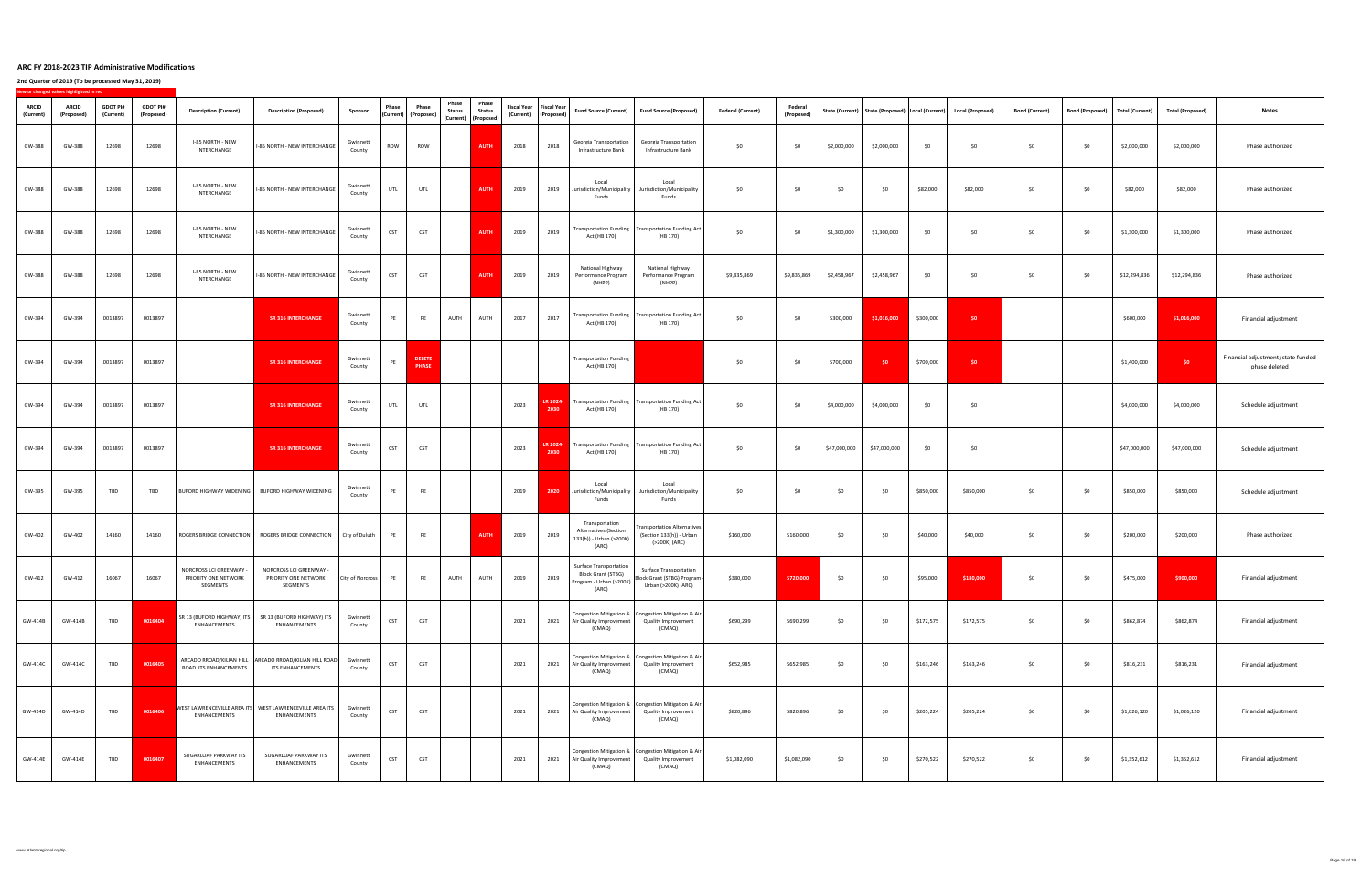|                           | New or changed values highlighted in red |                              |                               |                                                                                |                                                                                      |                         |              |                                                              |                                                                               |                        |                        |                           |                                                                                                |                                                                                                 |                          |                              |              |              |           |                                                                         |                       |                        |                 |                         |                                                     |
|---------------------------|------------------------------------------|------------------------------|-------------------------------|--------------------------------------------------------------------------------|--------------------------------------------------------------------------------------|-------------------------|--------------|--------------------------------------------------------------|-------------------------------------------------------------------------------|------------------------|------------------------|---------------------------|------------------------------------------------------------------------------------------------|-------------------------------------------------------------------------------------------------|--------------------------|------------------------------|--------------|--------------|-----------|-------------------------------------------------------------------------|-----------------------|------------------------|-----------------|-------------------------|-----------------------------------------------------|
| <b>ARCID</b><br>(Current) | <b>ARCID</b><br>(Proposed)               | <b>GDOT PI#</b><br>(Current) | <b>GDOT PI#</b><br>(Proposed) | <b>Description (Current)</b>                                                   | <b>Description (Proposed)</b>                                                        | <b>Sponsor</b>          | <b>Phase</b> | <b>Phase</b><br>$\vert$ (Current) $\vert$ (Proposed) $\vert$ | <b>Phase</b><br><b>Status</b><br>$\vert$ (Current) $\vert$ (Proposed) $\vert$ | Phase<br><b>Status</b> | (Current)   (Proposed) | Fiscal Year   Fiscal Year | <b>Fund Source (Current)</b>                                                                   | Fund Source (Proposed)                                                                          | <b>Federal (Current)</b> | <b>Federal</b><br>(Proposed) |              |              |           | State (Current)   State (Proposed)   Local (Current)   Local (Proposed) | <b>Bond (Current)</b> | <b>Bond (Proposed)</b> | Total (Current) | <b>Total (Proposed)</b> | <b>Notes</b>                                        |
| GW-388                    | GW-388                                   | 12698                        | 12698                         | I-85 NORTH - NEW<br>INTERCHANGE                                                | I-85 NORTH - NEW INTERCHANGE                                                         | Gwinnett<br>County      | ROW          | ROW                                                          |                                                                               | <b>AUTH</b>            | 2018                   | 2018                      | <b>Georgia Transportation</b><br>Infrastructure Bank                                           | Georgia Transportation<br>Infrastructure Bank                                                   | \$0                      | \$0                          | \$2,000,000  | \$2,000,000  | \$0       | \$0                                                                     | \$0\$                 | \$0\$                  | \$2,000,000     | \$2,000,000             | Phase authorized                                    |
| GW-388                    | GW-388                                   | 12698                        | 12698                         | I-85 NORTH - NEW<br>INTERCHANGE                                                | I-85 NORTH - NEW INTERCHANGE                                                         | Gwinnett<br>County      | UTL          | UTL                                                          |                                                                               | <b>AUTH</b>            | 2019                   | 2019                      | Local<br>urisdiction/Municipality<br>Funds                                                     | Local<br>Jurisdiction/Municipality<br>Funds                                                     | \$0                      | \$0                          | \$0          | \$0          | \$82,000  | \$82,000                                                                | \$0                   | \$0                    | \$82,000        | \$82,000                | Phase authorized                                    |
| GW-388                    | GW-388                                   | 12698                        | 12698                         | I-85 NORTH - NEW<br>INTERCHANGE                                                | 1-85 NORTH - NEW INTERCHANGE                                                         | Gwinnett<br>County      | <b>CST</b>   | <b>CST</b>                                                   |                                                                               | <b>AUTH</b>            | 2019                   | 2019                      | Act (HB 170)                                                                                   | Transportation Funding   Transportation Funding Act  <br>(HB 170)                               | \$0                      | \$0                          | \$1,300,000  | \$1,300,000  | \$0       | ר ל∩                                                                    | \$0\$                 | \$0\$                  | \$1,300,000     | \$1,300,000             | Phase authorized                                    |
| GW-388                    | GW-388                                   | 12698                        | 12698                         | I-85 NORTH - NEW<br>INTERCHANGE                                                | 1-85 NORTH - NEW INTERCHANGE                                                         | Gwinnett<br>County      | <b>CST</b>   | <b>CST</b>                                                   |                                                                               | <b>AUTH</b> 2019       |                        | 2019                      | National Highway<br>Performance Program  <br>(NHPP)                                            | National Highway<br>Performance Program<br>(NHPP)                                               | \$9,835,869              | \$9,835,869                  | \$2,458,967  | \$2,458,967  | \$0       |                                                                         | \$0\$                 | \$0                    | \$12,294,836    | \$12,294,836            | Phase authorized                                    |
| GW-394                    | GW-394                                   | 0013897                      | 0013897                       |                                                                                | <b>SR 316 INTERCHANGE</b>                                                            | Gwinnett<br>County      | PE           | PE                                                           | <b>AUTH</b>                                                                   | <b>AUTH</b>            | 2017                   | 2017                      | Act (HB 170)                                                                                   | Transportation Funding   Transportation Funding Act  <br>(HB 170)                               | \$0                      | \$0                          | \$300,000    | \$1,016,000  | \$300,000 | \$0                                                                     |                       |                        | \$600,000       | \$1,016,000             | Financial adjustment                                |
| GW-394                    | GW-394                                   | 0013897                      | 0013897                       |                                                                                | <b>SR 316 INTERCHANGE</b>                                                            | Gwinnett<br>County      | PE           | <b>DELETE</b><br><b>PHASE</b>                                |                                                                               |                        |                        |                           | <b>Transportation Funding</b><br>Act (HB 170)                                                  |                                                                                                 | \$0\$                    | \$0                          | \$700,000    | $\sqrt{50}$  | \$700,000 | \$0                                                                     |                       |                        | \$1,400,000     | 50 <sup>°</sup>         | Financial adjustment; state funded<br>phase deleted |
| GW-394                    | GW-394                                   | 0013897                      | 0013897                       |                                                                                | <b>SR 316 INTERCHANGE</b>                                                            | Gwinnett<br>County      | UTL          | <b>UTL</b>                                                   |                                                                               |                        | 2023                   | LR 2024-<br>2030          | Act (HB 170)                                                                                   | Transportation Funding   Transportation Funding Act  <br>(HB 170)                               | \$0                      | \$0                          | \$4,000,000  | \$4,000,000  | \$0       | ר ל∩                                                                    |                       |                        | \$4,000,000     | \$4,000,000             | Schedule adjustment                                 |
| GW-394                    | GW-394                                   | 0013897                      | 0013897                       |                                                                                | <b>SR 316 INTERCHANGE</b>                                                            | Gwinnett<br>County      | <b>CST</b>   | <b>CST</b>                                                   |                                                                               |                        | 2023                   | LR 2024-<br>2030          | Act (HB 170)                                                                                   | Transportation Funding   Transportation Funding Act  <br>(HB 170)                               | \$0                      | \$0                          | \$47,000,000 | \$47,000,000 | \$0       | \$0                                                                     |                       |                        | \$47,000,000    | \$47,000,000            | Schedule adjustment                                 |
| GW-395                    | GW-395                                   | <b>TBD</b>                   | TBD                           |                                                                                | BUFORD HIGHWAY WIDENING   BUFORD HIGHWAY WIDENING                                    | Gwinnett<br>County      | DE.          | PE                                                           |                                                                               |                        | 2019                   | 2020                      | Local<br>Jurisdiction/Municipality<br>Funds                                                    | Local<br>Jurisdiction/Municipality<br>Funds                                                     | \$0                      | \$0                          | \$0          | \$0          | \$850,000 | \$850,000                                                               | \$0                   | \$0                    | \$850,000       | \$850,000               | Schedule adjustment                                 |
| GW-402                    | GW-402                                   | 14160                        | 14160                         | ROGERS BRIDGE CONNECTION                                                       | ROGERS BRIDGE CONNECTION                                                             | City of Duluth          |              | <b>PE</b>                                                    |                                                                               | <b>AUTH</b>            | 2019                   | 2019                      | Transportation<br><b>Alternatives (Section</b><br>133(h)) - Urban (>200K)<br>(ARC)             | <b>Transportation Alternatives</b><br>(Section 133(h)) - Urban<br>(>200K) (ARC)                 | \$160,000                | \$160,000                    | \$0          | \$0          | \$40,000  | \$40,000                                                                | \$0\$                 | \$0\$                  | \$200,000       | \$200,000               | Phase authorized                                    |
| GW-412                    | GW-412                                   | 16067                        | 16067                         | NORCROSS LCI GREENWAY -<br>PRIORITY ONE NETWORK<br><b>SEGMENTS</b>             | NORCROSS LCI GREENWAY -<br>PRIORITY ONE NETWORK<br>SEGMENTS                          | <b>City of Norcross</b> | PE           | <b>PE</b>                                                    | <b>AUTH</b>                                                                   | <b>AUTH</b>            | 2019                   | 2019                      | <b>Surface Transportation</b><br><b>Block Grant (STBG)</b><br>Program - Urban (>200K)<br>(ARC) | <b>Surface Transportation</b><br>Block Grant (STBG) Program {<br>Urban (>200K) (ARC)            | \$380,000                | \$720,000                    | \$0          | \$0          | \$95,000  | \$180,000                                                               | \$0                   | \$0                    | \$475,000       | \$900,000               | Financial adjustment                                |
| GW-414B                   | GW-414B                                  | <b>TBD</b>                   | 0016404                       | SR 13 (BUFORD HIGHWAY) ITS<br><b>ENHANCEMENTS</b>                              | SR 13 (BUFORD HIGHWAY) ITS<br><b>ENHANCEMENTS</b>                                    | Gwinnett<br>County      | <b>CST</b>   | <b>CST</b>                                                   |                                                                               |                        | 2021                   | 2021                      | Air Quality Improvement<br>(CMAQ)                                                              | Congestion Mitigation &   Congestion Mitigation & Air  <br><b>Quality Improvement</b><br>(CMAQ) | \$690,299                | \$690,299                    | \$0          | \$0          | \$172,575 | \$172,575                                                               | \$0\$                 | \$0\$                  | \$862,874       | \$862,874               | Financial adjustment                                |
| GW-414C                   | GW-414C                                  | <b>TBD</b>                   | 0016405                       | ROAD ITS ENHANCEMENTS                                                          | ARCADO RROAD/KILIAN HILL   ARCADO RROAD/KILIAN HILL ROAD <br><b>ITS ENHANCEMENTS</b> | Gwinnett<br>County      | <b>CST</b>   | <b>CST</b>                                                   |                                                                               |                        | 2021                   | 2021                      | Air Quality Improvement<br>(CMAQ)                                                              | Congestion Mitigation &   Congestion Mitigation & Air  <br><b>Quality Improvement</b><br>(CMAQ) | \$652,985                | \$652,985                    | \$0          | \$0          | \$163,246 | \$163,246                                                               | \$0\$                 | \$0\$                  | \$816,231       | \$816,231               | Financial adjustment                                |
| GW-414D                   | GW-414D                                  | <b>TBD</b>                   | 0016406                       | WEST LAWRENCEVILLE AREA ITS WEST LAWRENCEVILLE AREA ITS<br><b>ENHANCEMENTS</b> | ENHANCEMENTS                                                                         | Gwinnett<br>County      | <b>CST</b>   | <b>CST</b>                                                   |                                                                               |                        | 2021                   | 2021                      | <b>Air Quality Improvement</b><br>(CMAQ)                                                       | Congestion Mitigation &   Congestion Mitigation & Air  <br><b>Quality Improvement</b><br>(CMAQ) | \$820,896                | \$820,896                    | \$0          | \$0          | \$205,224 | \$205,224                                                               | \$0\$                 | \$0\$                  | \$1,026,120     | \$1,026,120             | Financial adjustment                                |
| GW-414E                   | GW-414E                                  | <b>TBD</b>                   | 0016407                       | <b>SUGARLOAF PARKWAY ITS</b><br><b>ENHANCEMENTS</b>                            | <b>SUGARLOAF PARKWAY ITS</b><br><b>ENHANCEMENTS</b>                                  | Gwinnett<br>County      | <b>CST</b>   | <b>CST</b>                                                   |                                                                               |                        | 2021                   | 2021                      | Air Quality Improvement<br>(CMAQ)                                                              | Congestion Mitigation &   Congestion Mitigation & Air  <br><b>Quality Improvement</b><br>(CMAQ) | \$1,082,090              | \$1,082,090                  | \$0          | \$0          | \$270,522 | \$270,522                                                               | \$0\$                 | \$0                    | \$1,352,612     | \$1,352,612             | Financial adjustment                                |
|                           |                                          |                              |                               |                                                                                |                                                                                      |                         |              |                                                              |                                                                               |                        |                        |                           |                                                                                                |                                                                                                 |                          |                              |              |              |           |                                                                         |                       |                        |                 |                         |                                                     |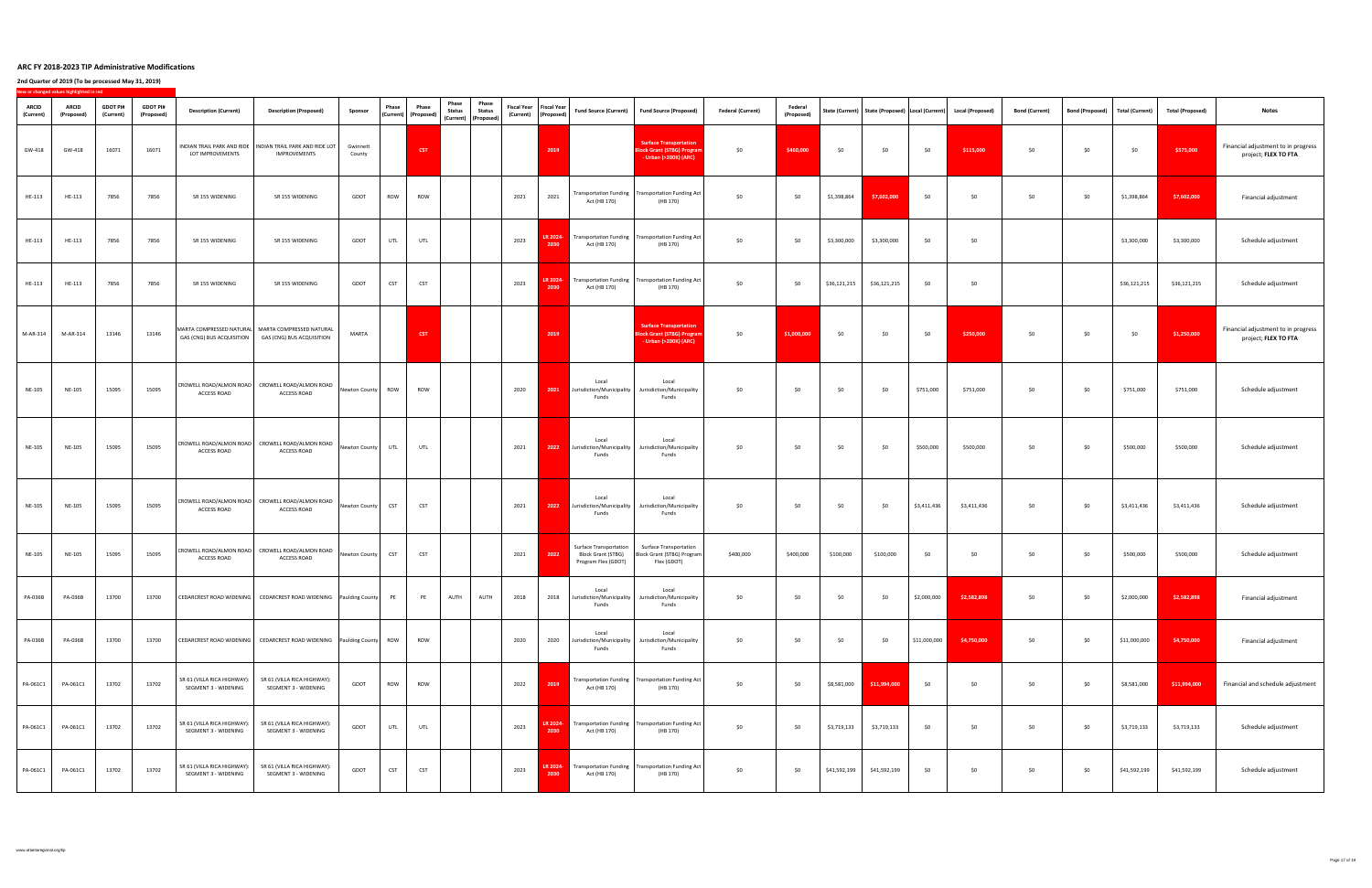|                           | New or changed values highlighted in red |                              |                               |                                                              |                                                                                       |                    |            |                                                                      |                                                                                                         |      |                                                       |                                                                                   |                                                                                                            |                          |                              |              |              |              |                                                                         |                       |                 |                 |                         |                                                             |
|---------------------------|------------------------------------------|------------------------------|-------------------------------|--------------------------------------------------------------|---------------------------------------------------------------------------------------|--------------------|------------|----------------------------------------------------------------------|---------------------------------------------------------------------------------------------------------|------|-------------------------------------------------------|-----------------------------------------------------------------------------------|------------------------------------------------------------------------------------------------------------|--------------------------|------------------------------|--------------|--------------|--------------|-------------------------------------------------------------------------|-----------------------|-----------------|-----------------|-------------------------|-------------------------------------------------------------|
| <b>ARCID</b><br>(Current) | <b>ARCID</b><br>(Proposed)               | <b>GDOT PI#</b><br>(Current) | <b>GDOT PI#</b><br>(Proposed) | <b>Description (Current)</b>                                 | <b>Description (Proposed)</b>                                                         | <b>Sponsor</b>     | Phase      | <b>Phase</b><br>$\big\vert$ (Current) $\big\vert$ (Proposed) $\vert$ | <b>Phase</b><br>Phase<br><b>Status</b><br><b>Status</b><br>$\vert$ (Current) $\vert$ (Proposed) $\vert$ |      | Fiscal Year   Fiscal Year  <br>(Current)   (Proposed) | <b>Fund Source (Current)</b>                                                      | Fund Source (Proposed)                                                                                     | <b>Federal (Current)</b> | <b>Federal</b><br>(Proposed) |              |              |              | State (Current)   State (Proposed)   Local (Current)   Local (Proposed) | <b>Bond (Current)</b> | Bond (Proposed) | Total (Current) | <b>Total (Proposed)</b> | <b>Notes</b>                                                |
| GW-418                    | GW-418                                   | 16071                        | 16071                         | LOT IMPROVEMENTS                                             | INDIAN TRAIL PARK AND RIDE   INDIAN TRAIL PARK AND RIDE LOT<br><b>IMPROVEMENTS</b>    | Gwinnett<br>County |            | <b>CST</b>                                                           |                                                                                                         |      | 2019                                                  |                                                                                   | <b>Surface Transportation</b><br><b>Block Grant (STBG) Program</b><br>- Urban (>200K) (ARC)                | \$0                      | \$460,000                    | \$0          | \$0          | \$0          | \$115,000                                                               | \$0                   | \$0             | \$0             | \$575,000               | Financial adjustment to in progress<br>project; FLEX TO FTA |
| HE-113                    | HE-113                                   | 7856                         | 7856                          | SR 155 WIDENING                                              | SR 155 WIDENING                                                                       | GDOT               | <b>ROW</b> | ROW                                                                  |                                                                                                         | 2021 | 2021                                                  | Act (HB 170)                                                                      | Transportation Funding   Transportation Funding Act  <br>(HB 170)                                          | \$0                      | \$0                          | \$1,398,864  | \$7,602,000  | \$0          | \$0                                                                     | \$0                   | \$0\$           | \$1,398,864     | \$7,602,000             | Financial adjustment                                        |
| HE-113                    | HE-113                                   | 7856                         | 7856                          | SR 155 WIDENING                                              | SR 155 WIDENING                                                                       | GDOT               | UTL        | UTL                                                                  |                                                                                                         | 2023 | LR 2024-<br>2030                                      | Act (HB 170)                                                                      | <b>Transportation Funding   Transportation Funding Act  </b><br>(HB 170)                                   | \$0                      | \$0                          | \$3,300,000  | \$3,300,000  | \$0\$        | \$0\$                                                                   |                       |                 | \$3,300,000     | \$3,300,000             | Schedule adjustment                                         |
| HE-113                    | HE-113                                   | 7856                         | 7856                          | SR 155 WIDENING                                              | SR 155 WIDENING                                                                       | GDOT               | <b>CST</b> | <b>CST</b>                                                           |                                                                                                         | 2023 | 2030                                                  | Act (HB 170)                                                                      | <b>LR 2024-</b> Transportation Funding Transportation Funding Act<br>(HB 170)                              | \$0                      | \$0                          | \$36,121,215 | \$36,121,215 | \$0          | \$0                                                                     |                       |                 | \$36,121,215    | \$36,121,215            | Schedule adjustment                                         |
| M-AR-314                  | M-AR-314                                 | 13146                        | 13146                         | <b>GAS (CNG) BUS ACQUISITION</b>                             | MARTA COMPRESSED NATURAL MARTA COMPRESSED NATURAL<br><b>GAS (CNG) BUS ACQUISITION</b> | <b>MARTA</b>       |            | <b>CST</b>                                                           |                                                                                                         |      | 2019                                                  |                                                                                   | <b>Surface Transportation</b><br><b>Block Grant (STBG) Program</b><br>- Urban (>200K) (ARC)                | \$0\$                    | \$1,000,000                  | \$0          | \$0          | \$0          | \$250,000                                                               | \$0                   | \$0             | \$0             | \$1,250,000             | Financial adjustment to in progress<br>project; FLEX TO FTA |
| <b>NE-105</b>             | <b>NE-105</b>                            | 15095                        | 15095                         | <b>ACCESS ROAD</b>                                           | CROWELL ROAD/ALMON ROAD   CROWELL ROAD/ALMON ROAD<br><b>ACCESS ROAD</b>               | Newton County      | <b>ROW</b> | ROW                                                                  |                                                                                                         | 2020 | 2021                                                  | Local<br>Jurisdiction/Municipality<br>Funds                                       | Local<br>Jurisdiction/Municipality<br>Funds                                                                | \$0                      | \$0                          | \$0          | \$0          | \$751,000    | \$751,000                                                               | \$0\$                 | \$0\$           | \$751,000       | \$751,000               | Schedule adjustment                                         |
| <b>NE-105</b>             | <b>NE-105</b>                            | 15095                        | 15095                         | <b>ACCESS ROAD</b>                                           | CROWELL ROAD/ALMON ROAD   CROWELL ROAD/ALMON ROAD<br><b>ACCESS ROAD</b>               | Newton County      | UTL        | UTL                                                                  |                                                                                                         | 2021 | 2022                                                  | Local<br>Jurisdiction/Municipality<br>Funds                                       | Local<br>Jurisdiction/Municipality<br>Funds                                                                | \$0                      | \$0                          | \$0          | \$0          | \$500,000    | \$500,000                                                               | \$0                   | \$0\$           | \$500,000       | \$500,000               | Schedule adjustment                                         |
| <b>NE-105</b>             | <b>NE-105</b>                            | 15095                        | 15095                         | <b>ACCESS ROAD</b>                                           | CROWELL ROAD/ALMON ROAD   CROWELL ROAD/ALMON ROAD<br><b>ACCESS ROAD</b>               | Newton County      |            | <b>CST</b>                                                           |                                                                                                         | 2021 | 2022                                                  | Local<br>Jurisdiction/Municipality<br>Funds                                       | Local<br>Jurisdiction/Municipality<br>Funds                                                                | \$0                      | \$0                          | \$0          | \$0          | \$3,411,436  | \$3,411,436                                                             | \$0\$                 | \$0\$           | \$3,411,436     | \$3,411,436             | Schedule adjustment                                         |
| <b>NE-105</b>             | <b>NE-105</b>                            | 15095                        | 15095                         | <b>ACCESS ROAD</b>                                           | CROWELL ROAD/ALMON ROAD   CROWELL ROAD/ALMON ROAD<br><b>ACCESS ROAD</b>               | Newton County      |            | <b>CST</b>                                                           |                                                                                                         | 2021 | 2022                                                  | <b>Surface Transportation</b><br><b>Block Grant (STBG)</b><br>Program Flex (GDOT) | <b>Surface Transportation</b><br>Block Grant (STBG) Program<br>Flex (GDOT)                                 | \$400,000                | \$400,000                    | \$100,000    | \$100,000    | \$0          | 50 <sup>°</sup>                                                         | \$0                   | \$0\$           | \$500,000       | \$500,000               | Schedule adjustment                                         |
| <b>PA-036B</b>            | <b>PA-036B</b>                           | 13700                        | 13700                         |                                                              | CEDARCREST ROAD WIDENING   CEDARCREST ROAD WIDENING   Paulding County                 |                    | <b>PE</b>  | <b>PE</b>                                                            | <b>AUTH</b><br>AUTH                                                                                     | 2018 | 2018                                                  | Local<br>Jurisdiction/Municipality<br>Funds                                       | Local<br>Jurisdiction/Municipality<br>Funds                                                                | \$0                      | \$0                          | \$0          | \$0          | \$2,000,000  | \$2,582,898                                                             | \$0                   | \$0             | \$2,000,000     | \$2,582,898             | Financial adjustment                                        |
| PA-036B                   | <b>PA-036B</b>                           | 13700                        | 13700                         |                                                              | CEDARCREST ROAD WIDENING   CEDARCREST ROAD WIDENING   Paulding County   ROW           |                    |            | <b>ROW</b>                                                           |                                                                                                         | 2020 | 2020                                                  | Local<br>Jurisdiction/Municipality<br><b>Funds</b>                                | Local<br>Jurisdiction/Municipality<br>Funds                                                                | \$0                      | \$0                          | \$0          | \$0          | \$11,000,000 | \$4,750,000                                                             | \$0                   | \$0\$           | \$11,000,000    | \$4,750,000             | Financial adjustment                                        |
| PA-061C1                  | PA-061C1                                 | 13702                        | 13702                         | SR 61 (VILLA RICA HIGHWAY):<br><b>SEGMENT 3 - WIDENING</b>   | SR 61 (VILLA RICA HIGHWAY):<br><b>SEGMENT 3 - WIDENING</b>                            | GDOT               | ROW        | ROW                                                                  |                                                                                                         | 2022 | 2019                                                  | Act (HB 170)                                                                      | Transportation Funding   Transportation Funding Act  <br>(HB 170)                                          | \$0                      | \$0                          | \$8,581,000  | \$11,994,000 | \$0\$        | \$0                                                                     | \$0                   | \$0             | \$8,581,000     | \$11,994,000            | Financial and schedule adjustment                           |
| PA-061C1                  | PA-061C1                                 | 13702                        | 13702                         | SR 61 (VILLA RICA HIGHWAY):  <br><b>SEGMENT 3 - WIDENING</b> | SR 61 (VILLA RICA HIGHWAY):<br><b>SEGMENT 3 - WIDENING</b>                            | GDOT               | UTL        | UTL                                                                  |                                                                                                         | 2023 | LR 2024-<br>2030                                      | Act (HB 170)                                                                      | $\blacksquare$ Transportation Funding $\blacksquare$ Transportation Funding Act $\blacksquare$<br>(HB 170) | \$0                      | \$0                          | \$3,719,133  | \$3,719,133  | \$0\$        | \$0\$                                                                   | \$0                   | \$0             | \$3,719,133     | \$3,719,133             | Schedule adjustment                                         |
| PA-061C1                  | PA-061C1                                 | 13702                        | 13702                         | SR 61 (VILLA RICA HIGHWAY):<br><b>SEGMENT 3 - WIDENING</b>   | SR 61 (VILLA RICA HIGHWAY):<br><b>SEGMENT 3 - WIDENING</b>                            | GDOT               | <b>CST</b> | <b>CST</b>                                                           |                                                                                                         | 2023 | LR 2024-<br>2030                                      | Act (HB 170)                                                                      | $\blacksquare$ Transportation Funding $\blacksquare$ Transportation Funding Act $\blacksquare$<br>(HB 170) | \$0                      | \$0                          | \$41,592,199 | \$41,592,199 | \$0\$        | \$0                                                                     | \$0                   | \$0             | \$41,592,199    | \$41,592,199            | Schedule adjustment                                         |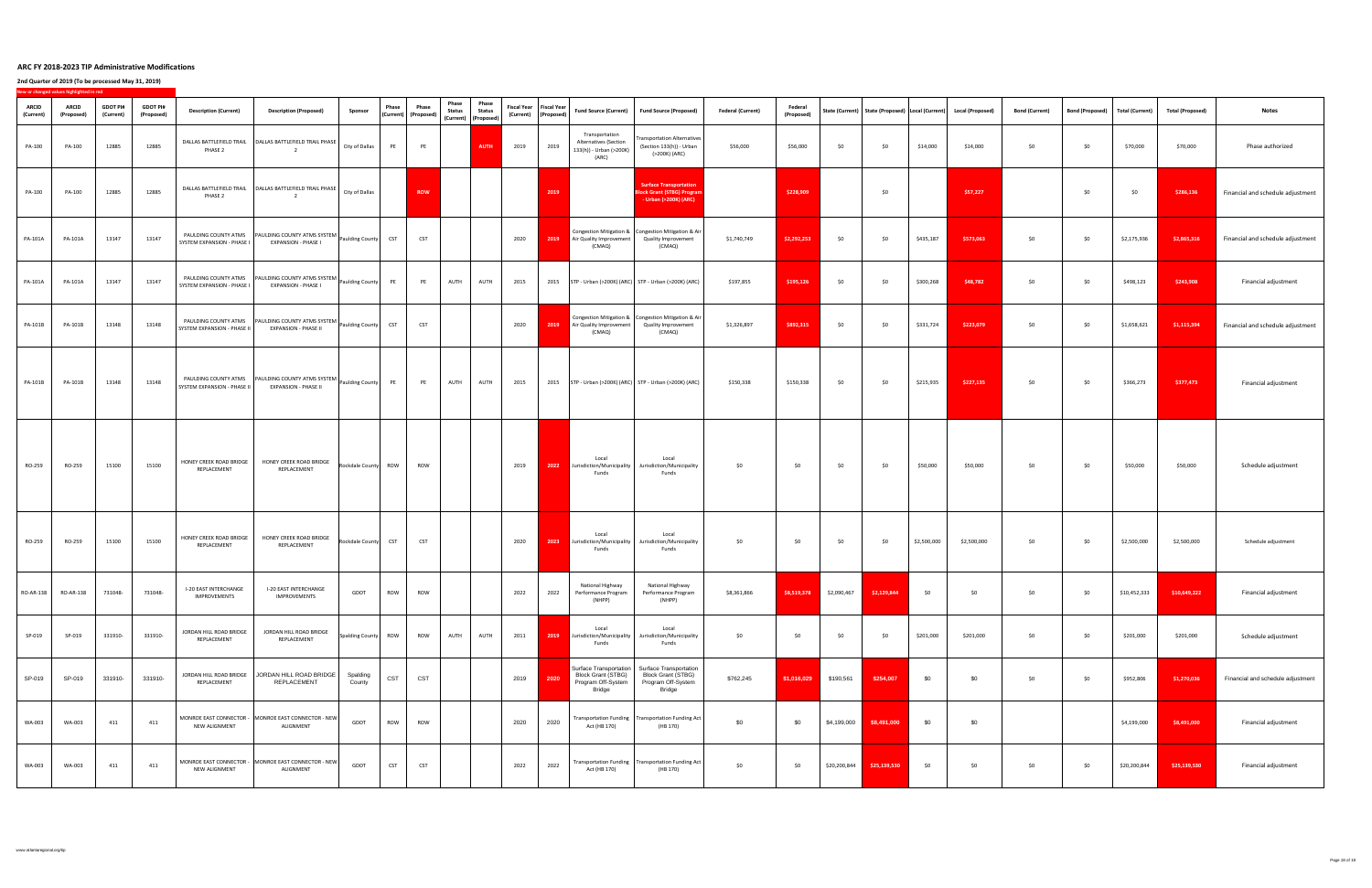| <b>ARCID</b><br>(Current) | New or changed values highlighted in red<br><b>ARCID</b><br>(Proposed) | <b>GDOT PI#</b><br>(Current) | <b>GDOT PI#</b><br>(Proposed) | <b>Description (Current)</b>                 | <b>Description (Proposed)</b>                                                                         | Sponsor               | Phase      | <b>Phase</b><br>$\vert$ (Current) $\vert$ (Proposed) $\vert$ | Phase<br><b>Status</b> | Phase<br><b>Status</b><br>  (Current)   (Proposed) <sup> </sup> |      | Fiscal Year   Fiscal Year  <br>(Current)   (Proposed) |                                                                                    | Fund Source (Current)   Fund Source (Proposed)                                                                      | <b>Federal (Current)</b> | <b>Federal</b><br>(Proposed) |              |              |             | State (Current)   State (Proposed)   Local (Current)   Local (Proposed) | <b>Bond (Current)</b> | <b>Bond (Proposed)</b> | Total (Current) | <b>Total (Proposed)</b> | <b>Notes</b>                      |
|---------------------------|------------------------------------------------------------------------|------------------------------|-------------------------------|----------------------------------------------|-------------------------------------------------------------------------------------------------------|-----------------------|------------|--------------------------------------------------------------|------------------------|-----------------------------------------------------------------|------|-------------------------------------------------------|------------------------------------------------------------------------------------|---------------------------------------------------------------------------------------------------------------------|--------------------------|------------------------------|--------------|--------------|-------------|-------------------------------------------------------------------------|-----------------------|------------------------|-----------------|-------------------------|-----------------------------------|
| PA-100                    | PA-100                                                                 | 12885                        | 12885                         | PHASE <sub>2</sub>                           | DALLAS BATTLEFIELD TRAIL   DALLAS BATTLEFIELD TRAIL PHASE                                             | City of Dallas        |            | <b>PE</b>                                                    |                        | <b>AUTH</b>                                                     | 2019 | 2019                                                  | Transportation<br><b>Alternatives (Section</b><br>133(h)) - Urban (>200K)<br>(ARC) | Transportation Alternatives  <br>(Section 133(h)) - Urban<br>(>200K) (ARC)                                          | \$56,000                 | \$56,000                     | \$0          | \$0          | \$14,000    | \$14,000                                                                | \$0                   | \$0                    | \$70,000        | \$70,000                | Phase authorized                  |
| PA-100                    | PA-100                                                                 | 12885                        | 12885                         | PHASE 2                                      | DALLAS BATTLEFIELD TRAIL   DALLAS BATTLEFIELD TRAIL PHASE                                             | <b>City of Dallas</b> |            | <b>ROW</b>                                                   |                        |                                                                 |      | 2019                                                  |                                                                                    | Surface Transportation<br><b>Block Grant (STBG) Program</b><br>- Urban (>200K) (ARC)                                |                          | \$228,909                    |              | \$0          |             | \$57,227                                                                |                       | \$0\$                  | \$0             | \$286,136               | Financial and schedule adjustment |
| <b>PA-101A</b>            | <b>PA-101A</b>                                                         | 13147                        | 13147                         | SYSTEM EXPANSION - PHASE I                   | PAULDING COUNTY ATMS   PAULDING COUNTY ATMS SYSTEM   Paulding County<br><b>EXPANSION - PHASE I</b>    |                       | <b>CST</b> | <b>CST</b>                                                   |                        |                                                                 | 2020 | 2019                                                  | Air Quality Improvement<br>(CMAQ)                                                  | <b>Congestion Mitigation &amp;   Congestion Mitigation &amp; Air  </b><br><b>Quality Improvement</b><br>(CMAQ)      | \$1,740,749              | \$2,292,253                  | \$0          | \$0          | \$435,187   | \$573,063                                                               | \$0                   | \$0                    | \$2,175,936     | \$2,865,316             | Financial and schedule adjustment |
| <b>PA-101A</b>            | <b>PA-101A</b>                                                         | 13147                        | 13147                         | SYSTEM EXPANSION - PHASE I                   | PAULDING COUNTY ATMS  PAULDING COUNTY ATMS SYSTEM  Paulding County   PE<br><b>EXPANSION - PHASE I</b> |                       |            | PE                                                           | <b>AUTH</b>            | <b>AUTH</b>                                                     | 2015 | 2015                                                  |                                                                                    | $\vert$ STP - Urban (>200K) (ARC) STP - Urban (>200K) (ARC)                                                         | \$197,855                | \$195,126                    | \$0          | \$0          | \$300,268   | \$48,782                                                                | \$0\$                 | \$0\$                  | \$498,123       | \$243,908               | Financial adjustment              |
| <b>PA-101B</b>            | <b>PA-101B</b>                                                         | 13148                        | 13148                         | SYSTEM EXPANSION - PHASE II                  | PAULDING COUNTY ATMS   PAULDING COUNTY ATMS SYSTEM   Paulding County<br><b>EXPANSION - PHASE II</b>   |                       | <b>CST</b> | <b>CST</b>                                                   |                        |                                                                 | 2020 |                                                       | <b>2019</b> Air Quality Improvement<br>(CMAQ)                                      | Congestion Mitigation &   Congestion Mitigation & Air  <br><b>Quality Improvement</b><br>(CMAQ)                     | \$1,326,897              | \$892,315                    | \$0          | \$0          | \$331,724   | \$223,079                                                               | \$0                   | \$0                    | \$1,658,621     | \$1,115,394             | Financial and schedule adjustment |
| <b>PA-101B</b>            | <b>PA-101B</b>                                                         | 13148                        | 13148                         | SYSTEM EXPANSION - PHASE II                  | PAULDING COUNTY ATMS   PAULDING COUNTY ATMS SYSTEM<br><b>EXPANSION - PHASE II</b>                     | Paulding County       |            | <b>PE</b>                                                    | <b>AUTH</b>            | <b>AUTH</b>                                                     | 2015 | 2015                                                  |                                                                                    | STP - Urban (>200K) (ARC) STP - Urban (>200K) (ARC)                                                                 | \$150,338                | \$150,338                    | \$0          | \$0          | \$215,935   | \$227,135                                                               | \$0                   | \$0\$                  | \$366,273       | \$377,473               | Financial adjustment              |
| RO-259                    | RO-259                                                                 | 15100                        | 15100                         | REPLACEMENT                                  | HONEY CREEK ROAD BRIDGE   HONEY CREEK ROAD BRIDGE<br>REPLACEMENT                                      | Rockdale County ROW   |            | ROW                                                          |                        |                                                                 | 2019 |                                                       | Local<br>Funds                                                                     | Local<br><b>2022</b> Jurisdiction/Municipality   Jurisdiction/Municipality<br>Funds                                 |                          |                              |              |              | \$50,000    | \$50,000                                                                |                       |                        | \$50,000        | \$50,000                | Schedule adjustment               |
| RO-259                    | RO-259                                                                 | 15100                        | 15100                         | HONEY CREEK ROAD BRIDGE<br>REPLACEMENT       | <b>HONEY CREEK ROAD BRIDGE</b><br>REPLACEMENT                                                         | Rockdale County       |            | <b>CST</b>                                                   |                        |                                                                 | 2020 | 2023                                                  | Local<br>Jurisdiction/Municipality<br><b>Funds</b>                                 | Local<br>Jurisdiction/Municipality<br>Funds                                                                         | 50 <sup>°</sup>          | \$0                          | \$0          | \$0          | \$2,500,000 | \$2,500,000                                                             | \$0                   | \$0\$                  | \$2,500,000     | \$2,500,000             | Schedule adjustment               |
| RO-AR-138                 | <b>RO-AR-138</b>                                                       | 731048-                      | 731048-                       | <b>I-20 EAST INTERCHANGE</b><br>IMPROVEMENTS | <b>I-20 EAST INTERCHANGE</b><br>IMPROVEMENTS                                                          | <b>GDOT</b>           | ROW        | <b>ROW</b>                                                   |                        |                                                                 | 2022 | 2022                                                  | National Highway<br>Performance Program<br>(NHPP)                                  | National Highway<br>Performance Program<br>(NHPP)                                                                   | \$8,361,866              | \$8,519,378                  | \$2,090,467  | \$2,129,844  | \$0         | \$0                                                                     | \$0                   | \$0                    | \$10,452,333    | \$10,649,222            | Financial adjustment              |
| SP-019                    | SP-019                                                                 | 331910-                      | 331910-                       | JORDAN HILL ROAD BRIDGE<br>REPLACEMENT       | JORDAN HILL ROAD BRIDGE<br>REPLACEMENT                                                                | Spalding County   ROW |            | <b>ROW</b>                                                   | <b>AUTH</b>            | <b>AUTH</b>                                                     | 2011 | 2019                                                  | Local<br>Jurisdiction/Municipality<br>Funds                                        | Local<br>Jurisdiction/Municipality<br>Funds                                                                         | \$0                      | \$0                          | \$0          | \$0          | \$201,000   | \$201,000                                                               | \$0                   | \$0\$                  | \$201,000       | \$201,000               | Schedule adjustment               |
| SP-019                    | SP-019                                                                 | 331910-                      | 331910-                       | JORDAN HILL ROAD BRIDGE<br>REPLACEMENT       | JORDAN HILL ROAD BRIDGE<br><b>REPLACEMENT</b>                                                         | Spalding<br>County    | <b>CST</b> | <b>CST</b>                                                   |                        |                                                                 | 2019 | 2020                                                  | <b>Block Grant (STBG)</b><br>Program Off-System<br><b>Bridge</b>                   | Surface Transportation   Surface Transportation<br><b>Block Grant (STBG)</b><br>Program Off-System<br><b>Bridge</b> | \$762,245                | \$1,016,029                  | \$190,561    | \$254,007    | \$0         | \$0                                                                     | \$0                   | \$0\$                  | \$952,806       | \$1,270,036             | Financial and schedule adjustment |
| <b>WA-003</b>             | WA-003                                                                 | 411                          | 411                           | <b>NEW ALIGNMENT</b>                         | MONROE EAST CONNECTOR - MONROE EAST CONNECTOR - NEW<br>ALIGNMENT                                      | <b>GDOT</b>           | <b>ROW</b> | <b>ROW</b>                                                   |                        |                                                                 | 2020 | 2020                                                  | Act (HB 170)                                                                       | Transportation Funding   Transportation Funding Act  <br>(HB 170)                                                   | \$0                      | \$0                          | \$4,199,000  | \$8,491,000  | \$0         | \$0                                                                     |                       |                        | \$4,199,000     | \$8,491,000             | Financial adjustment              |
| <b>WA-003</b>             | <b>WA-003</b>                                                          | 411                          | 411                           | <b>NEW ALIGNMENT</b>                         | MONROE EAST CONNECTOR - MONROE EAST CONNECTOR - NEW<br>ALIGNMENT                                      | <b>GDOT</b>           | <b>CST</b> | <b>CST</b>                                                   |                        |                                                                 | 2022 | 2022                                                  | Act (HB 170)                                                                       | Transportation Funding   Transportation Funding Act  <br>(HB 170)                                                   | \$0                      | \$0                          | \$20,200,844 | \$25,139,530 | \$0         | \$0                                                                     | \$0                   | \$0                    | \$20,200,844    | \$25,139,530            | Financial adjustment              |